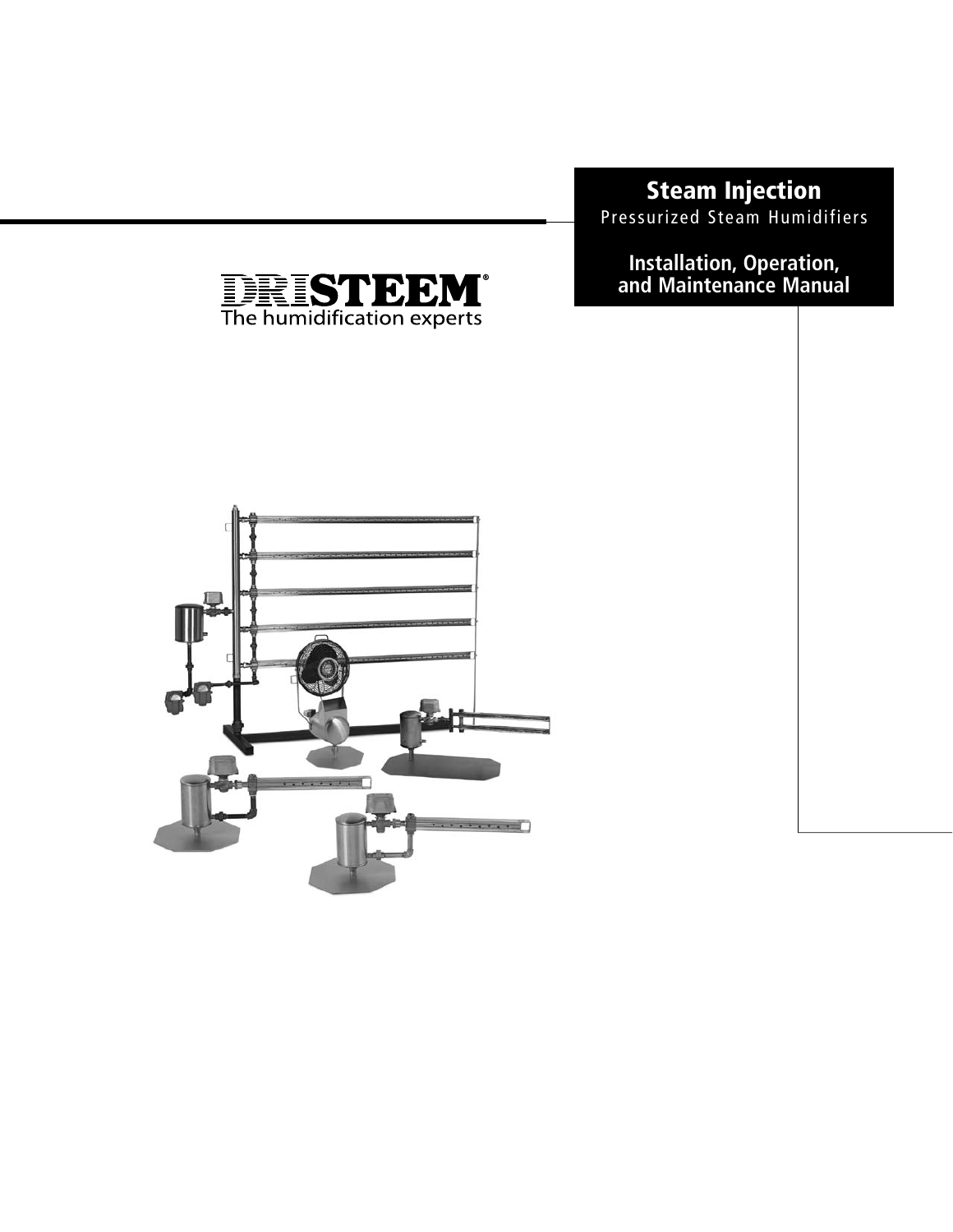# **Steam Injection**

Pressurized Steam Humidifiers

**Installation, Operation, and Maintenance Manual**



**INSTEADED**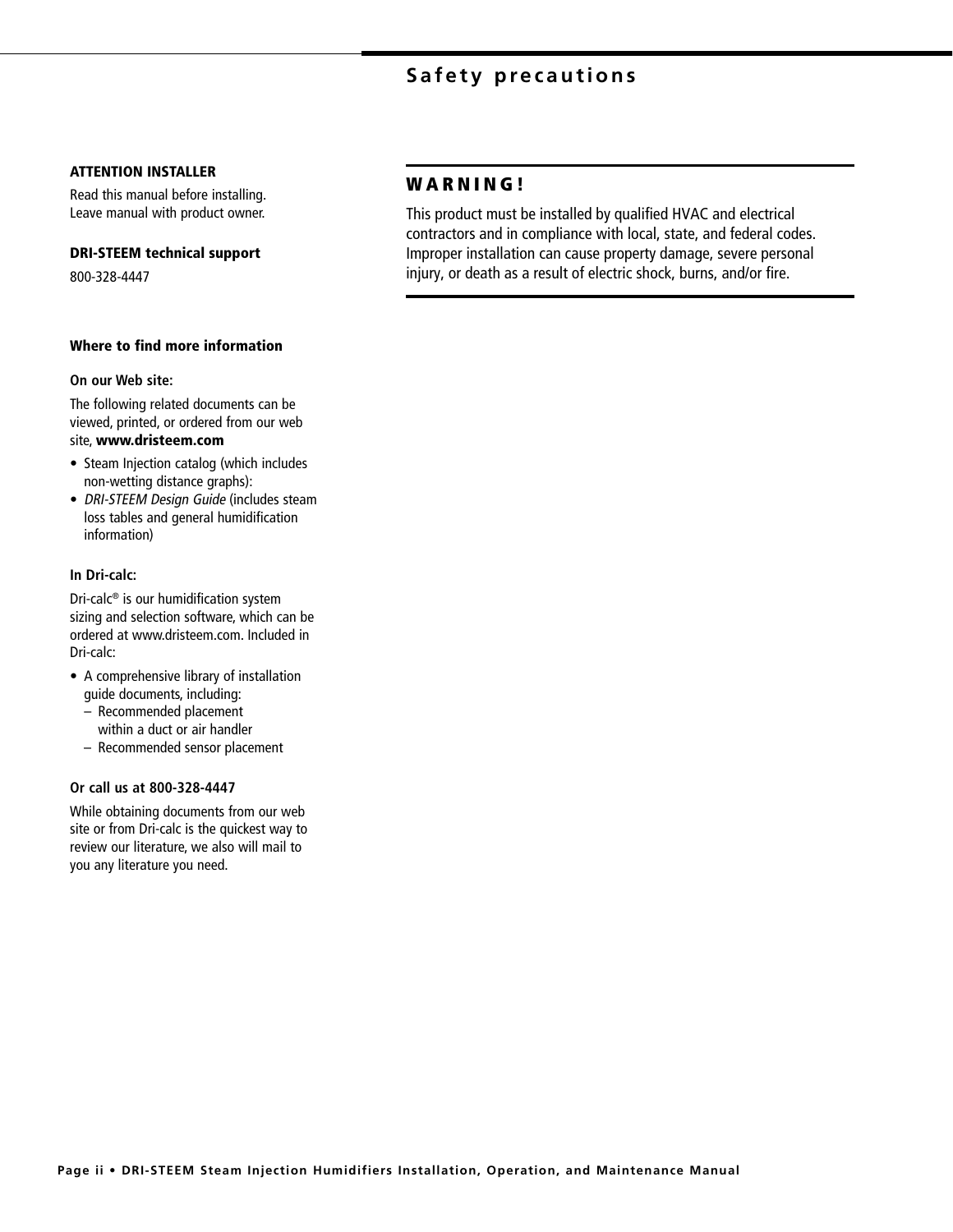## **Safety precautions**

#### **ATTENTION INSTALLER**

Read this manual before installing. Leave manual with product owner.

#### **DRI-STEEM technical support**

800-328-4447

#### **Where to find more information**

#### **On our Web site:**

The following related documents can be viewed, printed, or ordered from our web site, **www.dristeem.com**

- Steam Injection catalog (which includes non-wetting distance graphs):
- DRI-STEEM Design Guide (includes steam loss tables and general humidification information)

#### **In Dri-calc:**

Dri-calc® is our humidification system sizing and selection software, which can be ordered at www.dristeem.com. Included in Dri-calc:

- A comprehensive library of installation guide documents, including:
	- Recommended placement within a duct or air handler
	- Recommended sensor placement

#### **Or call us at 800-328-4447**

While obtaining documents from our web site or from Dri-calc is the quickest way to review our literature, we also will mail to you any literature you need.

## **W A R N I N G !**

This product must be installed by qualified HVAC and electrical contractors and in compliance with local, state, and federal codes. Improper installation can cause property damage, severe personal injury, or death as a result of electric shock, burns, and/or fire.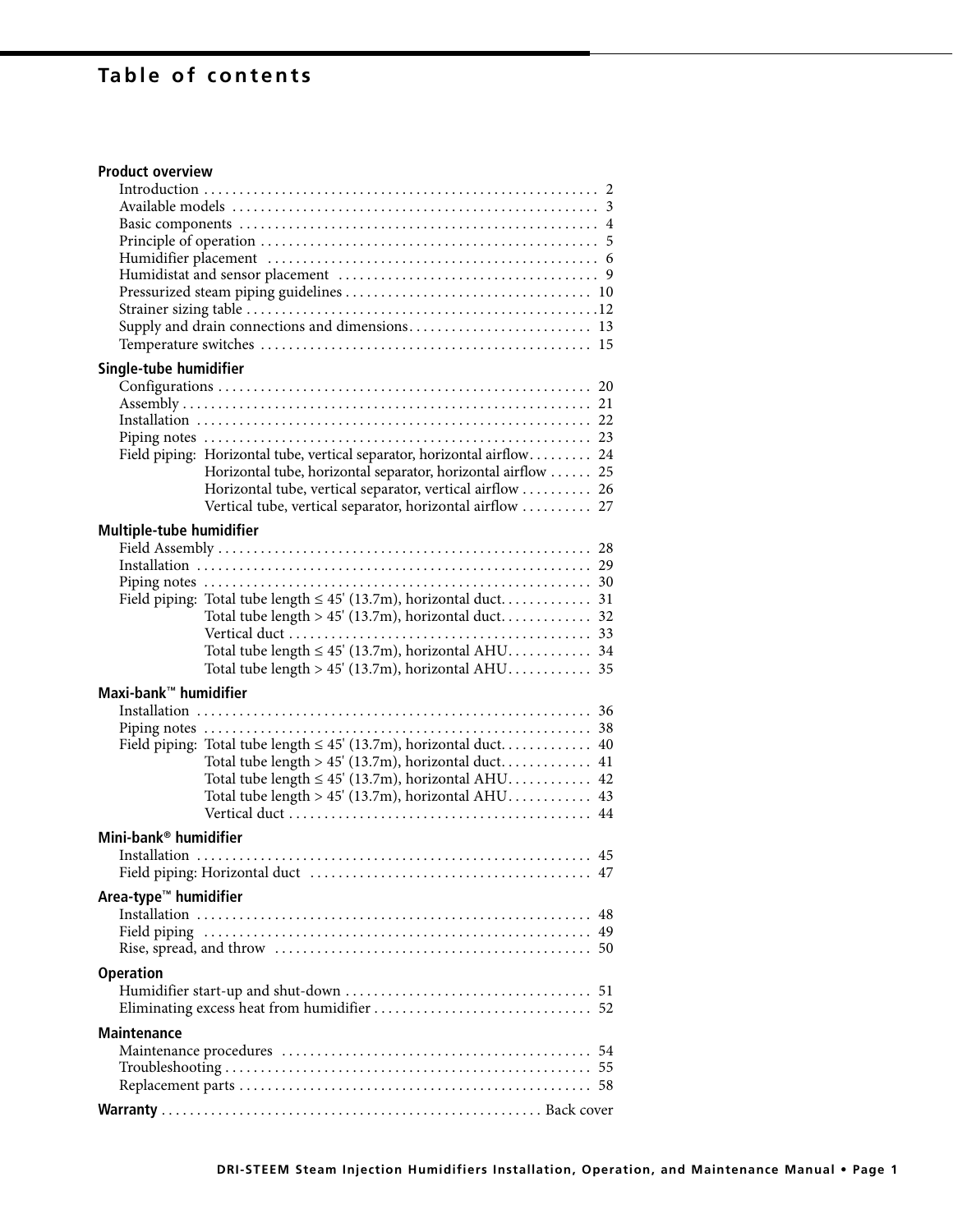# **Table of contents**

## **Product overview**

| Single-tube humidifier            |                                                                                                                        |    |  |  |  |  |  |
|-----------------------------------|------------------------------------------------------------------------------------------------------------------------|----|--|--|--|--|--|
|                                   |                                                                                                                        |    |  |  |  |  |  |
|                                   |                                                                                                                        |    |  |  |  |  |  |
|                                   |                                                                                                                        |    |  |  |  |  |  |
|                                   |                                                                                                                        |    |  |  |  |  |  |
|                                   | Field piping: Horizontal tube, vertical separator, horizontal airflow 24                                               |    |  |  |  |  |  |
|                                   | Horizontal tube, horizontal separator, horizontal airflow  25                                                          |    |  |  |  |  |  |
|                                   | Horizontal tube, vertical separator, vertical airflow  26<br>Vertical tube, vertical separator, horizontal airflow  27 |    |  |  |  |  |  |
|                                   |                                                                                                                        |    |  |  |  |  |  |
| Multiple-tube humidifier          |                                                                                                                        |    |  |  |  |  |  |
|                                   |                                                                                                                        |    |  |  |  |  |  |
|                                   |                                                                                                                        |    |  |  |  |  |  |
|                                   |                                                                                                                        |    |  |  |  |  |  |
|                                   |                                                                                                                        |    |  |  |  |  |  |
|                                   |                                                                                                                        |    |  |  |  |  |  |
|                                   |                                                                                                                        |    |  |  |  |  |  |
|                                   | Total tube length $\leq 45'$ (13.7m), horizontal AHU 34                                                                |    |  |  |  |  |  |
|                                   | Total tube length $> 45'$ (13.7m), horizontal AHU 35                                                                   |    |  |  |  |  |  |
| Maxi-bank™ humidifier             |                                                                                                                        |    |  |  |  |  |  |
|                                   |                                                                                                                        |    |  |  |  |  |  |
|                                   |                                                                                                                        |    |  |  |  |  |  |
|                                   |                                                                                                                        |    |  |  |  |  |  |
|                                   | Total tube length $> 45'$ (13.7m), horizontal duct 41                                                                  |    |  |  |  |  |  |
|                                   | Total tube length $\leq 45'$ (13.7m), horizontal AHU 42                                                                |    |  |  |  |  |  |
|                                   | Total tube length $> 45'$ (13.7m), horizontal AHU 43                                                                   |    |  |  |  |  |  |
|                                   |                                                                                                                        |    |  |  |  |  |  |
| Mini-bank <sup>®</sup> humidifier |                                                                                                                        |    |  |  |  |  |  |
|                                   |                                                                                                                        |    |  |  |  |  |  |
|                                   |                                                                                                                        |    |  |  |  |  |  |
| Area-type <sup>™</sup> humidifier |                                                                                                                        |    |  |  |  |  |  |
|                                   |                                                                                                                        | 48 |  |  |  |  |  |
|                                   |                                                                                                                        | 49 |  |  |  |  |  |
|                                   |                                                                                                                        |    |  |  |  |  |  |
|                                   |                                                                                                                        |    |  |  |  |  |  |
| <b>Operation</b>                  |                                                                                                                        |    |  |  |  |  |  |
|                                   |                                                                                                                        | 51 |  |  |  |  |  |
|                                   |                                                                                                                        |    |  |  |  |  |  |
| Maintenance                       |                                                                                                                        |    |  |  |  |  |  |
|                                   |                                                                                                                        | 54 |  |  |  |  |  |
|                                   |                                                                                                                        | 55 |  |  |  |  |  |
|                                   |                                                                                                                        |    |  |  |  |  |  |
|                                   |                                                                                                                        |    |  |  |  |  |  |
|                                   |                                                                                                                        |    |  |  |  |  |  |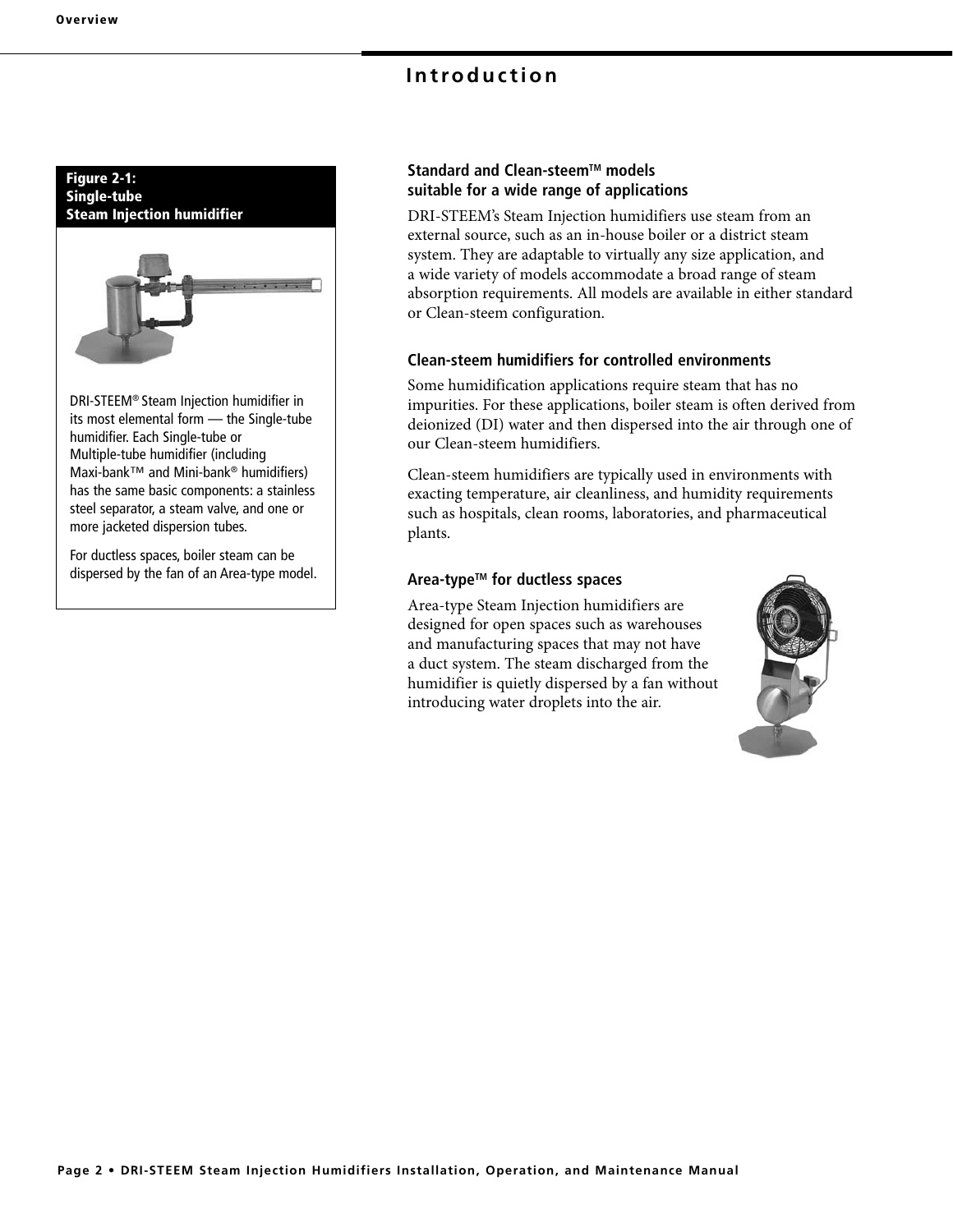## **Introduction**



DRI-STEEM® Steam Injection humidifier in its most elemental form — the Single-tube humidifier. Each Single-tube or Multiple-tube humidifier (including Maxi-bank™ and Mini-bank® humidifiers) has the same basic components: a stainless steel separator, a steam valve, and one or more jacketed dispersion tubes.

For ductless spaces, boiler steam can be dispersed by the fan of an Area-type model.

## **Standard and Clean-steem™ models suitable for a wide range of applications**

DRI-STEEM's Steam Injection humidifiers use steam from an external source, such as an in-house boiler or a district steam system. They are adaptable to virtually any size application, and a wide variety of models accommodate a broad range of steam absorption requirements. All models are available in either standard or Clean-steem configuration.

## **Clean-steem humidifiers for controlled environments**

Some humidification applications require steam that has no impurities. For these applications, boiler steam is often derived from deionized (DI) water and then dispersed into the air through one of our Clean-steem humidifiers.

Clean-steem humidifiers are typically used in environments with exacting temperature, air cleanliness, and humidity requirements such as hospitals, clean rooms, laboratories, and pharmaceutical plants.

## **Area-typeTM for ductless spaces**

Area-type Steam Injection humidifiers are designed for open spaces such as warehouses and manufacturing spaces that may not have a duct system. The steam discharged from the humidifier is quietly dispersed by a fan without introducing water droplets into the air.

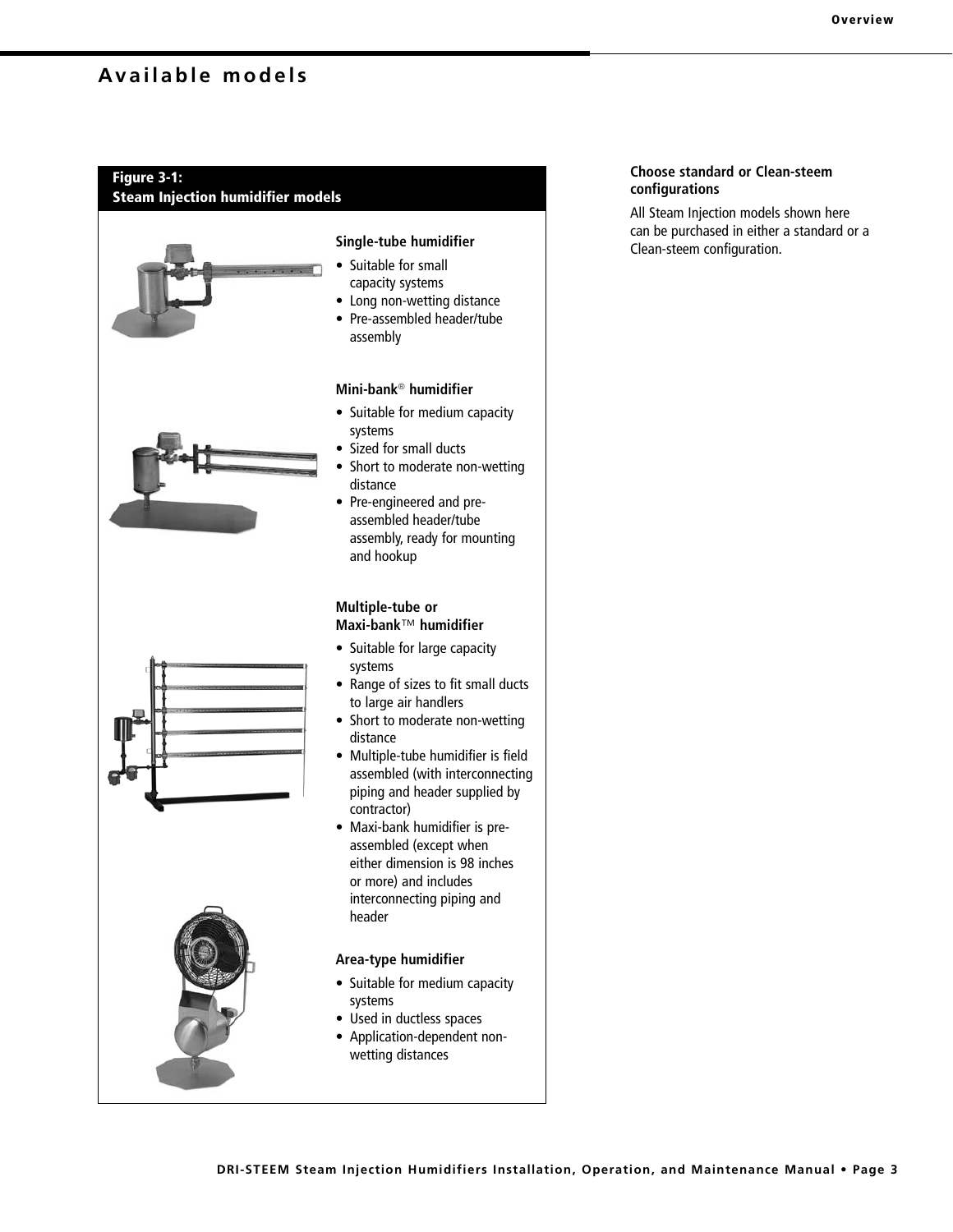# **Available models**

## **Figure 3-1:**

**Steam Injection humidifier models**







## **Single-tube humidifier**

- Suitable for small capacity systems
- Long non-wetting distance
- Pre-assembled header/tube assembly

#### **Mini-bank**® **humidifier**

- Suitable for medium capacity systems
- Sized for small ducts
- Short to moderate non-wetting distance
- Pre-engineered and preassembled header/tube assembly, ready for mounting and hookup

#### **Multiple-tube or Maxi-bank**™ **humidifier**

- Suitable for large capacity systems
- Range of sizes to fit small ducts to large air handlers
- Short to moderate non-wetting distance
- Multiple-tube humidifier is field assembled (with interconnecting piping and header supplied by contractor)
- Maxi-bank humidifier is preassembled (except when either dimension is 98 inches or more) and includes interconnecting piping and header

#### **Area-type humidifier**

- Suitable for medium capacity systems
- Used in ductless spaces
- Application-dependent nonwetting distances

#### **Choose standard or Clean-steem configurations**

All Steam Injection models shown here can be purchased in either a standard or a Clean-steem configuration.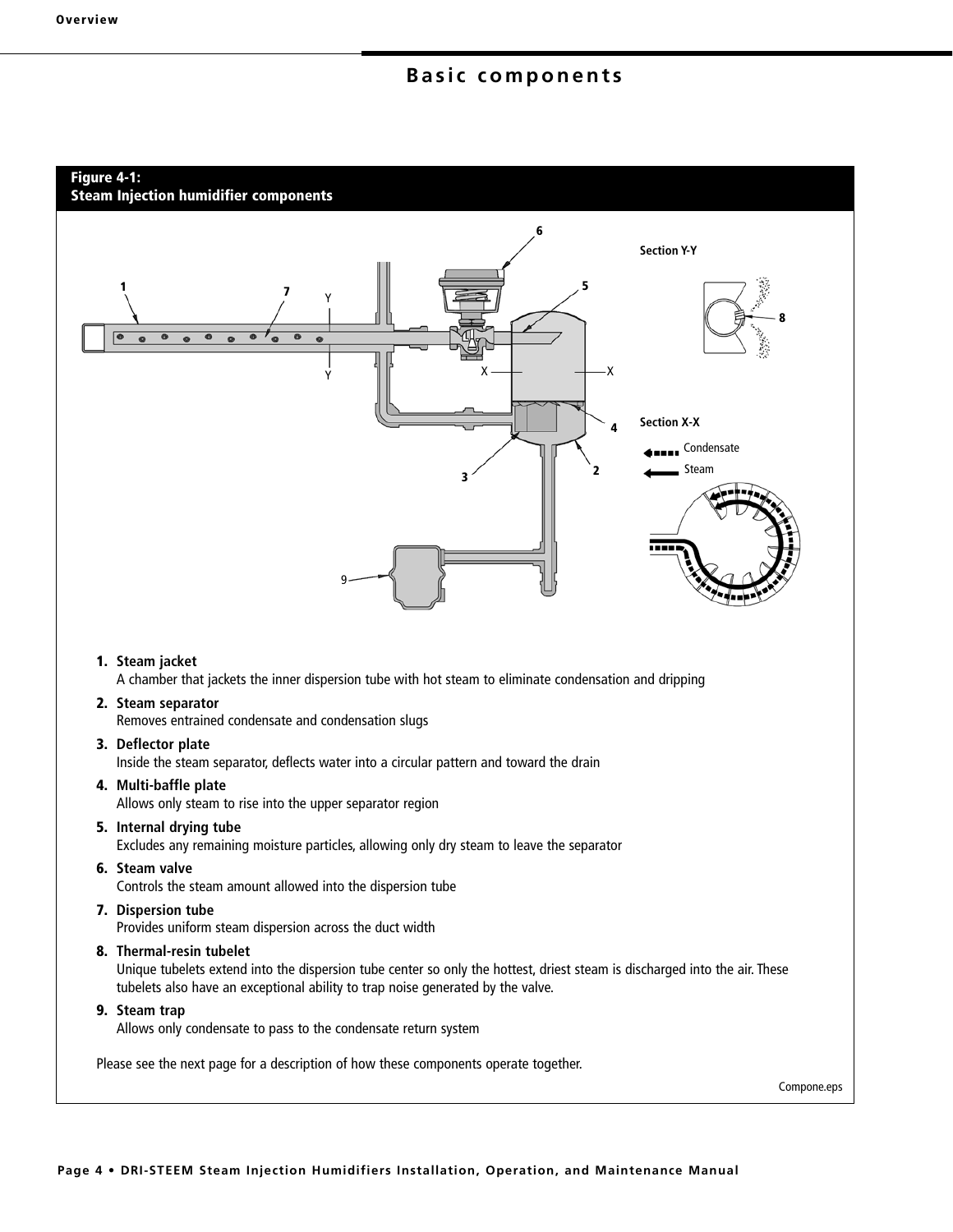## **Basic components**

#### **Figure 4-1:**

**Steam Injection humidifier components**



**8. Thermal-resin tubelet**

 Unique tubelets extend into the dispersion tube center so only the hottest, driest steam is discharged into the air. These tubelets also have an exceptional ability to trap noise generated by the valve.

**9. Steam trap**

Allows only condensate to pass to the condensate return system

Please see the next page for a description of how these components operate together.

Compone.eps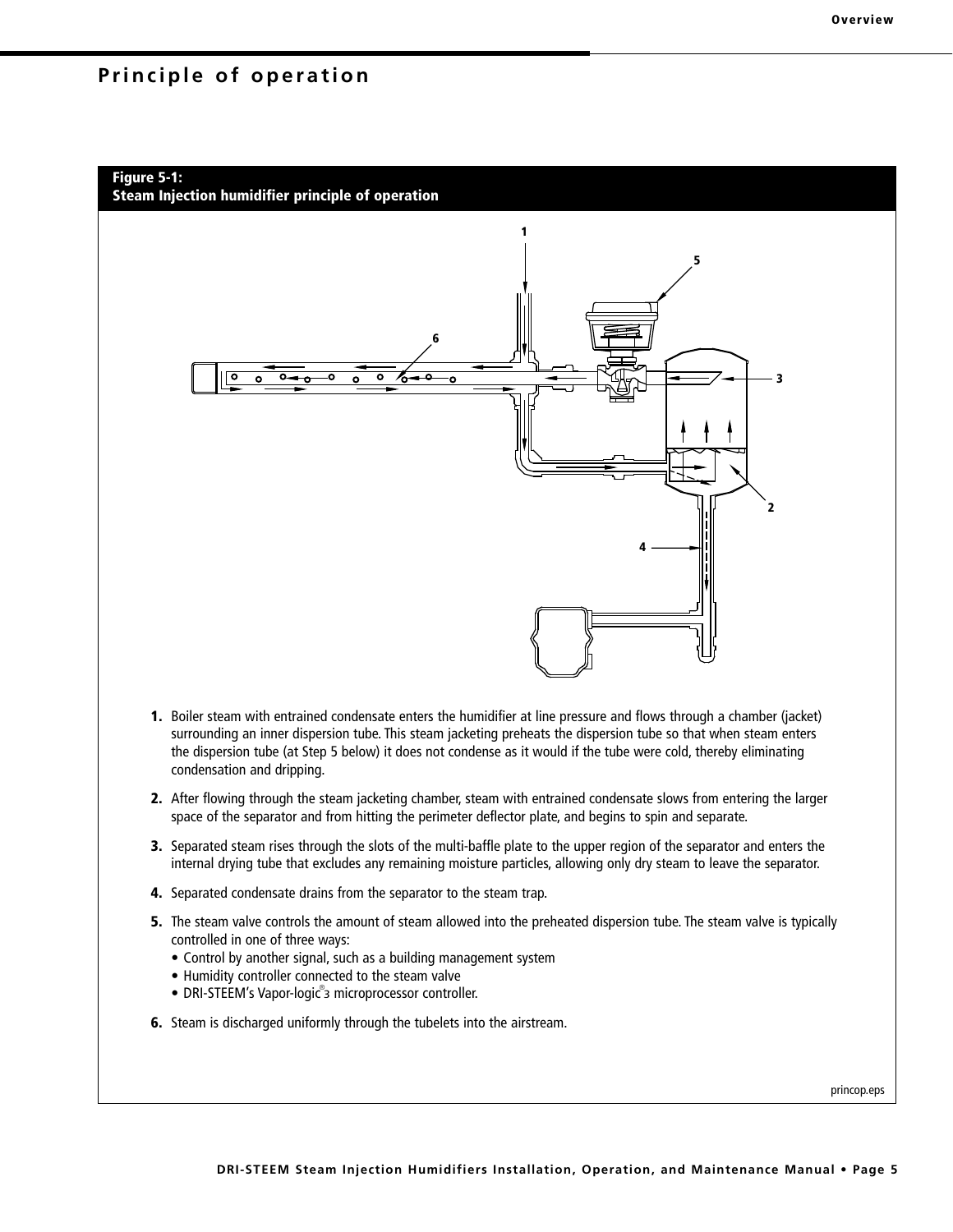## **Principle of operation**

# **Figure 5-1: Steam Injection humidifier principle of operation 1 2 3 4 5 6**

- **1.** Boiler steam with entrained condensate enters the humidifier at line pressure and flows through a chamber (jacket) surrounding an inner dispersion tube. This steam jacketing preheats the dispersion tube so that when steam enters the dispersion tube (at Step 5 below) it does not condense as it would if the tube were cold, thereby eliminating condensation and dripping.
- **2.** After flowing through the steam jacketing chamber, steam with entrained condensate slows from entering the larger space of the separator and from hitting the perimeter deflector plate, and begins to spin and separate.
- **3.** Separated steam rises through the slots of the multi-baffle plate to the upper region of the separator and enters the internal drying tube that excludes any remaining moisture particles, allowing only dry steam to leave the separator.
- **4.** Separated condensate drains from the separator to the steam trap.
- **5.** The steam valve controls the amount of steam allowed into the preheated dispersion tube. The steam valve is typically controlled in one of three ways:
	- Control by another signal, such as a building management system
	- Humidity controller connected to the steam valve
- DRI-STEEM's Vapor-logic<sup>®</sup>3 microprocessor controller.
- **6.** Steam is discharged uniformly through the tubelets into the airstream.

princop.eps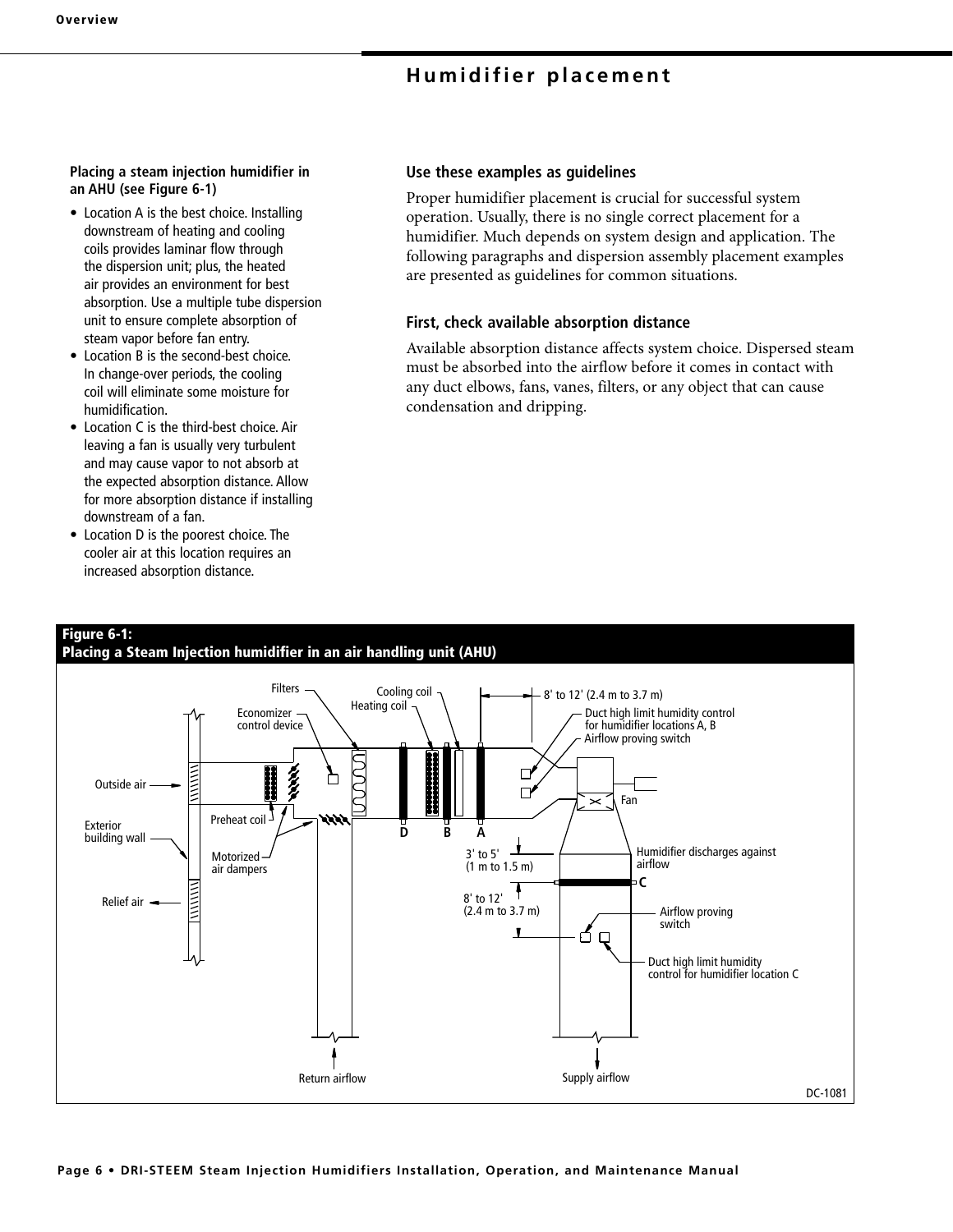# **Humidifier placement**

#### **Placing a steam injection humidifier in an AHU (see Figure 6-1)**

- Location A is the best choice. Installing downstream of heating and cooling coils provides laminar flow through the dispersion unit; plus, the heated air provides an environment for best absorption. Use a multiple tube dispersion unit to ensure complete absorption of steam vapor before fan entry.
- Location B is the second-best choice. In change-over periods, the cooling coil will eliminate some moisture for humidification.
- Location C is the third-best choice. Air leaving a fan is usually very turbulent and may cause vapor to not absorb at the expected absorption distance. Allow for more absorption distance if installing downstream of a fan.
- Location D is the poorest choice. The cooler air at this location requires an increased absorption distance.

#### **Use these examples as guidelines**

Proper humidifier placement is crucial for successful system operation. Usually, there is no single correct placement for a humidifier. Much depends on system design and application. The following paragraphs and dispersion assembly placement examples are presented as guidelines for common situations.

#### **First, check available absorption distance**

Available absorption distance affects system choice. Dispersed steam must be absorbed into the airflow before it comes in contact with any duct elbows, fans, vanes, filters, or any object that can cause condensation and dripping.

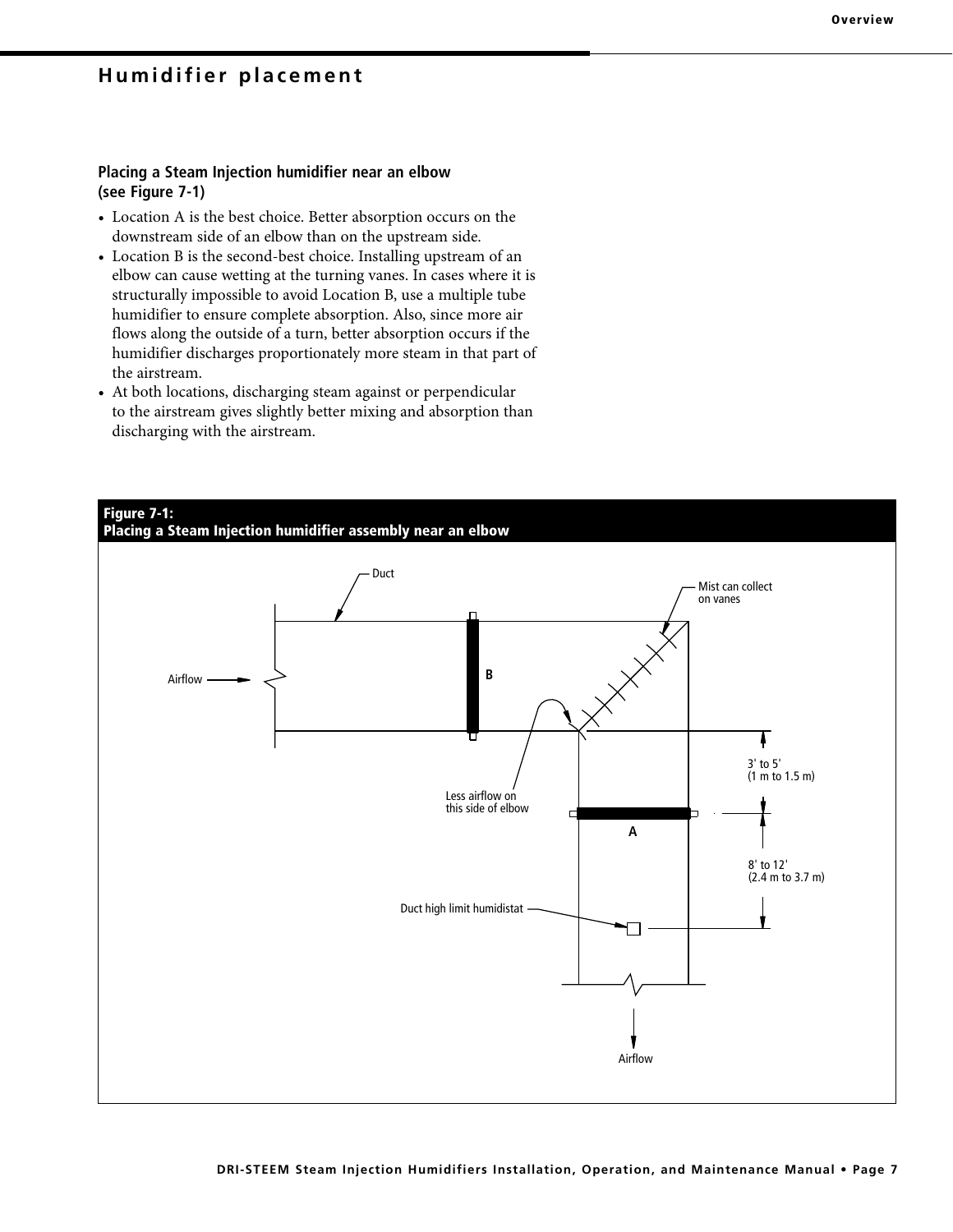## **Humidifier placement**

## **Placing a Steam Injection humidifier near an elbow (see Figure 7-1)**

- Location A is the best choice. Better absorption occurs on the downstream side of an elbow than on the upstream side.
- Location B is the second-best choice. Installing upstream of an elbow can cause wetting at the turning vanes. In cases where it is structurally impossible to avoid Location B, use a multiple tube humidifier to ensure complete absorption. Also, since more air flows along the outside of a turn, better absorption occurs if the humidifier discharges proportionately more steam in that part of the airstream.
- At both locations, discharging steam against or perpendicular to the airstream gives slightly better mixing and absorption than discharging with the airstream.

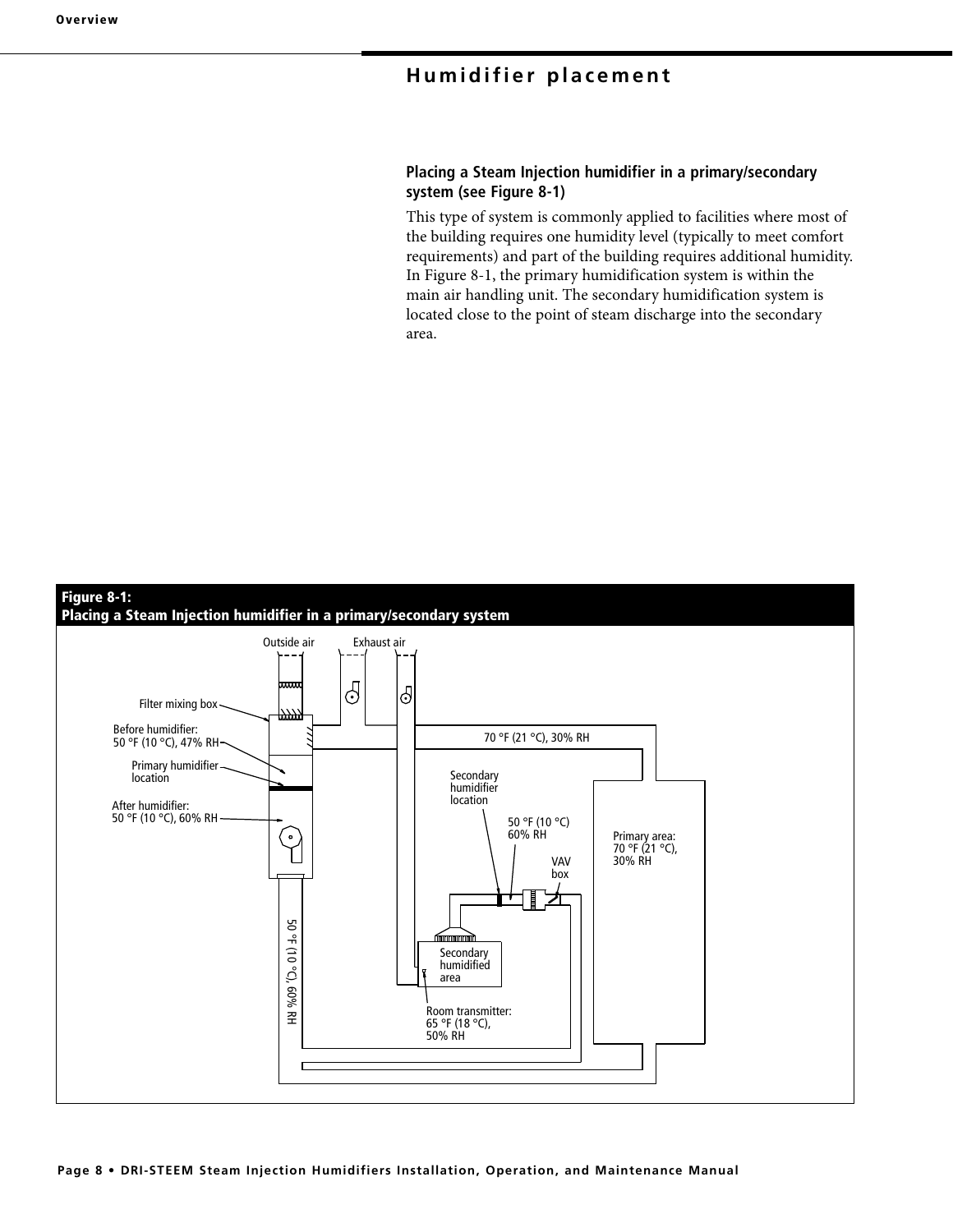# **Humidifier placement**

## **Placing a Steam Injection humidifier in a primary/secondary system (see Figure 8-1)**

This type of system is commonly applied to facilities where most of the building requires one humidity level (typically to meet comfort requirements) and part of the building requires additional humidity. In Figure 8-1, the primary humidification system is within the main air handling unit. The secondary humidification system is located close to the point of steam discharge into the secondary area.

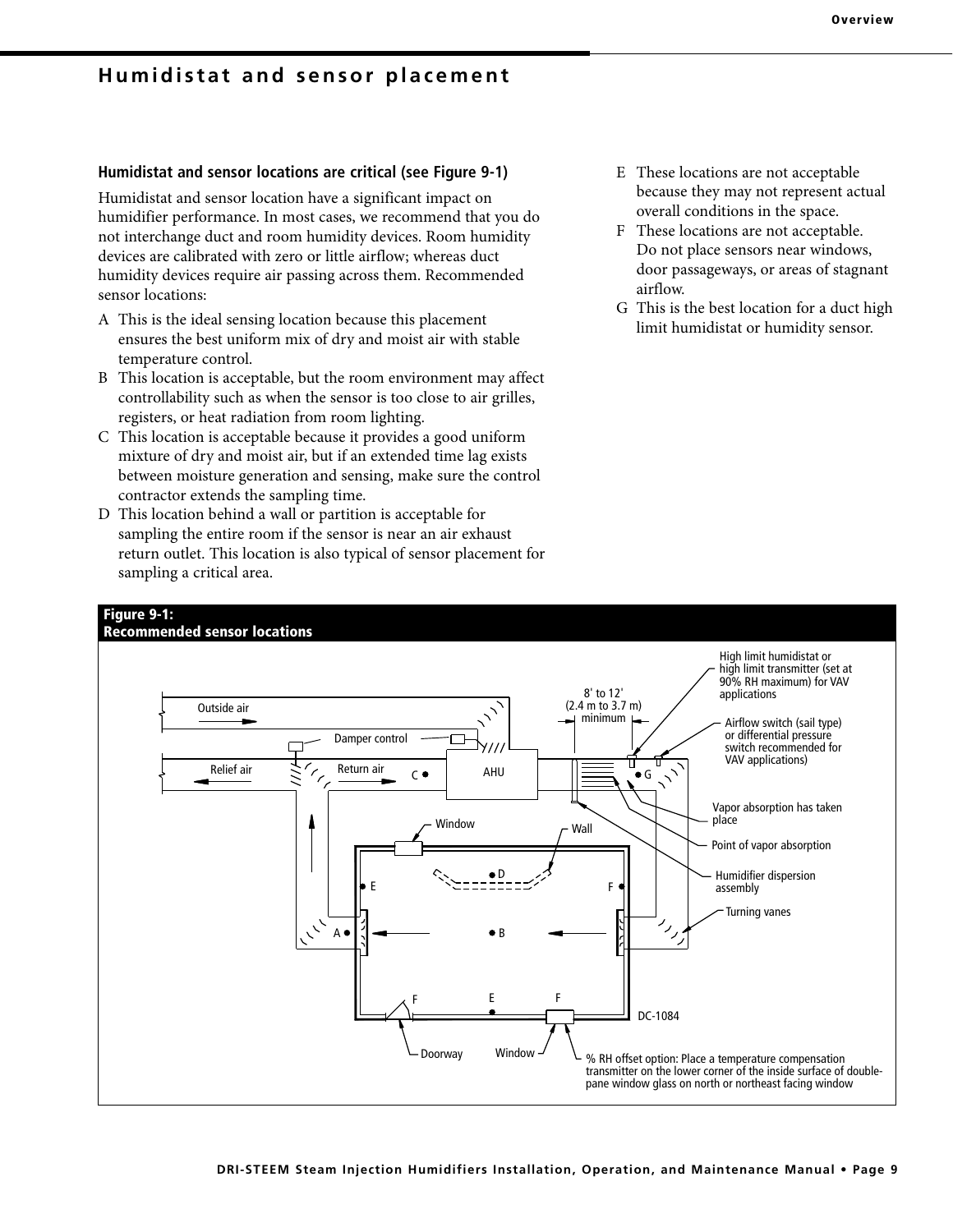## **Humidistat and sensor placement**

## **Humidistat and sensor locations are critical (see Figure 9-1)**

Humidistat and sensor location have a significant impact on humidifier performance. In most cases, we recommend that you do not interchange duct and room humidity devices. Room humidity devices are calibrated with zero or little airflow; whereas duct humidity devices require air passing across them. Recommended sensor locations:

- A This is the ideal sensing location because this placement ensures the best uniform mix of dry and moist air with stable temperature control.
- B This location is acceptable, but the room environment may affect controllability such as when the sensor is too close to air grilles, registers, or heat radiation from room lighting.
- C This location is acceptable because it provides a good uniform mixture of dry and moist air, but if an extended time lag exists between moisture generation and sensing, make sure the control contractor extends the sampling time.
- D This location behind a wall or partition is acceptable for sampling the entire room if the sensor is near an air exhaust return outlet. This location is also typical of sensor placement for sampling a critical area.
- E These locations are not acceptable because they may not represent actual overall conditions in the space.
- F These locations are not acceptable. Do not place sensors near windows, door passageways, or areas of stagnant airflow.
- G This is the best location for a duct high limit humidistat or humidity sensor.

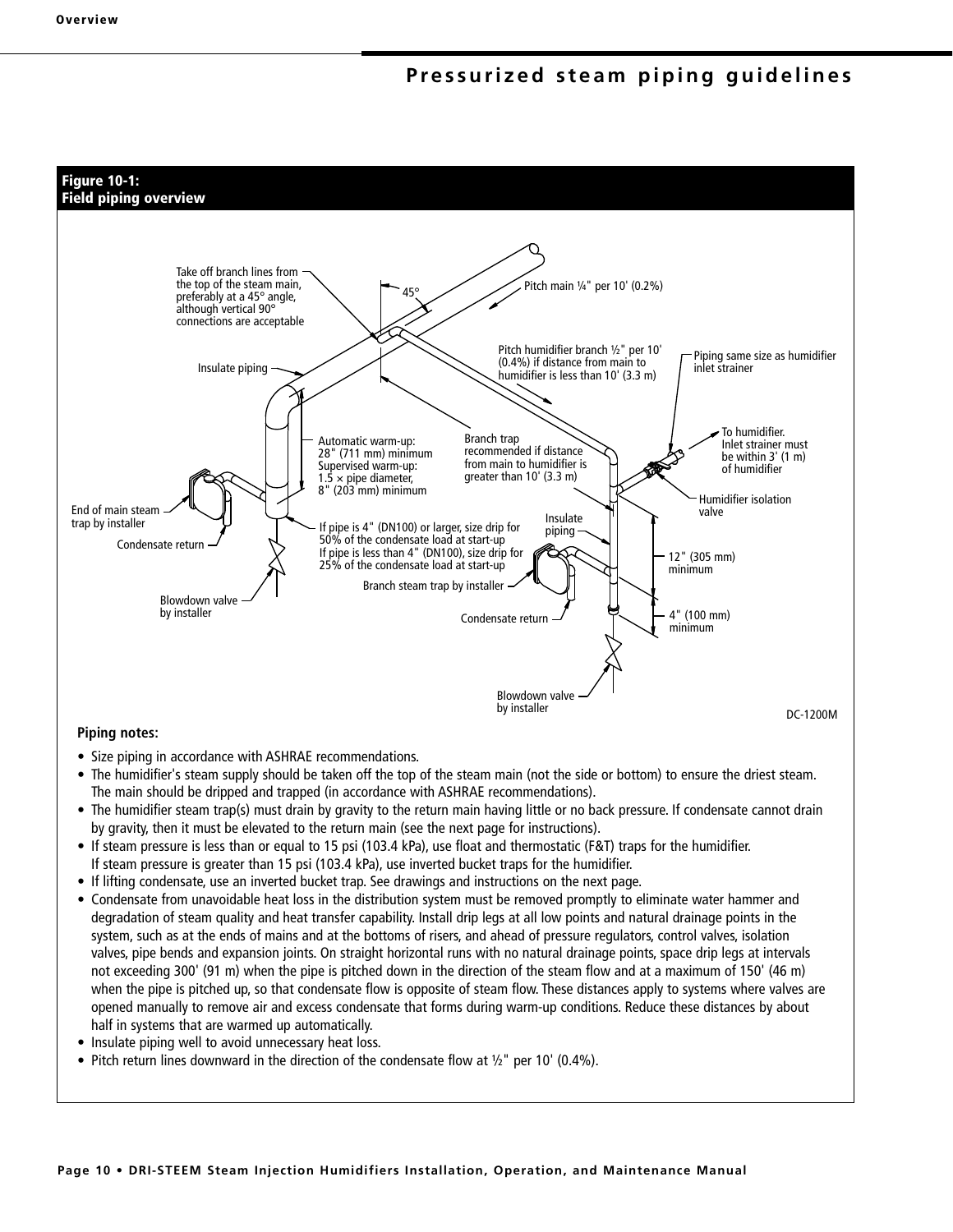## **Pressurized steam piping guidelines**



#### **Piping notes:**

- Size piping in accordance with ASHRAE recommendations.
- The humidifier's steam supply should be taken off the top of the steam main (not the side or bottom) to ensure the driest steam. The main should be dripped and trapped (in accordance with ASHRAE recommendations).
- The humidifier steam trap(s) must drain by gravity to the return main having little or no back pressure. If condensate cannot drain by gravity, then it must be elevated to the return main (see the next page for instructions).
- If steam pressure is less than or equal to 15 psi (103.4 kPa), use float and thermostatic (F&T) traps for the humidifier. If steam pressure is greater than 15 psi (103.4 kPa), use inverted bucket traps for the humidifier.
- If lifting condensate, use an inverted bucket trap. See drawings and instructions on the next page.
- Condensate from unavoidable heat loss in the distribution system must be removed promptly to eliminate water hammer and degradation of steam quality and heat transfer capability. Install drip legs at all low points and natural drainage points in the system, such as at the ends of mains and at the bottoms of risers, and ahead of pressure regulators, control valves, isolation valves, pipe bends and expansion joints. On straight horizontal runs with no natural drainage points, space drip legs at intervals not exceeding 300' (91 m) when the pipe is pitched down in the direction of the steam flow and at a maximum of 150' (46 m) when the pipe is pitched up, so that condensate flow is opposite of steam flow. These distances apply to systems where valves are opened manually to remove air and excess condensate that forms during warm-up conditions. Reduce these distances by about half in systems that are warmed up automatically.
- Insulate piping well to avoid unnecessary heat loss.
- Pitch return lines downward in the direction of the condensate flow at  $1/2$ " per 10' (0.4%).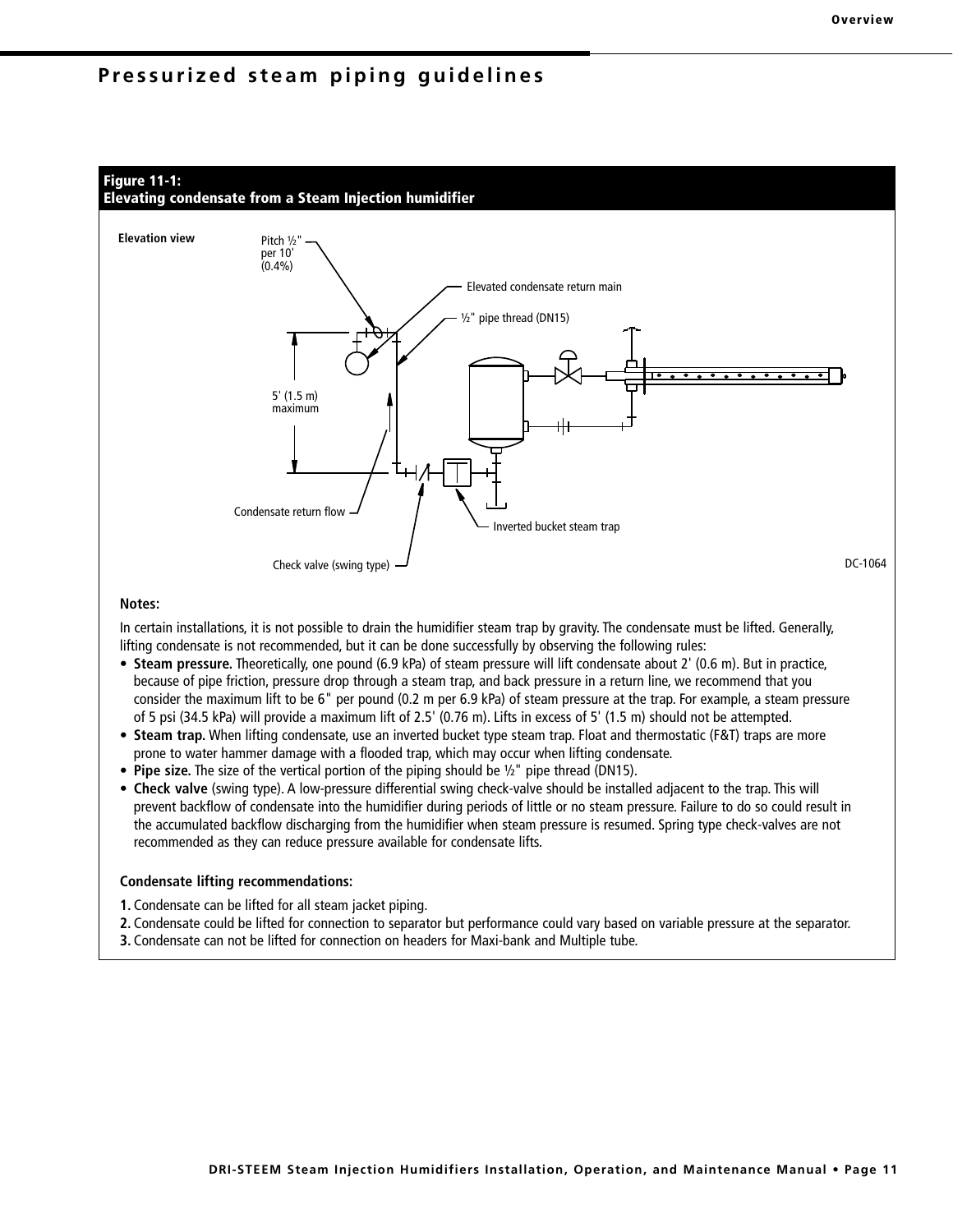## **Pressurized steam piping guidelines**



#### **Notes:**

In certain installations, it is not possible to drain the humidifier steam trap by gravity. The condensate must be lifted. Generally, lifting condensate is not recommended, but it can be done successfully by observing the following rules:

- **Steam pressure.** Theoretically, one pound (6.9 kPa) of steam pressure will lift condensate about 2' (0.6 m). But in practice, because of pipe friction, pressure drop through a steam trap, and back pressure in a return line, we recommend that you consider the maximum lift to be 6" per pound (0.2 m per 6.9 kPa) of steam pressure at the trap. For example, a steam pressure of 5 psi (34.5 kPa) will provide a maximum lift of 2.5' (0.76 m). Lifts in excess of 5' (1.5 m) should not be attempted.
- **Steam trap.** When lifting condensate, use an inverted bucket type steam trap. Float and thermostatic (F&T) traps are more prone to water hammer damage with a flooded trap, which may occur when lifting condensate.
- **Pipe size.** The size of the vertical portion of the piping should be ½" pipe thread (DN15).
- **Check valve** (swing type). A low-pressure differential swing check-valve should be installed adjacent to the trap. This will prevent backflow of condensate into the humidifier during periods of little or no steam pressure. Failure to do so could result in the accumulated backflow discharging from the humidifier when steam pressure is resumed. Spring type check-valves are not recommended as they can reduce pressure available for condensate lifts.

#### **Condensate lifting recommendations:**

- **1.** Condensate can be lifted for all steam jacket piping.
- **2.** Condensate could be lifted for connection to separator but performance could vary based on variable pressure at the separator.
- **3.** Condensate can not be lifted for connection on headers for Maxi-bank and Multiple tube.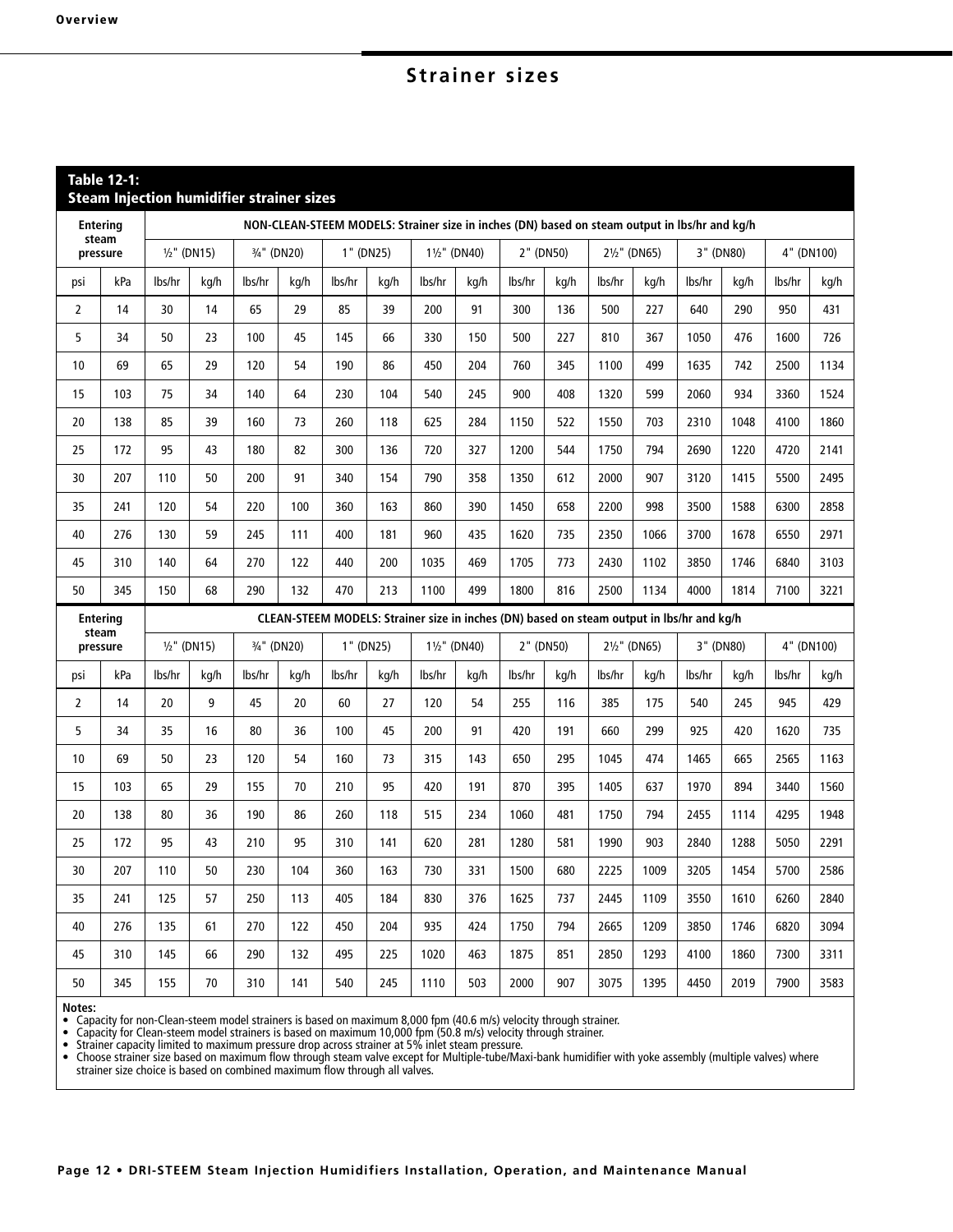# **Strainer sizes**

|                | <b>Table 12-1:</b>       |        |                | <b>Steam Injection humidifier strainer sizes</b> |             |        |           |                                                                                               |              |           |           |        |              |        |           |        |            |
|----------------|--------------------------|--------|----------------|--------------------------------------------------|-------------|--------|-----------|-----------------------------------------------------------------------------------------------|--------------|-----------|-----------|--------|--------------|--------|-----------|--------|------------|
|                | <b>Entering</b>          |        |                |                                                  |             |        |           | NON-CLEAN-STEEM MODELS: Strainer size in inches (DN) based on steam output in lbs/hr and kg/h |              |           |           |        |              |        |           |        |            |
|                | steam<br>pressure        |        | $1/2$ " (DN15) |                                                  | 3/4" (DN20) |        | 1" (DN25) | 11/2" (DN40)                                                                                  |              |           | 2" (DN50) |        | 21/2" (DN65) |        | 3" (DN80) |        | 4" (DN100) |
| psi            | kPa                      | lbs/hr | kg/h           | lbs/hr                                           | kg/h        | lbs/hr | kg/h      | lbs/hr                                                                                        | kg/h         | lbs/hr    | kg/h      | lbs/hr | kg/h         | lbs/hr | kg/h      | lbs/hr | kg/h       |
| $\overline{2}$ | 14                       | 30     | 14             | 65                                               | 29          | 85     | 39        | 200                                                                                           | 91           | 300       | 136       | 500    | 227          | 640    | 290       | 950    | 431        |
| 5              | 34                       | 50     | 23             | 100                                              | 45          | 145    | 66        | 330                                                                                           | 150          | 500       | 227       | 810    | 367          | 1050   | 476       | 1600   | 726        |
| 10             | 69                       | 65     | 29             | 120                                              | 54          | 190    | 86        | 450                                                                                           | 204          | 760       | 345       | 1100   | 499          | 1635   | 742       | 2500   | 1134       |
| 15             | 103                      | 75     | 34             | 140                                              | 64          | 230    | 104       | 540                                                                                           | 245          | 900       | 408       | 1320   | 599          | 2060   | 934       | 3360   | 1524       |
| 20             | 138                      | 85     | 39             | 160                                              | 73          | 260    | 118       | 625                                                                                           | 284          | 1150      | 522       | 1550   | 703          | 2310   | 1048      | 4100   | 1860       |
| 25             | 172                      | 95     | 43             | 180                                              | 82          | 300    | 136       | 720                                                                                           | 327          | 1200      | 544       | 1750   | 794          | 2690   | 1220      | 4720   | 2141       |
| 30             | 207                      | 110    | 50             | 200                                              | 91          | 340    | 154       | 790                                                                                           | 358          | 1350      | 612       | 2000   | 907          | 3120   | 1415      | 5500   | 2495       |
| 35             | 241                      | 120    | 54             | 220                                              | 100         | 360    | 163       | 860                                                                                           | 390          | 1450      | 658       | 2200   | 998          | 3500   | 1588      | 6300   | 2858       |
| 40             | 276                      | 130    | 59             | 245                                              | 111         | 400    | 181       | 960                                                                                           | 435          | 1620      | 735       | 2350   | 1066         | 3700   | 1678      | 6550   | 2971       |
| 45             | 310                      | 140    | 64             | 270                                              | 122         | 440    | 200       | 1035                                                                                          | 469          | 1705      | 773       | 2430   | 1102         | 3850   | 1746      | 6840   | 3103       |
| 50             | 345                      | 150    | 68             | 290                                              | 132         | 470    | 213       | 1100                                                                                          | 499          | 1800      | 816       | 2500   | 1134         | 4000   | 1814      | 7100   | 3221       |
|                | <b>Entering</b><br>steam |        |                |                                                  |             |        |           | CLEAN-STEEM MODELS: Strainer size in inches (DN) based on steam output in lbs/hr and kg/h     |              |           |           |        |              |        |           |        |            |
|                | pressure                 |        | $1/2$ " (DN15) |                                                  | 3/4" (DN20) |        | 1" (DN25) |                                                                                               | 11/2" (DN40) | 2" (DN50) |           |        | 21/2" (DN65) |        | 3" (DN80) |        | 4" (DN100) |
| psi            | kPa                      | lbs/hr | kg/h           | lbs/hr                                           | kg/h        | lbs/hr | kg/h      | lbs/hr                                                                                        | kg/h         | lbs/hr    | kg/h      | lbs/hr | kg/h         | lbs/hr | kg/h      | lbs/hr | kg/h       |
| $\overline{2}$ | 14                       | 20     | 9              | 45                                               | 20          | 60     | 27        | 120                                                                                           | 54           | 255       | 116       | 385    | 175          | 540    | 245       | 945    | 429        |
| 5              | 34                       | 35     | 16             | 80                                               | 36          | 100    | 45        | 200                                                                                           | 91           | 420       | 191       | 660    | 299          | 925    | 420       | 1620   | 735        |
| 10             | 69                       | 50     | 23             | 120                                              | 54          | 160    | 73        | 315                                                                                           | 143          | 650       | 295       | 1045   | 474          | 1465   | 665       | 2565   | 1163       |
| 15             | 103                      | 65     | 29             | 155                                              | 70          | 210    | 95        | 420                                                                                           | 191          | 870       | 395       | 1405   | 637          | 1970   | 894       | 3440   | 1560       |
| 20             | 138                      | 80     | 36             | 190                                              | 86          | 260    | 118       | 515                                                                                           | 234          | 1060      | 481       | 1750   | 794          | 2455   | 1114      | 4295   | 1948       |
| 25             | 172                      | 95     | 43             | 210                                              | 95          | 310    | 141       | 620                                                                                           | 281          | 1280      | 581       | 1990   | 903          | 2840   | 1288      | 5050   | 2291       |
| 30             | 207                      | 110    | 50             | 230                                              | 104         | 360    | 163       | 730                                                                                           | 331          | 1500      | 680       | 2225   | 1009         | 3205   | 1454      | 5700   | 2586       |
| 35             | 241                      | 125    | 57             | 250                                              | 113         | 405    | 184       | 830                                                                                           | 376          | 1625      | 737       | 2445   | 1109         | 3550   | 1610      | 6260   | 2840       |
| 40             | 276                      | 135    | 61             | 270                                              | 122         | 450    | 204       | 935                                                                                           | 424          | 1750      | 794       | 2665   | 1209         | 3850   | 1746      | 6820   | 3094       |
| 45             | 310                      | 145    | 66             | 290                                              | 132         | 495    | 225       | 1020                                                                                          | 463          | 1875      | 851       | 2850   | 1293         | 4100   | 1860      | 7300   | 3311       |
| 50             | 345                      | 155    | 70             | 310                                              | 141         | 540    | 245       | 1110                                                                                          | 503          | 2000      | 907       | 3075   | 1395         | 4450   | 2019      | 7900   | 3583       |

Notes:<br>• Capacity for non-Clean-steem model strainers is based on maximum 8,000 fpm (40.6 m/s) velocity through strainer.<br>• Capacity for Clean-steem model strainers is based on maximum 10,000 fpm (50.8 m/s) velocity th

• Strainer capacity limited to maximum pressure drop across strainer at 5% inlet steam pressure.

• Choose strainer size based on maximum flow through steam valve except for Multiple-tube/Maxi-bank humidifier with yoke assembly (multiple valves) where strainer size choice is based on combined maximum flow through all valves.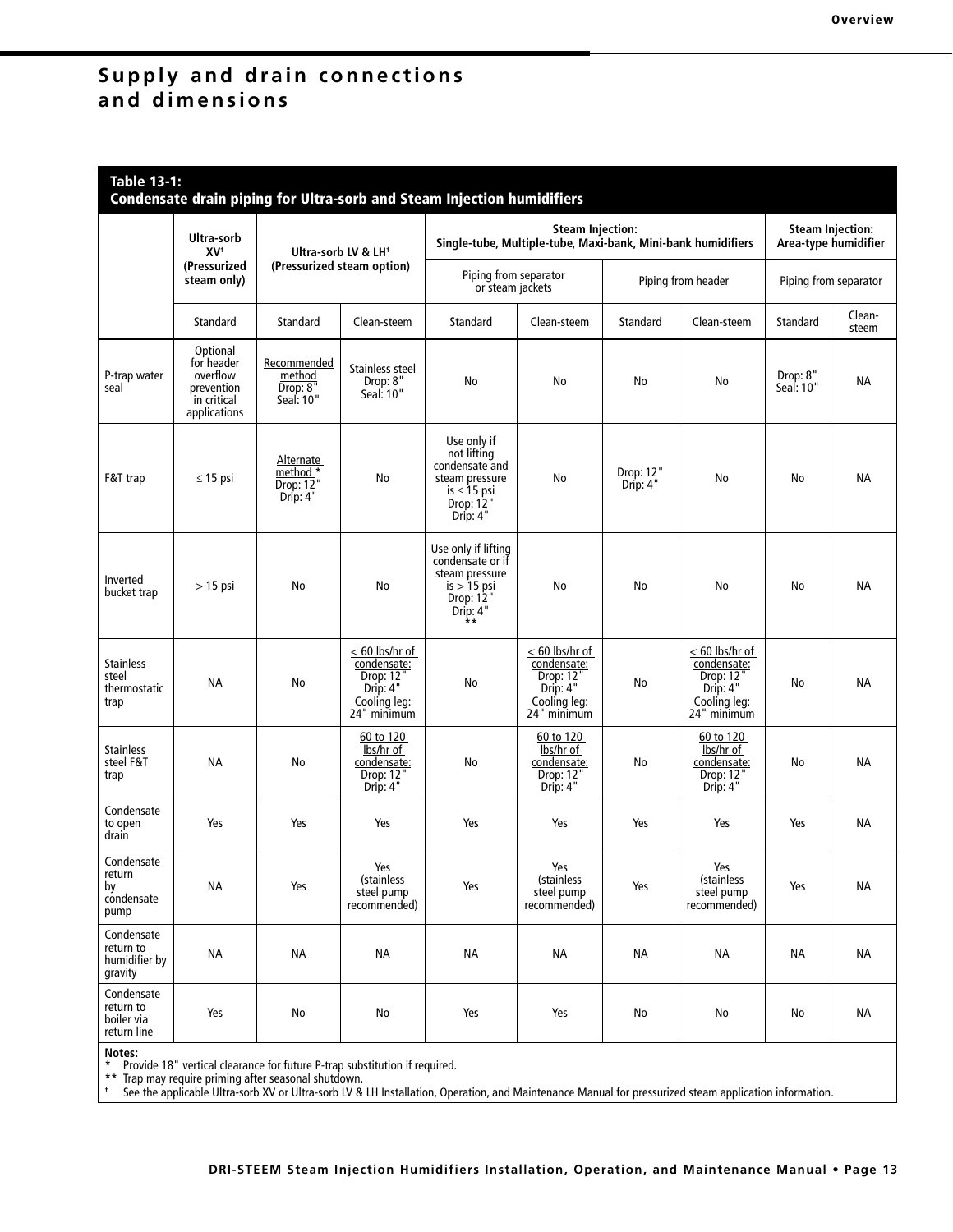## **Supply and drain connections and dimensions**

## **Table 13-1:**

|                                                      |                                                                                 |                                                                     |                                                                                         | Condensate drain piping for Ultra-sorb and Steam Injection humidifiers                                      |                                                                                         |                                                 |                                                                                         |                       |                 |
|------------------------------------------------------|---------------------------------------------------------------------------------|---------------------------------------------------------------------|-----------------------------------------------------------------------------------------|-------------------------------------------------------------------------------------------------------------|-----------------------------------------------------------------------------------------|-------------------------------------------------|-----------------------------------------------------------------------------------------|-----------------------|-----------------|
|                                                      | Ultra-sorb<br>XV <sup>+</sup>                                                   | Ultra-sorb LV & LH <sup>+</sup>                                     |                                                                                         | Single-tube, Multiple-tube, Maxi-bank, Mini-bank humidifiers                                                |                                                                                         | <b>Steam Injection:</b><br>Area-type humidifier |                                                                                         |                       |                 |
|                                                      | (Pressurized<br>steam only)                                                     |                                                                     | (Pressurized steam option)                                                              | Piping from separator<br>or steam jackets                                                                   |                                                                                         |                                                 | Piping from header                                                                      | Piping from separator |                 |
|                                                      | Standard                                                                        | Standard                                                            | Clean-steem                                                                             | Standard                                                                                                    | Clean-steem                                                                             | Standard                                        | Clean-steem                                                                             | Standard              | Clean-<br>steem |
| P-trap water<br>seal                                 | Optional<br>for header<br>overflow<br>prevention<br>in critical<br>applications | Recommended<br>method<br>Drop: 8 <sup>n</sup><br>Seal: 10"          | Stainless steel<br>Drop: 8"<br>Seal: 10"                                                | No                                                                                                          | No                                                                                      | No                                              | No                                                                                      | Drop: 8"<br>Seal: 10" | NА              |
| F&T trap                                             | $\leq$ 15 psi                                                                   | <u>Alternate</u><br>method *<br>Drop: $1\overline{2}$ "<br>Drip: 4" | No                                                                                      | Use only if<br>not lifting<br>condensate and<br>steam pressure<br>$is \leq 15$ psi<br>Drop: 12"<br>Drip: 4" | No                                                                                      | Drop: 12"<br>Drip: 4"                           | No                                                                                      | No                    | <b>NA</b>       |
| Inverted<br>bucket trap                              | $>15$ psi                                                                       | No                                                                  | No                                                                                      | Use only if lifting<br>condensate or if<br>steam pressure<br>$is > 15$ psi<br>Drop: 12"<br>Drip: $4"$       | No                                                                                      | No                                              | No                                                                                      | No                    | <b>NA</b>       |
| <b>Stainless</b><br>steel<br>thermostatic<br>trap    | NА                                                                              | No                                                                  | $< 60$ lbs/hr of<br>condensate:<br>Drop: 12"<br>Drip: 4"<br>Cooling leg:<br>24" minimum | No                                                                                                          | $< 60$ lbs/hr of<br>condensate:<br>Drop: 12"<br>Drip: 4"<br>Cooling leg:<br>24" minimum | No                                              | $< 60$ lbs/hr of<br>condensate:<br>Drop: 12'<br>Drip: 4"<br>Cooling leg:<br>24" minimum | No                    | NА              |
| <b>Stainless</b><br>steel F&T<br>trap                | NА                                                                              | No                                                                  | 60 to 120<br>lbs/hr of<br>condensate:<br>Drop: 12"<br>Drip: 4"                          | No                                                                                                          | 60 to 120<br>lbs/hr of<br>condensate:<br>Drop: 12"<br>Drip: 4"                          | No                                              | 60 to 120<br>lbs/hr of<br>condensate:<br>Drop: 12'<br>Drip: 4"                          | No                    | ΝA              |
| Condensate<br>to open<br>drain                       | Yes                                                                             | Yes                                                                 | Yes                                                                                     | Yes                                                                                                         | Yes                                                                                     | Yes                                             | Yes                                                                                     | Yes                   | <b>NA</b>       |
| Condensate<br>return<br>by<br>condensate<br>pump     | <b>NA</b>                                                                       | Yes                                                                 | Yes<br>(stainless<br>steel pump<br>recommended)                                         | Yes                                                                                                         | Yes<br>(stainless<br>steel pump<br>recommended)                                         | Yes                                             | Yes<br>(stainless<br>steel pump<br>recommended)                                         | Yes                   | ΝA              |
| Condensate<br>return to<br>humidifier by<br>gravity  | <b>NA</b>                                                                       | <b>NA</b>                                                           | ΝA                                                                                      | <b>NA</b>                                                                                                   | <b>NA</b>                                                                               | <b>NA</b>                                       | <b>NA</b>                                                                               | <b>NA</b>             | <b>NA</b>       |
| Condensate<br>return to<br>boiler via<br>return line | Yes                                                                             | No                                                                  | No                                                                                      | Yes                                                                                                         | Yes                                                                                     | No                                              | No                                                                                      | No                    | NA              |

**Notes: \*** Provide 18" vertical clearance for future P-trap substitution if required.

**\*\*** Trap may require priming after seasonal shutdown. **†** See the applicable Ultra-sorb XV or Ultra-sorb LV & LH Installation, Operation, and Maintenance Manual for pressurized steam application information.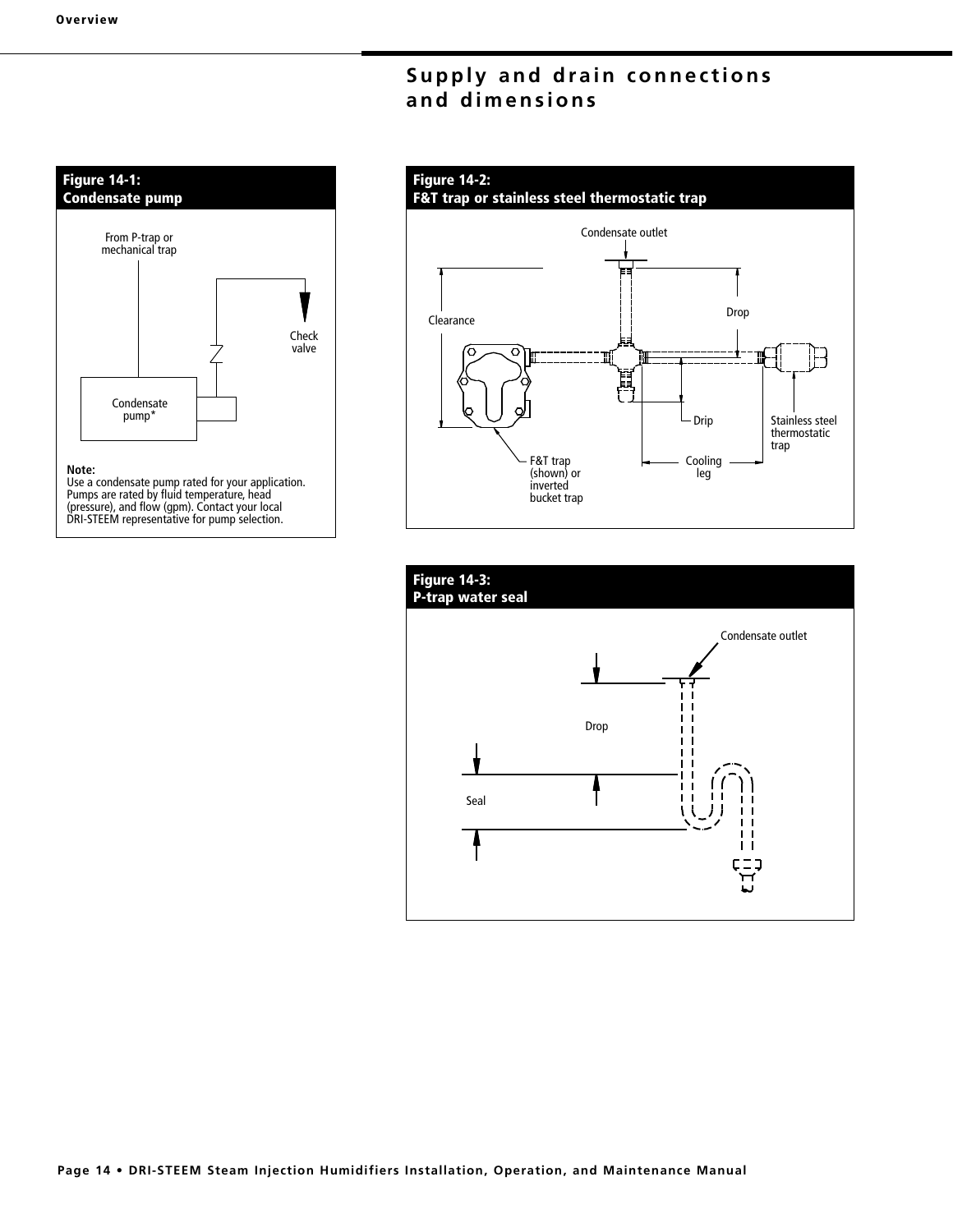# **Supply and drain connections and dimensions**



Pumps are rated by fluid temperature, head (pressure), and flow (gpm). Contact your local DRI-STEEM representative for pump selection.

## **Figure 14-2: F&T trap or stainless steel thermostatic trap** Condensate outlet Drop Clearance Ö 鳳 Drip Stainless steel thermostatic trap F&T trap Cooling (shown) or leg inverted bucket trap

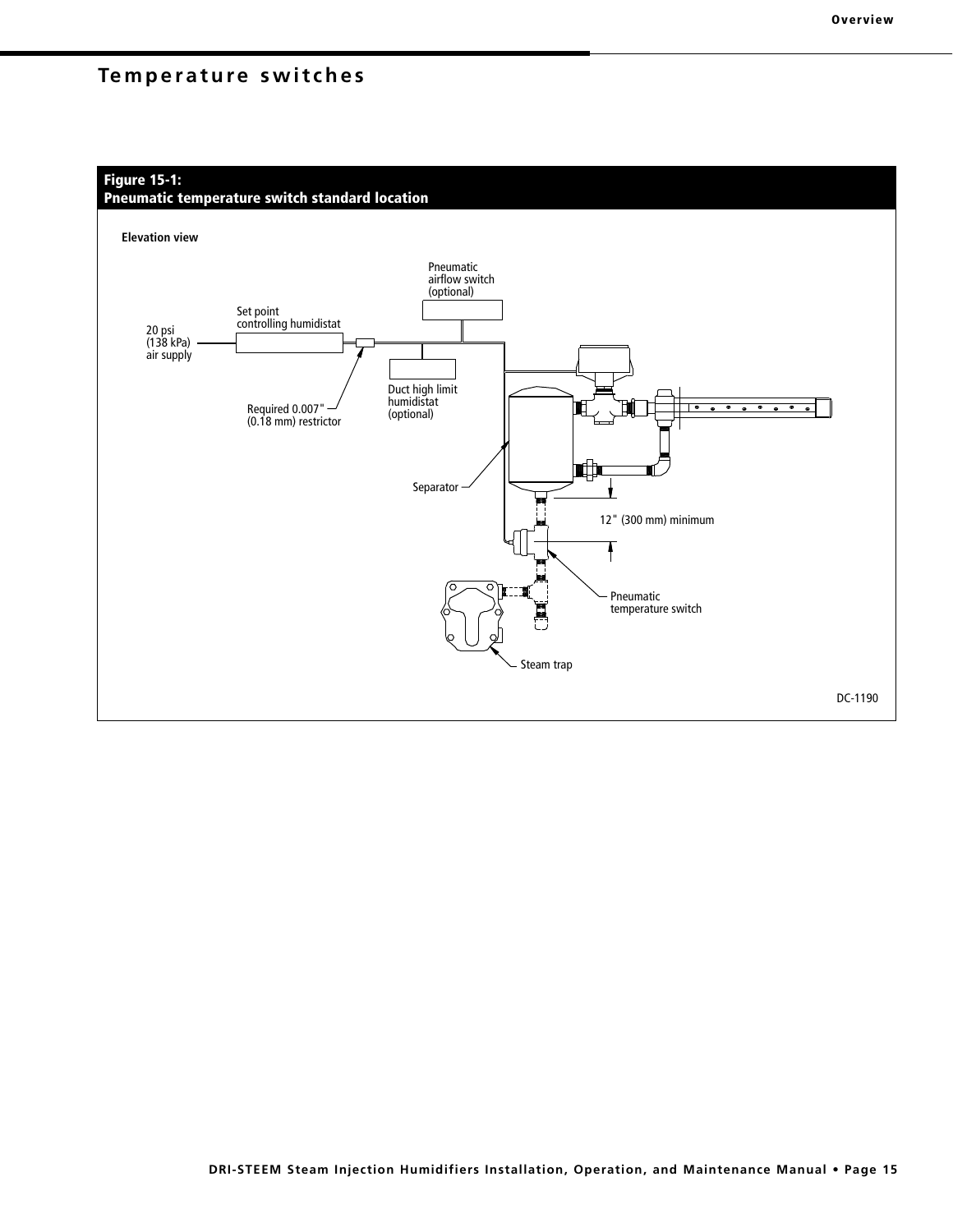## **Figure 15-1:**

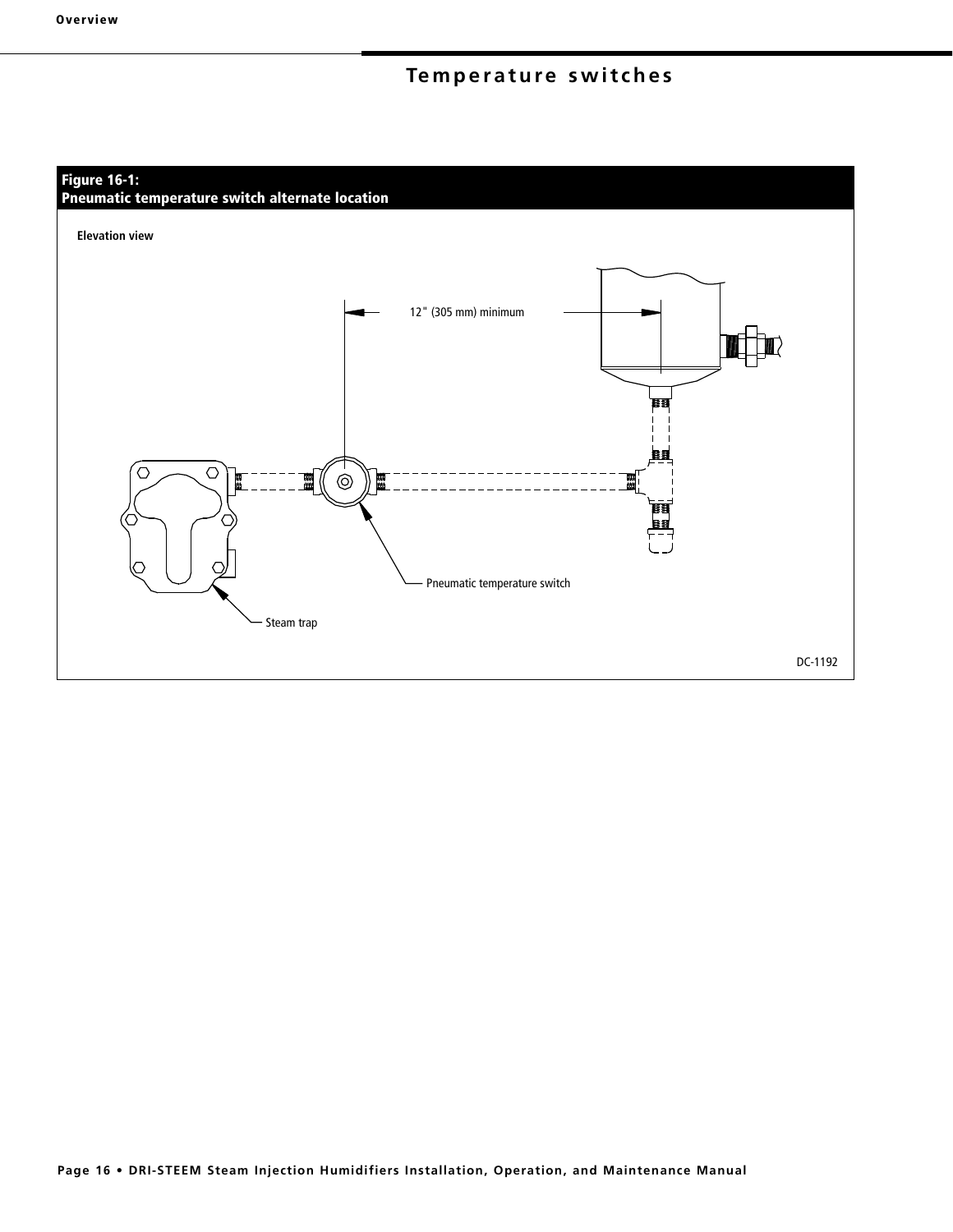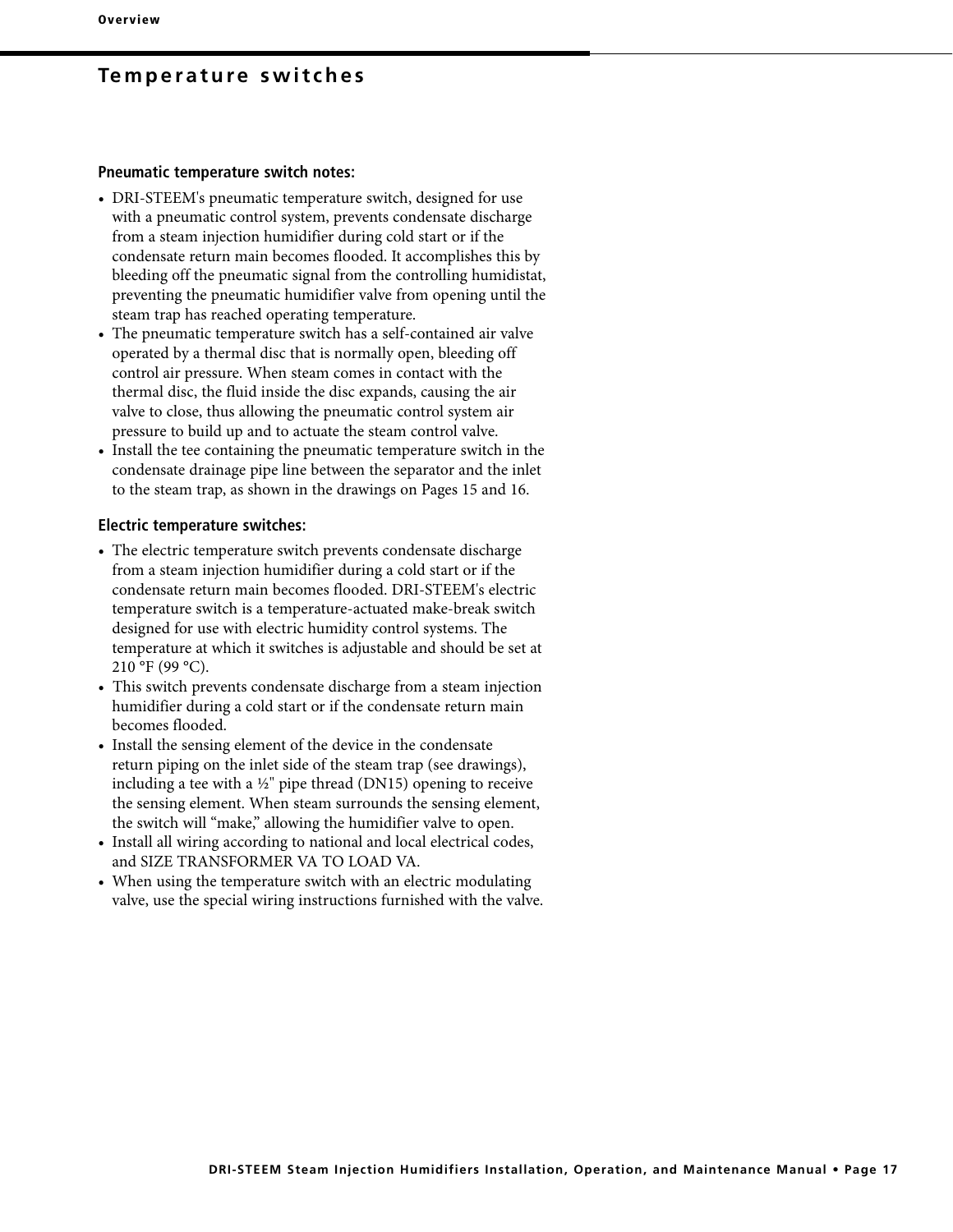#### **Pneumatic temperature switch notes:**

- DRI-STEEM's pneumatic temperature switch, designed for use with a pneumatic control system, prevents condensate discharge from a steam injection humidifier during cold start or if the condensate return main becomes flooded. It accomplishes this by bleeding off the pneumatic signal from the controlling humidistat, preventing the pneumatic humidifier valve from opening until the steam trap has reached operating temperature.
- The pneumatic temperature switch has a self-contained air valve operated by a thermal disc that is normally open, bleeding off control air pressure. When steam comes in contact with the thermal disc, the fluid inside the disc expands, causing the air valve to close, thus allowing the pneumatic control system air pressure to build up and to actuate the steam control valve.
- Install the tee containing the pneumatic temperature switch in the condensate drainage pipe line between the separator and the inlet to the steam trap, as shown in the drawings on Pages 15 and 16.

#### **Electric temperature switches:**

- The electric temperature switch prevents condensate discharge from a steam injection humidifier during a cold start or if the condensate return main becomes flooded. DRI-STEEM's electric temperature switch is a temperature-actuated make-break switch designed for use with electric humidity control systems. The temperature at which it switches is adjustable and should be set at 210 °F (99 °C).
- This switch prevents condensate discharge from a steam injection humidifier during a cold start or if the condensate return main becomes flooded.
- Install the sensing element of the device in the condensate return piping on the inlet side of the steam trap (see drawings), including a tee with a  $\frac{1}{2}$ " pipe thread (DN15) opening to receive the sensing element. When steam surrounds the sensing element, the switch will "make," allowing the humidifier valve to open.
- Install all wiring according to national and local electrical codes, and SIZE TRANSFORMER VA TO LOAD VA.
- When using the temperature switch with an electric modulating valve, use the special wiring instructions furnished with the valve.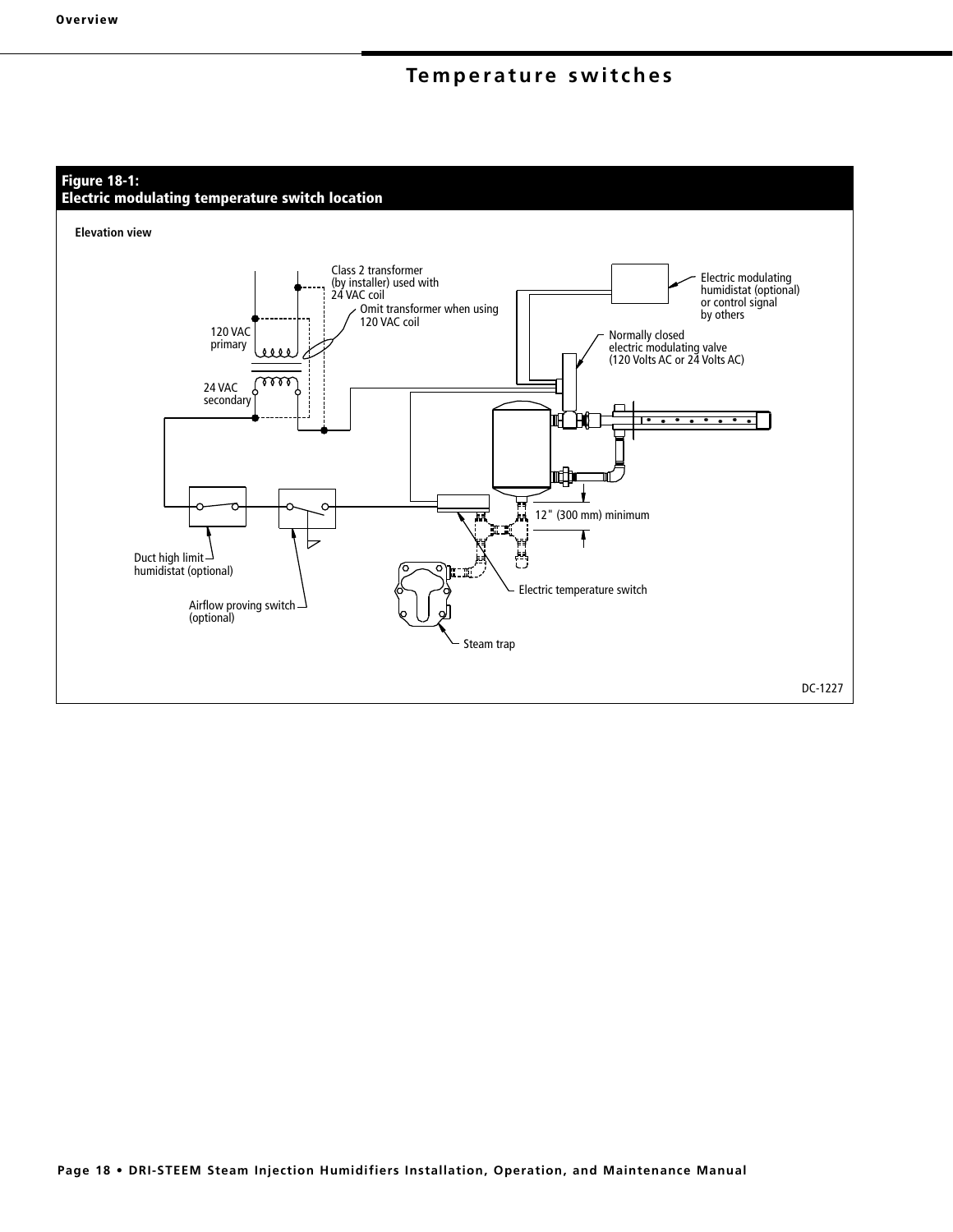## **Figure 18-1:**

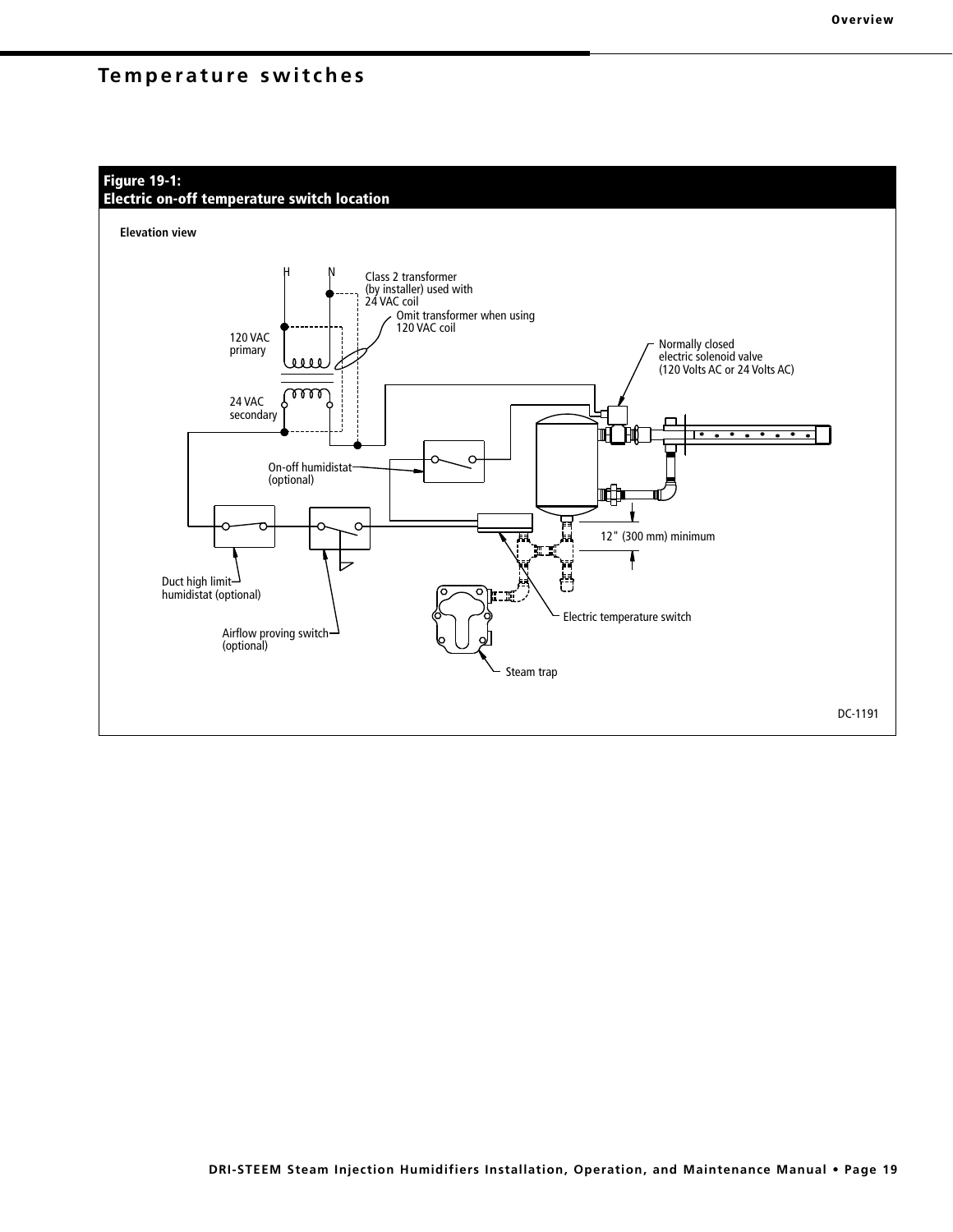

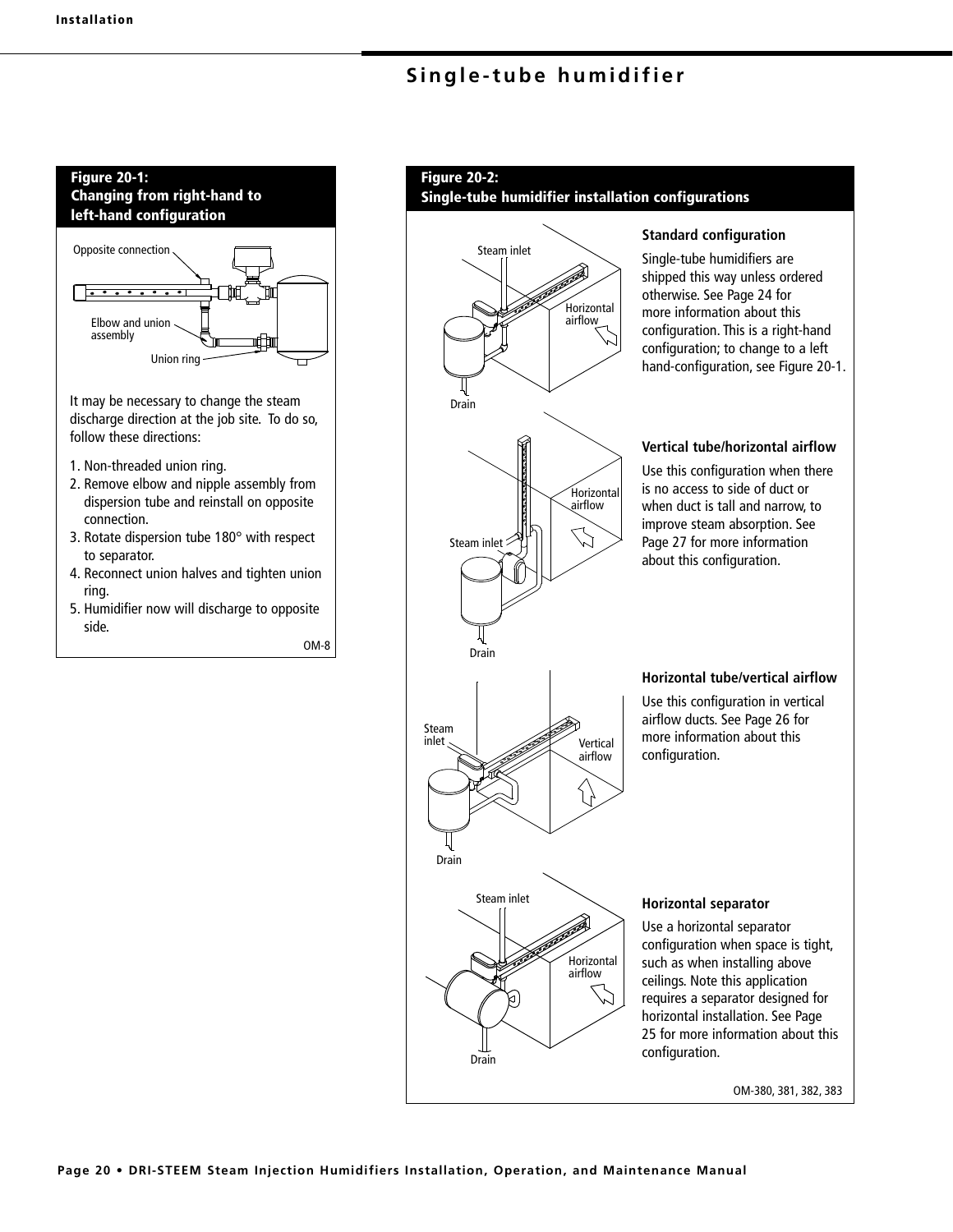

#### **Figure 20-2:**

**Single-tube humidifier installation configurations**



**Page 20 • DRI-STEEM Steam Injection Humidifiers Installation, Operation, and Maintenance Manual**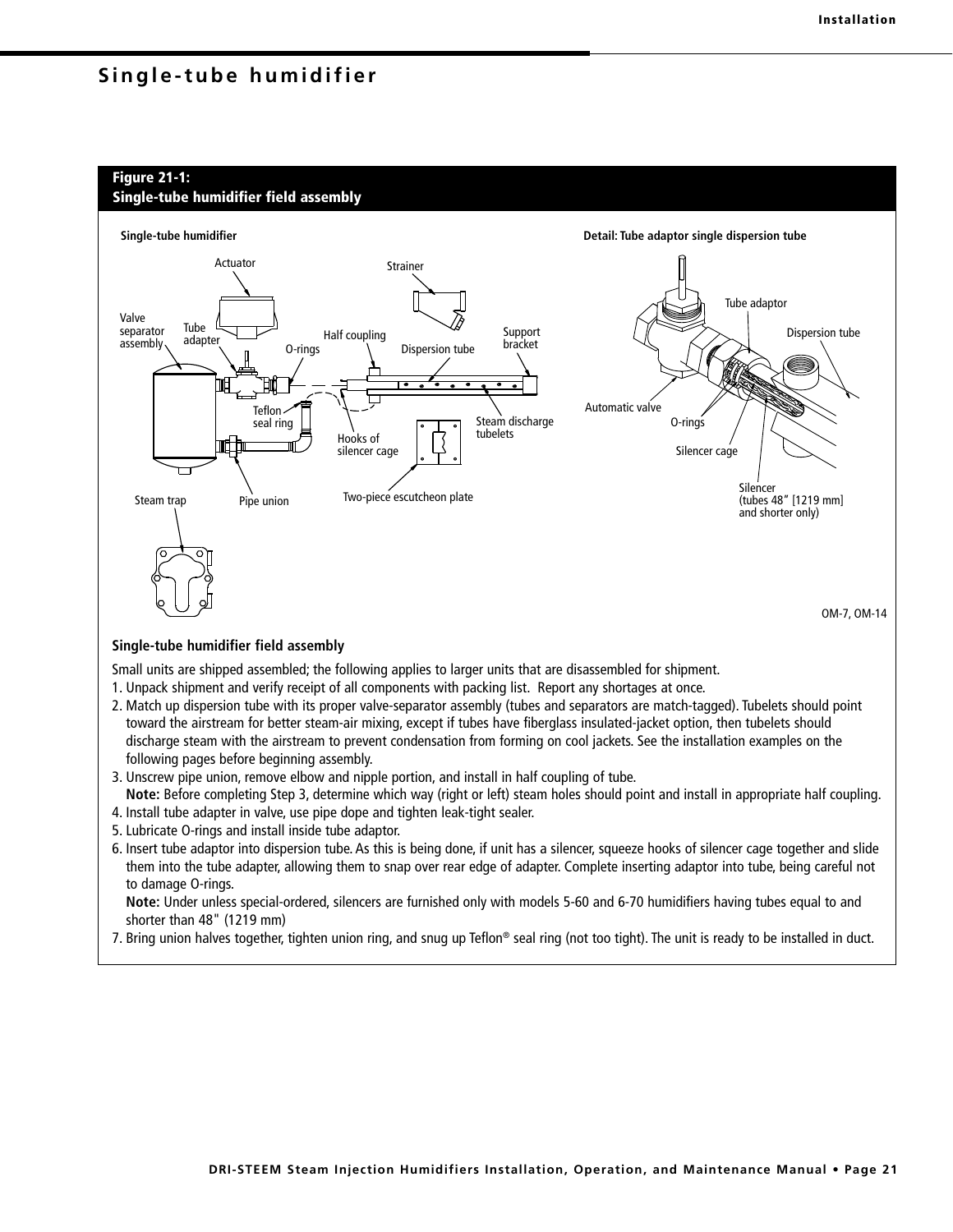## **Figure 21-1:**





#### **Single-tube humidifier field assembly**

Small units are shipped assembled; the following applies to larger units that are disassembled for shipment.

- 1. Unpack shipment and verify receipt of all components with packing list. Report any shortages at once.
- 2. Match up dispersion tube with its proper valve-separator assembly (tubes and separators are match-tagged). Tubelets should point toward the airstream for better steam-air mixing, except if tubes have fiberglass insulated-jacket option, then tubelets should discharge steam with the airstream to prevent condensation from forming on cool jackets. See the installation examples on the following pages before beginning assembly.
- 3. Unscrew pipe union, remove elbow and nipple portion, and install in half coupling of tube.
- **Note:** Before completing Step 3, determine which way (right or left) steam holes should point and install in appropriate half coupling. 4. Install tube adapter in valve, use pipe dope and tighten leak-tight sealer.
- 5. Lubricate O-rings and install inside tube adaptor.
- 6. Insert tube adaptor into dispersion tube. As this is being done, if unit has a silencer, squeeze hooks of silencer cage together and slide them into the tube adapter, allowing them to snap over rear edge of adapter. Complete inserting adaptor into tube, being careful not to damage O-rings.

**Note:** Under unless special-ordered, silencers are furnished only with models 5-60 and 6-70 humidifiers having tubes equal to and shorter than 48" (1219 mm)

7. Bring union halves together, tighten union ring, and snug up Teflon® seal ring (not too tight). The unit is ready to be installed in duct.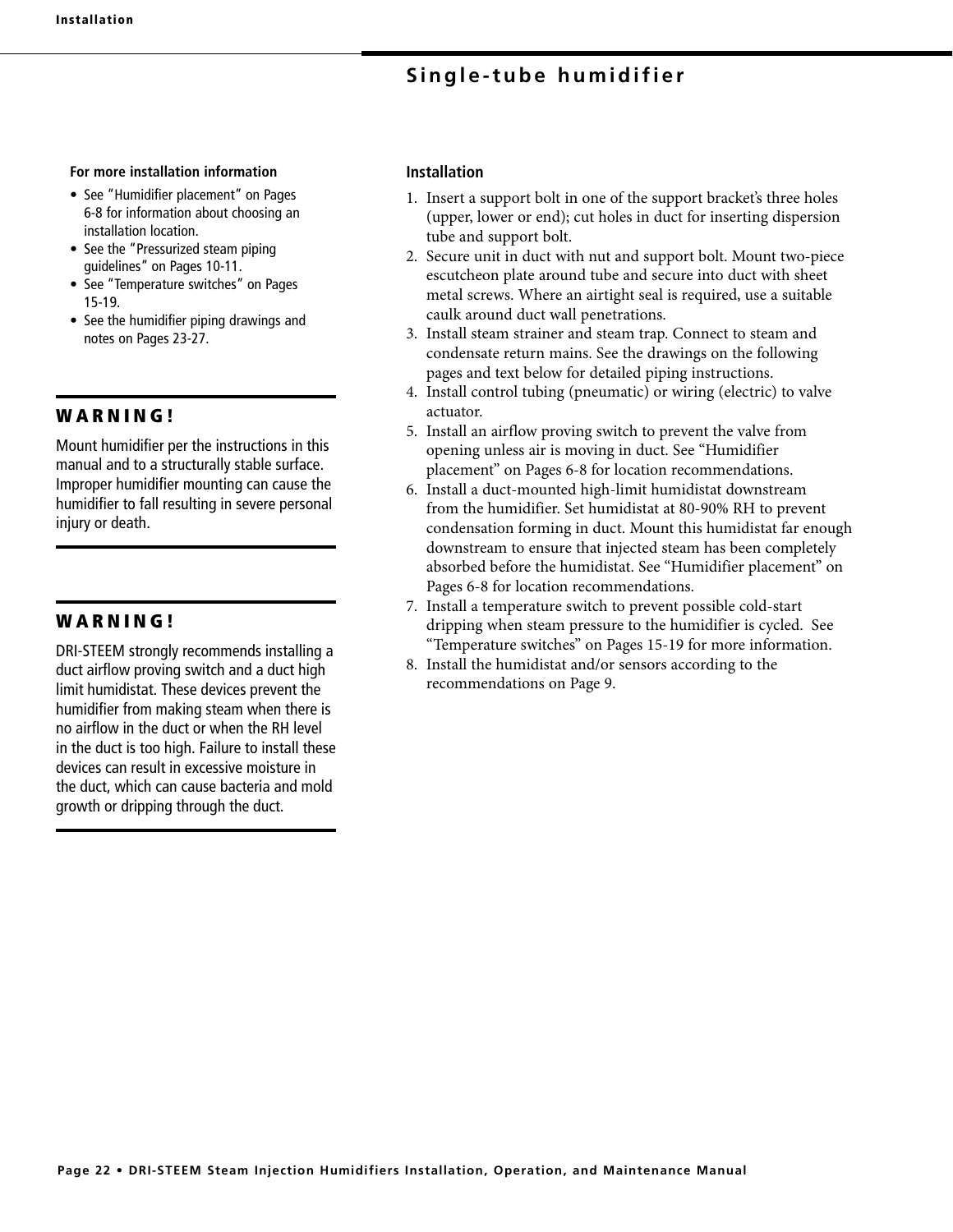#### **For more installation information**

- See "Humidifier placement" on Pages 6-8 for information about choosing an installation location.
- See the "Pressurized steam piping guidelines" on Pages 10-11.
- See "Temperature switches" on Pages 15-19.
- See the humidifier piping drawings and notes on Pages 23-27.

## **W A R N I N G !**

Mount humidifier per the instructions in this manual and to a structurally stable surface. Improper humidifier mounting can cause the humidifier to fall resulting in severe personal injury or death.

## **W A R N I N G !**

DRI-STEEM strongly recommends installing a duct airflow proving switch and a duct high limit humidistat. These devices prevent the humidifier from making steam when there is no airflow in the duct or when the RH level in the duct is too high. Failure to install these devices can result in excessive moisture in the duct, which can cause bacteria and mold growth or dripping through the duct.

## **Installation**

- 1. Insert a support bolt in one of the support bracket's three holes (upper, lower or end); cut holes in duct for inserting dispersion tube and support bolt.
- 2. Secure unit in duct with nut and support bolt. Mount two-piece escutcheon plate around tube and secure into duct with sheet metal screws. Where an airtight seal is required, use a suitable caulk around duct wall penetrations.
- 3. Install steam strainer and steam trap. Connect to steam and condensate return mains. See the drawings on the following pages and text below for detailed piping instructions.
- 4. Install control tubing (pneumatic) or wiring (electric) to valve actuator.
- 5. Install an airflow proving switch to prevent the valve from opening unless air is moving in duct. See "Humidifier placement" on Pages 6-8 for location recommendations.
- 6. Install a duct-mounted high-limit humidistat downstream from the humidifier. Set humidistat at 80-90% RH to prevent condensation forming in duct. Mount this humidistat far enough downstream to ensure that injected steam has been completely absorbed before the humidistat. See "Humidifier placement" on Pages 6-8 for location recommendations.
- 7. Install a temperature switch to prevent possible cold-start dripping when steam pressure to the humidifier is cycled. See "Temperature switches" on Pages 15-19 for more information.
- 8. Install the humidistat and/or sensors according to the recommendations on Page 9.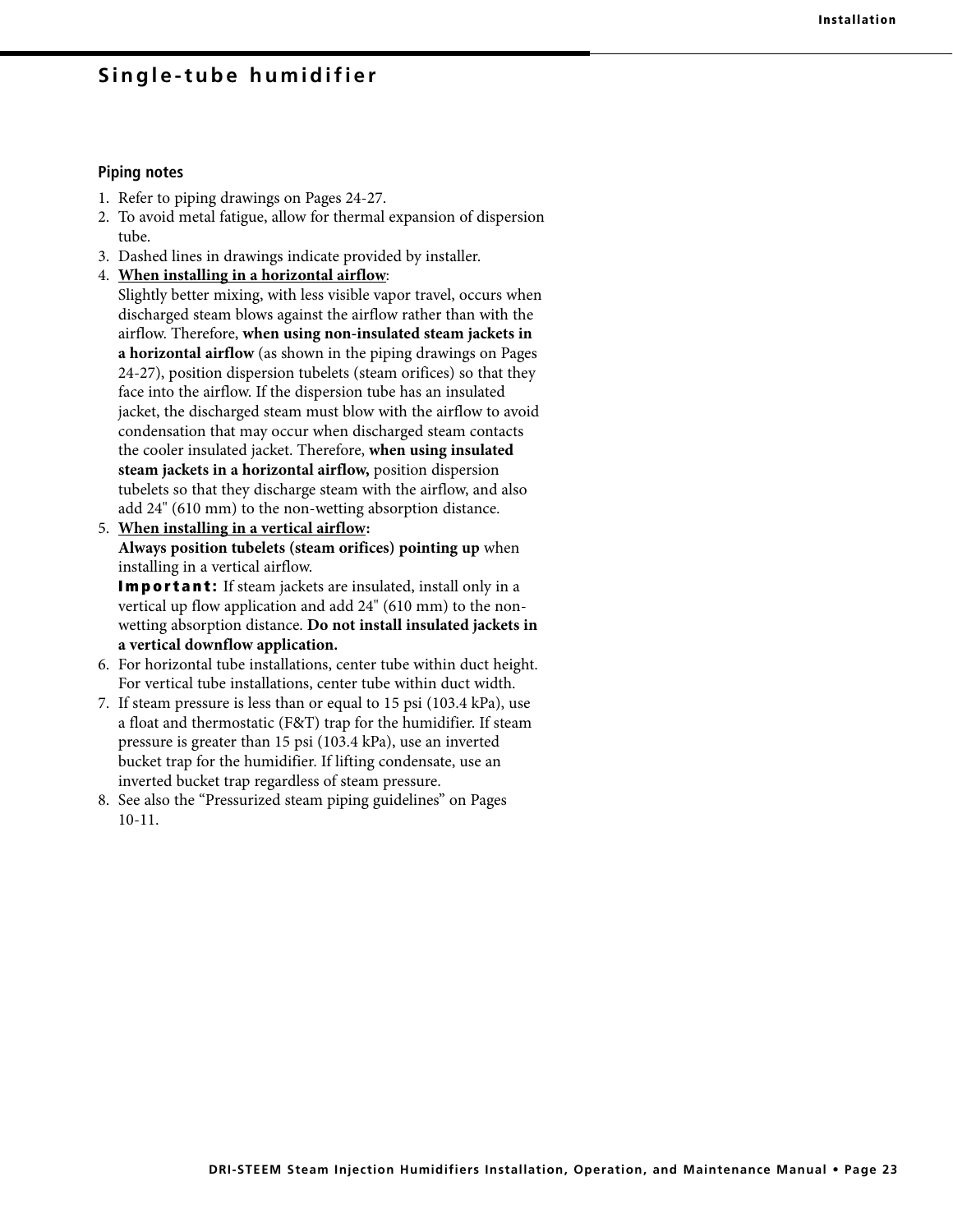#### **Piping notes**

- 1. Refer to piping drawings on Pages 24-27.
- 2. To avoid metal fatigue, allow for thermal expansion of dispersion tube.
- 3. Dashed lines in drawings indicate provided by installer.
- 4. **When installing in a horizontal airflow**:

 Slightly better mixing, with less visible vapor travel, occurs when discharged steam blows against the airflow rather than with the airflow. Therefore, **when using non-insulated steam jackets in a horizontal airflow** (as shown in the piping drawings on Pages 24-27), position dispersion tubelets (steam orifices) so that they face into the airflow. If the dispersion tube has an insulated jacket, the discharged steam must blow with the airflow to avoid condensation that may occur when discharged steam contacts the cooler insulated jacket. Therefore, **when using insulated steam jackets in a horizontal airflow,** position dispersion tubelets so that they discharge steam with the airflow, and also add 24" (610 mm) to the non-wetting absorption distance.

5. **When installing in a vertical airflow: Always position tubelets (steam orifices) pointing up** when installing in a vertical airflow.

**Important:** If steam jackets are insulated, install only in a vertical up flow application and add 24" (610 mm) to the nonwetting absorption distance. **Do not install insulated jackets in a vertical downflow application.**

- 6. For horizontal tube installations, center tube within duct height. For vertical tube installations, center tube within duct width.
- 7. If steam pressure is less than or equal to 15 psi (103.4 kPa), use a float and thermostatic (F&T) trap for the humidifier. If steam pressure is greater than 15 psi (103.4 kPa), use an inverted bucket trap for the humidifier. If lifting condensate, use an inverted bucket trap regardless of steam pressure.
- 8. See also the "Pressurized steam piping guidelines" on Pages 10-11.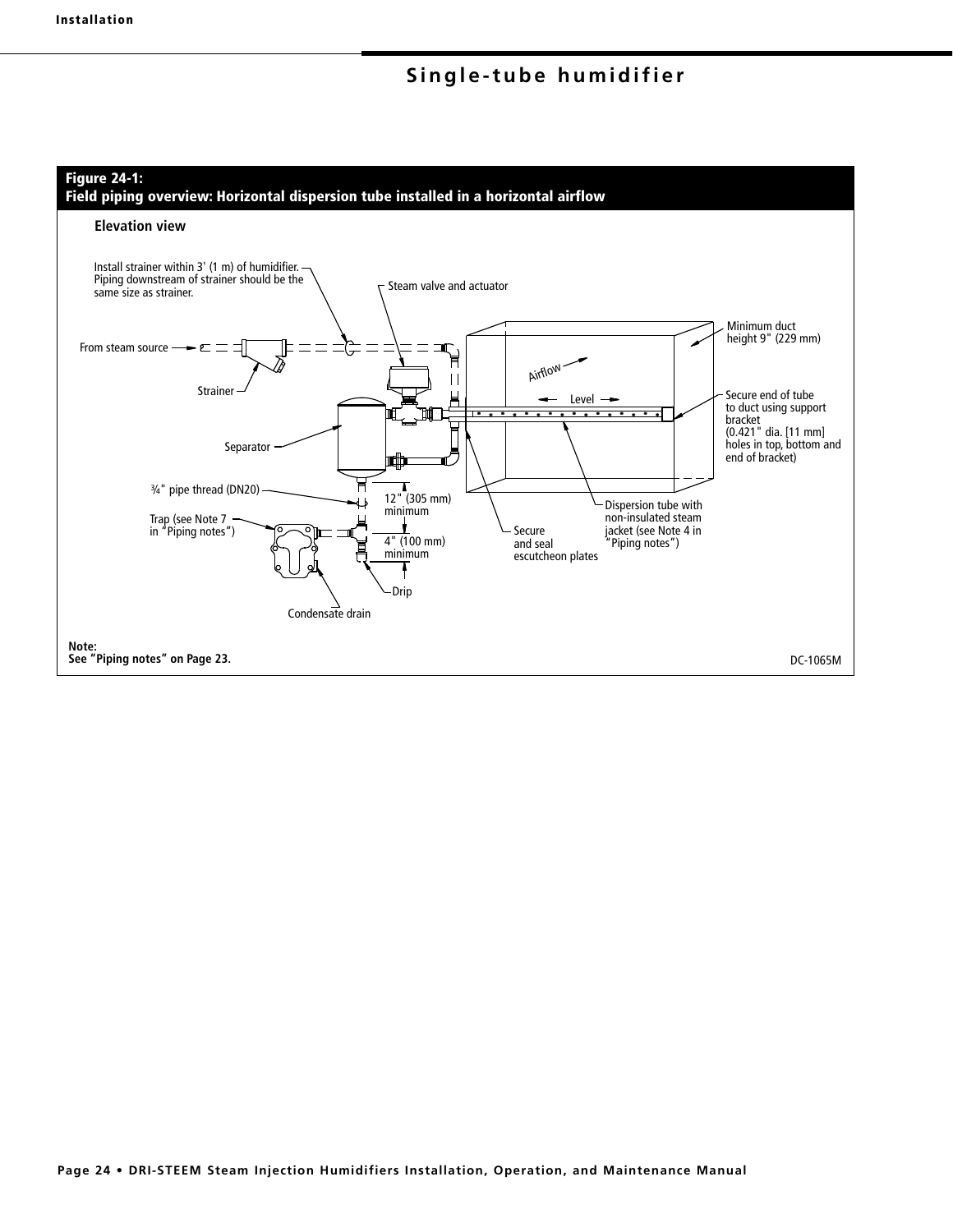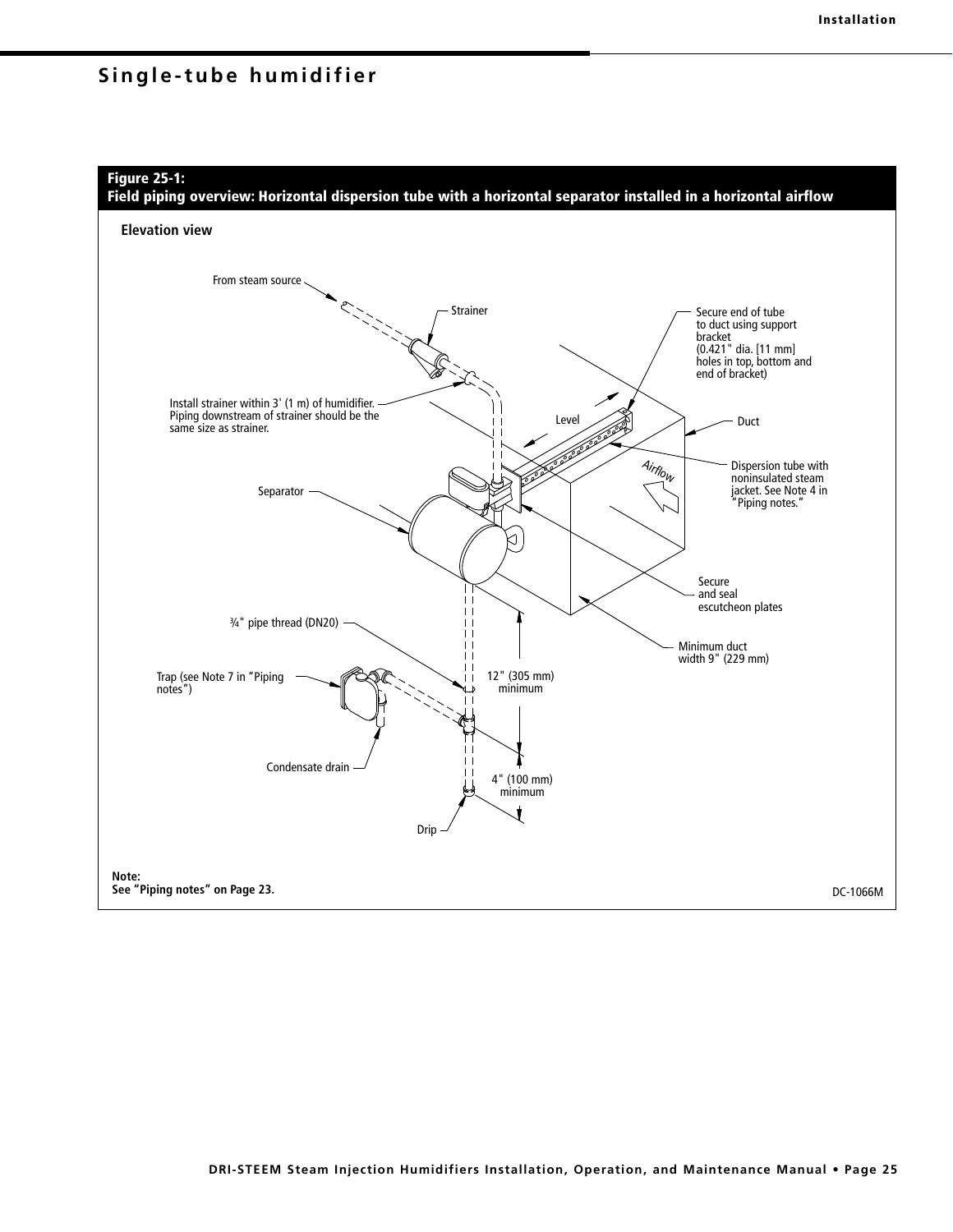## **Figure 25-1:**

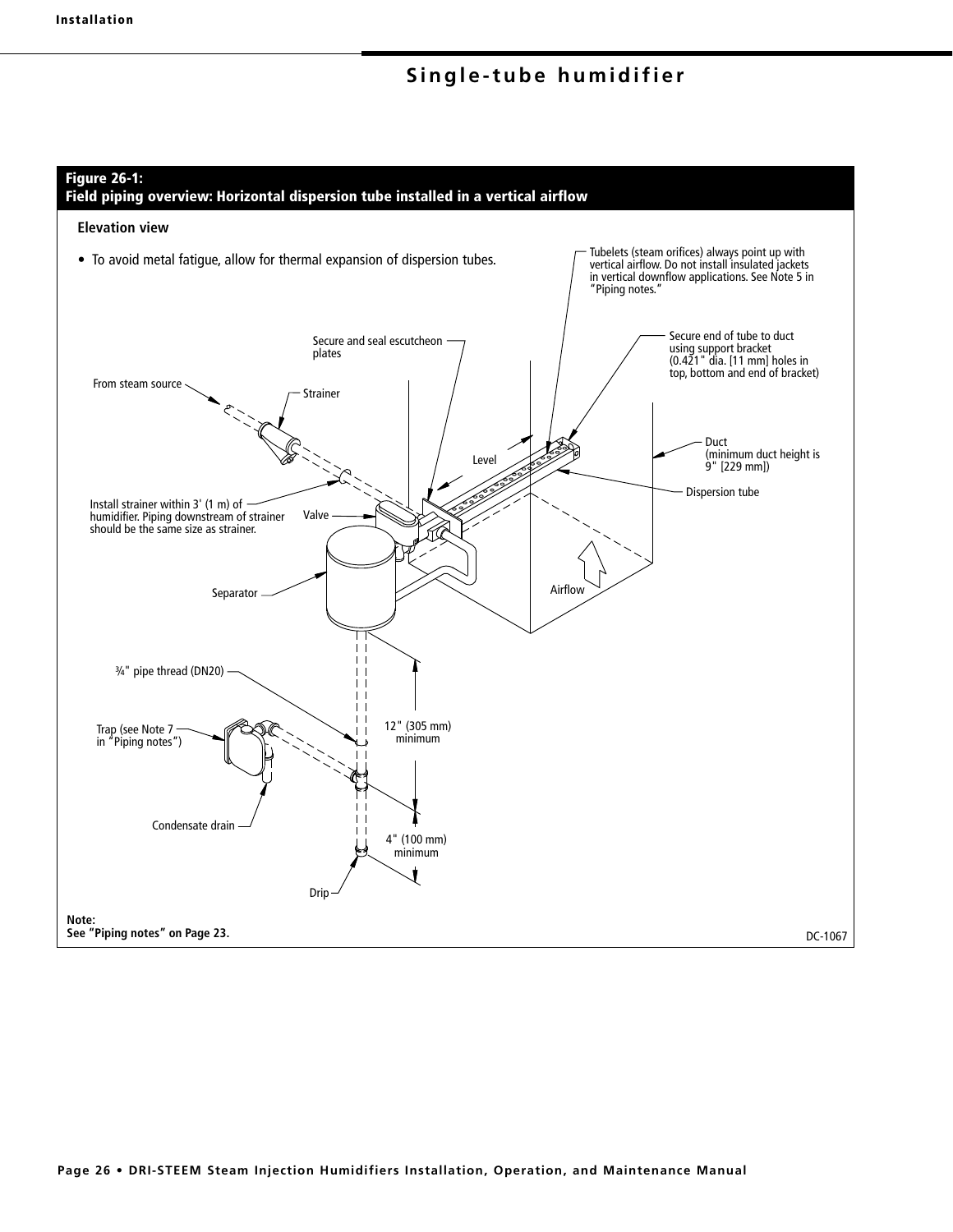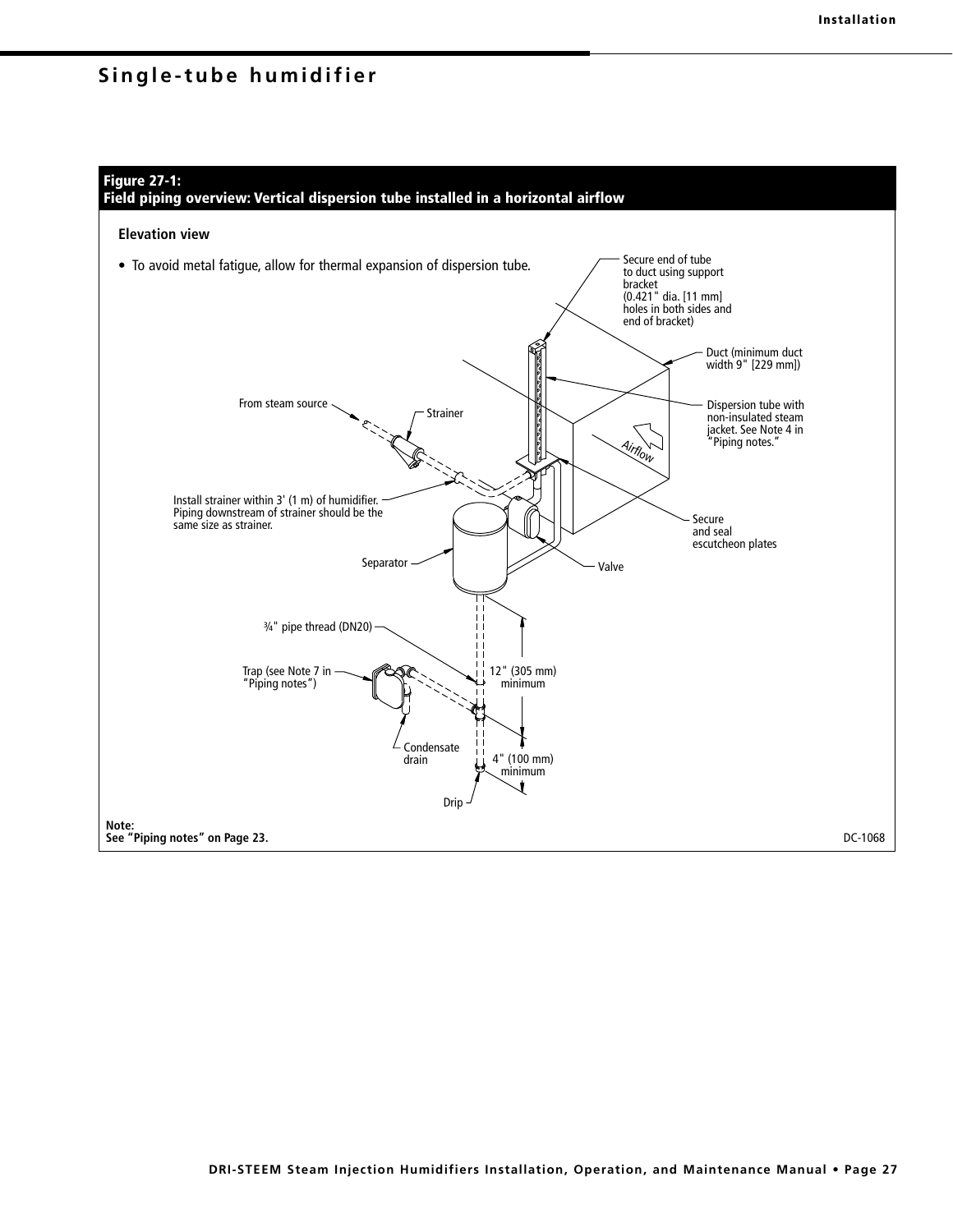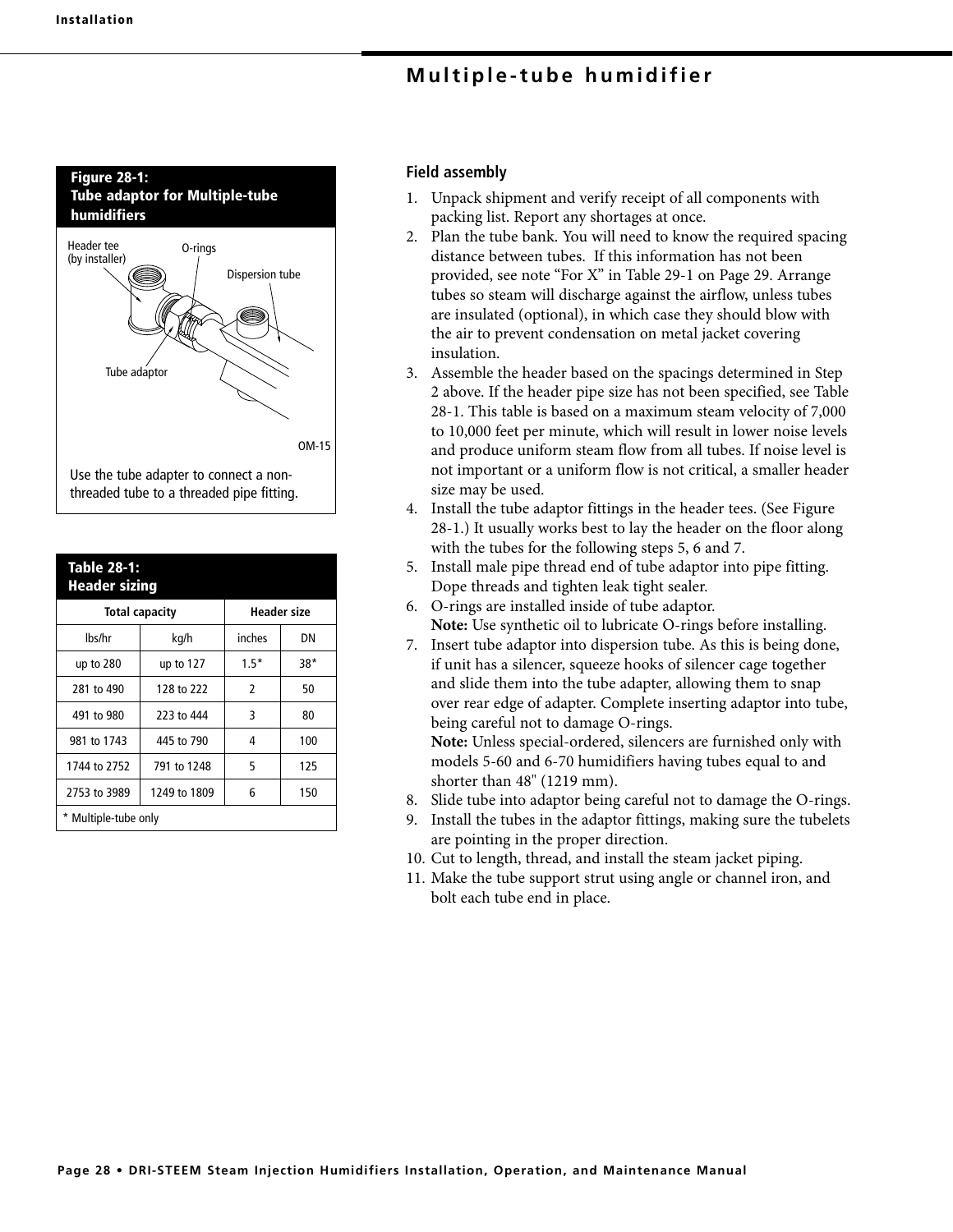

| <b>Table 28-1:</b><br><b>Header sizing</b> |             |                    |       |  |  |  |
|--------------------------------------------|-------------|--------------------|-------|--|--|--|
| <b>Total capacity</b>                      |             | <b>Header size</b> |       |  |  |  |
| lbs/hr                                     | kg/h        | inches             | DΝ    |  |  |  |
| up to $280$                                | up to $127$ | $1.5*$             | $38*$ |  |  |  |
| 281 to 490                                 | 128 to 222  | 2                  | 50    |  |  |  |
| 491 to 980                                 | 223 to 444  | 3                  | 80    |  |  |  |
| 981 to 1743                                | 445 to 790  | 4                  | 100   |  |  |  |
| 1744 to 2752                               | 791 to 1248 | 5                  | 125   |  |  |  |
| 2753 to 3989                               | 6           | 150                |       |  |  |  |
| * Multiple-tube only                       |             |                    |       |  |  |  |

## **Field assembly**

- 1. Unpack shipment and verify receipt of all components with packing list. Report any shortages at once.
- 2. Plan the tube bank. You will need to know the required spacing distance between tubes. If this information has not been provided, see note "For X" in Table 29-1 on Page 29. Arrange tubes so steam will discharge against the airflow, unless tubes are insulated (optional), in which case they should blow with the air to prevent condensation on metal jacket covering insulation.
- 3. Assemble the header based on the spacings determined in Step 2 above. If the header pipe size has not been specified, see Table 28-1. This table is based on a maximum steam velocity of 7,000 to 10,000 feet per minute, which will result in lower noise levels and produce uniform steam flow from all tubes. If noise level is not important or a uniform flow is not critical, a smaller header size may be used.
- 4. Install the tube adaptor fittings in the header tees. (See Figure 28-1.) It usually works best to lay the header on the floor along with the tubes for the following steps 5, 6 and 7.
- 5. Install male pipe thread end of tube adaptor into pipe fitting. Dope threads and tighten leak tight sealer.
- 6. O-rings are installed inside of tube adaptor. **Note:** Use synthetic oil to lubricate O-rings before installing.
- 7. Insert tube adaptor into dispersion tube. As this is being done, if unit has a silencer, squeeze hooks of silencer cage together and slide them into the tube adapter, allowing them to snap over rear edge of adapter. Complete inserting adaptor into tube, being careful not to damage O-rings.

**Note:** Unless special-ordered, silencers are furnished only with models 5-60 and 6-70 humidifiers having tubes equal to and shorter than 48" (1219 mm).

- 8. Slide tube into adaptor being careful not to damage the O-rings.
- 9. Install the tubes in the adaptor fittings, making sure the tubelets are pointing in the proper direction.
- 10. Cut to length, thread, and install the steam jacket piping.
- 11. Make the tube support strut using angle or channel iron, and bolt each tube end in place.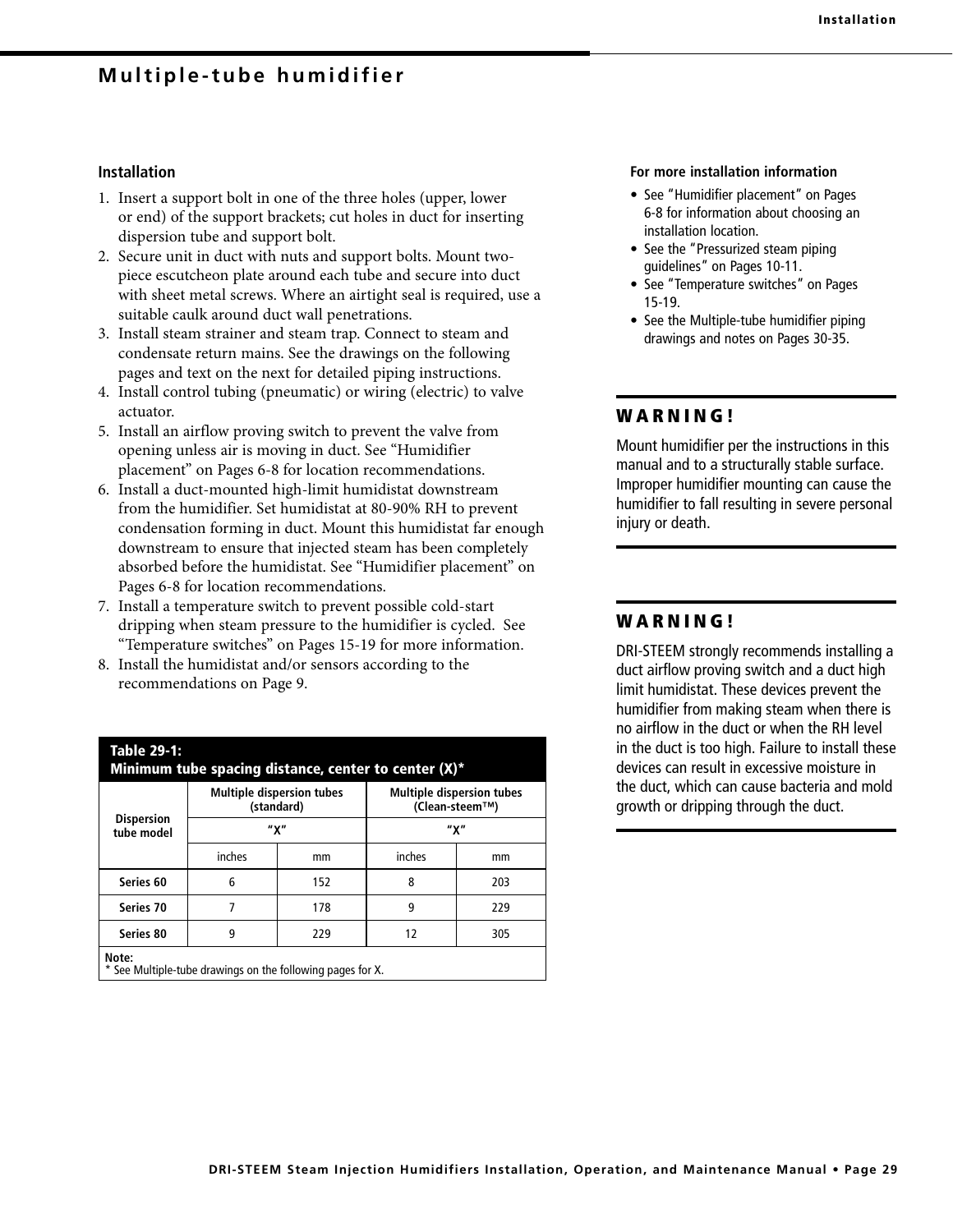#### **Installation**

- 1. Insert a support bolt in one of the three holes (upper, lower or end) of the support brackets; cut holes in duct for inserting dispersion tube and support bolt.
- 2. Secure unit in duct with nuts and support bolts. Mount twopiece escutcheon plate around each tube and secure into duct with sheet metal screws. Where an airtight seal is required, use a suitable caulk around duct wall penetrations.
- 3. Install steam strainer and steam trap. Connect to steam and condensate return mains. See the drawings on the following pages and text on the next for detailed piping instructions.
- 4. Install control tubing (pneumatic) or wiring (electric) to valve actuator.
- 5. Install an airflow proving switch to prevent the valve from opening unless air is moving in duct. See "Humidifier placement" on Pages 6-8 for location recommendations.
- 6. Install a duct-mounted high-limit humidistat downstream from the humidifier. Set humidistat at 80-90% RH to prevent condensation forming in duct. Mount this humidistat far enough downstream to ensure that injected steam has been completely absorbed before the humidistat. See "Humidifier placement" on Pages 6-8 for location recommendations.
- 7. Install a temperature switch to prevent possible cold-start dripping when steam pressure to the humidifier is cycled. See "Temperature switches" on Pages 15-19 for more information.
- 8. Install the humidistat and/or sensors according to the recommendations on Page 9.

| Table 29-1:<br>Minimum tube spacing distance, center to center (X)*                                                                                                                                                                                 |        |                                                |                                                    |     |  |  |
|-----------------------------------------------------------------------------------------------------------------------------------------------------------------------------------------------------------------------------------------------------|--------|------------------------------------------------|----------------------------------------------------|-----|--|--|
|                                                                                                                                                                                                                                                     |        | <b>Multiple dispersion tubes</b><br>(standard) | <b>Multiple dispersion tubes</b><br>(Clean-steem™) |     |  |  |
| <b>Dispersion</b><br>tube model                                                                                                                                                                                                                     |        | "χ"                                            | "χ"                                                |     |  |  |
|                                                                                                                                                                                                                                                     | inches | mm                                             | inches                                             | mm  |  |  |
| Series 60                                                                                                                                                                                                                                           | 6      | 152                                            | 8                                                  | 203 |  |  |
| Series 70                                                                                                                                                                                                                                           | 7      | 178                                            | 9                                                  | 229 |  |  |
| Series 80                                                                                                                                                                                                                                           | 9      | 229                                            | 12                                                 | 305 |  |  |
| Note:<br>$\mathbf{a} \cdot \mathbf{b}$ . The contract of the contract of the contract of the contract of the contract of the contract of the contract of the contract of the contract of the contract of the contract of the contract of the contra |        |                                                |                                                    |     |  |  |

See Multiple-tube drawings on the following pages for X.

#### **For more installation information**

- See "Humidifier placement" on Pages 6-8 for information about choosing an installation location.
- See the "Pressurized steam piping guidelines" on Pages 10-11.
- See "Temperature switches" on Pages 15-19.
- See the Multiple-tube humidifier piping drawings and notes on Pages 30-35.

## **W A R N I N G !**

Mount humidifier per the instructions in this manual and to a structurally stable surface. Improper humidifier mounting can cause the humidifier to fall resulting in severe personal injury or death.

## **W A R N I N G !**

DRI-STEEM strongly recommends installing a duct airflow proving switch and a duct high limit humidistat. These devices prevent the humidifier from making steam when there is no airflow in the duct or when the RH level in the duct is too high. Failure to install these devices can result in excessive moisture in the duct, which can cause bacteria and mold growth or dripping through the duct.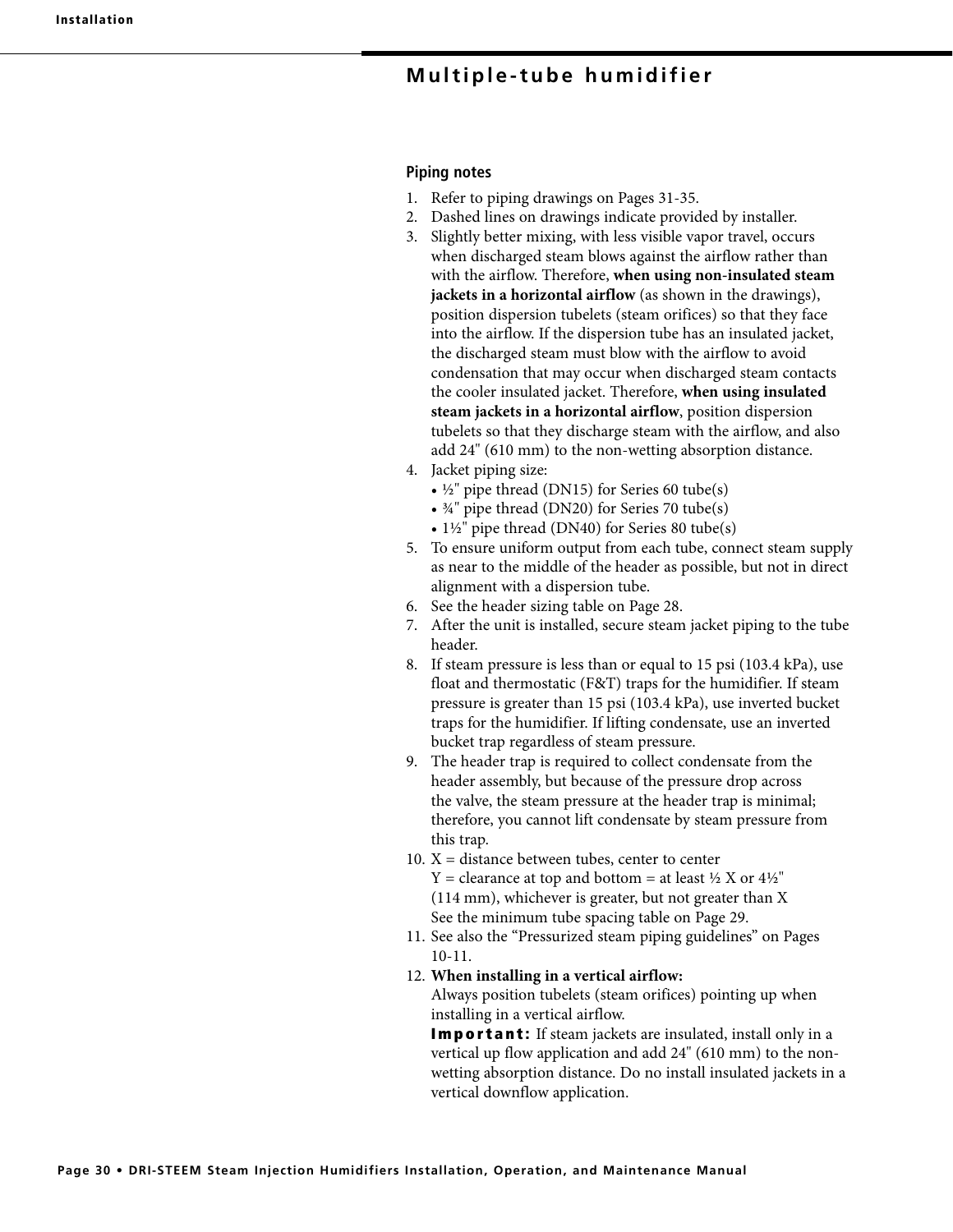#### **Piping notes**

- 1. Refer to piping drawings on Pages 31-35.
- 2. Dashed lines on drawings indicate provided by installer.
- 3. Slightly better mixing, with less visible vapor travel, occurs when discharged steam blows against the airflow rather than with the airflow. Therefore, **when using non-insulated steam jackets in a horizontal airflow** (as shown in the drawings), position dispersion tubelets (steam orifices) so that they face into the airflow. If the dispersion tube has an insulated jacket, the discharged steam must blow with the airflow to avoid condensation that may occur when discharged steam contacts the cooler insulated jacket. Therefore, **when using insulated steam jackets in a horizontal airflow**, position dispersion tubelets so that they discharge steam with the airflow, and also add 24" (610 mm) to the non-wetting absorption distance.
- 4. Jacket piping size:
	- $\frac{1}{2}$ " pipe thread (DN15) for Series 60 tube(s)
	- ¾" pipe thread (DN20) for Series 70 tube(s)
	- 1½" pipe thread (DN40) for Series 80 tube(s)
- 5. To ensure uniform output from each tube, connect steam supply as near to the middle of the header as possible, but not in direct alignment with a dispersion tube.
- 6. See the header sizing table on Page 28.
- 7. After the unit is installed, secure steam jacket piping to the tube header.
- 8. If steam pressure is less than or equal to 15 psi (103.4 kPa), use float and thermostatic (F&T) traps for the humidifier. If steam pressure is greater than 15 psi (103.4 kPa), use inverted bucket traps for the humidifier. If lifting condensate, use an inverted bucket trap regardless of steam pressure.
- 9. The header trap is required to collect condensate from the header assembly, but because of the pressure drop across the valve, the steam pressure at the header trap is minimal; therefore, you cannot lift condensate by steam pressure from this trap.
- 10.  $X =$  distance between tubes, center to center  $Y =$  clearance at top and bottom = at least  $\frac{1}{2}$  X or  $\frac{4}{2}$ " (114 mm), whichever is greater, but not greater than X See the minimum tube spacing table on Page 29.
- 11. See also the "Pressurized steam piping guidelines" on Pages 10-11.
- 12. **When installing in a vertical airflow:**

 Always position tubelets (steam orifices) pointing up when installing in a vertical airflow.

**Important:** If steam jackets are insulated, install only in a vertical up flow application and add 24" (610 mm) to the nonwetting absorption distance. Do no install insulated jackets in a vertical downflow application.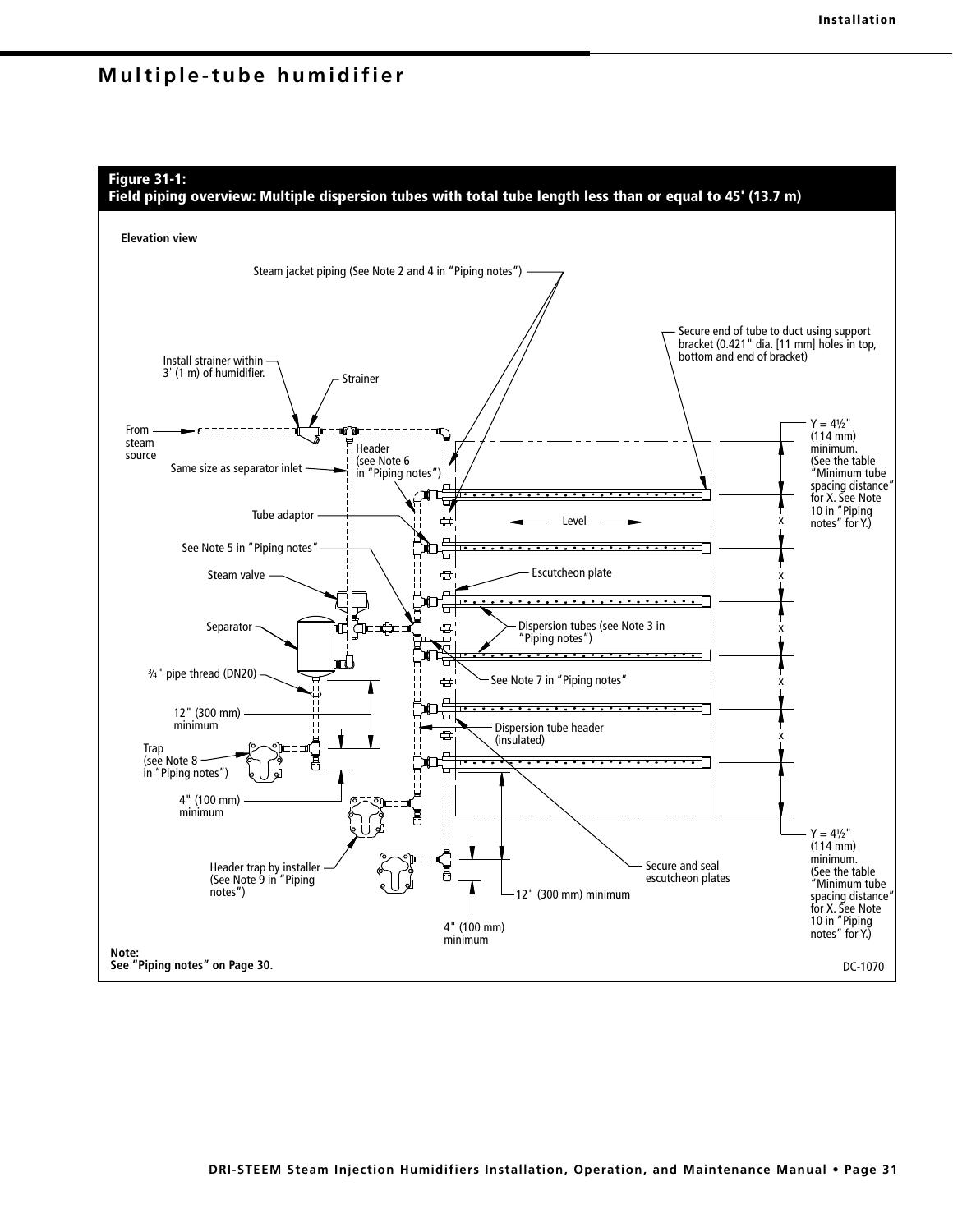

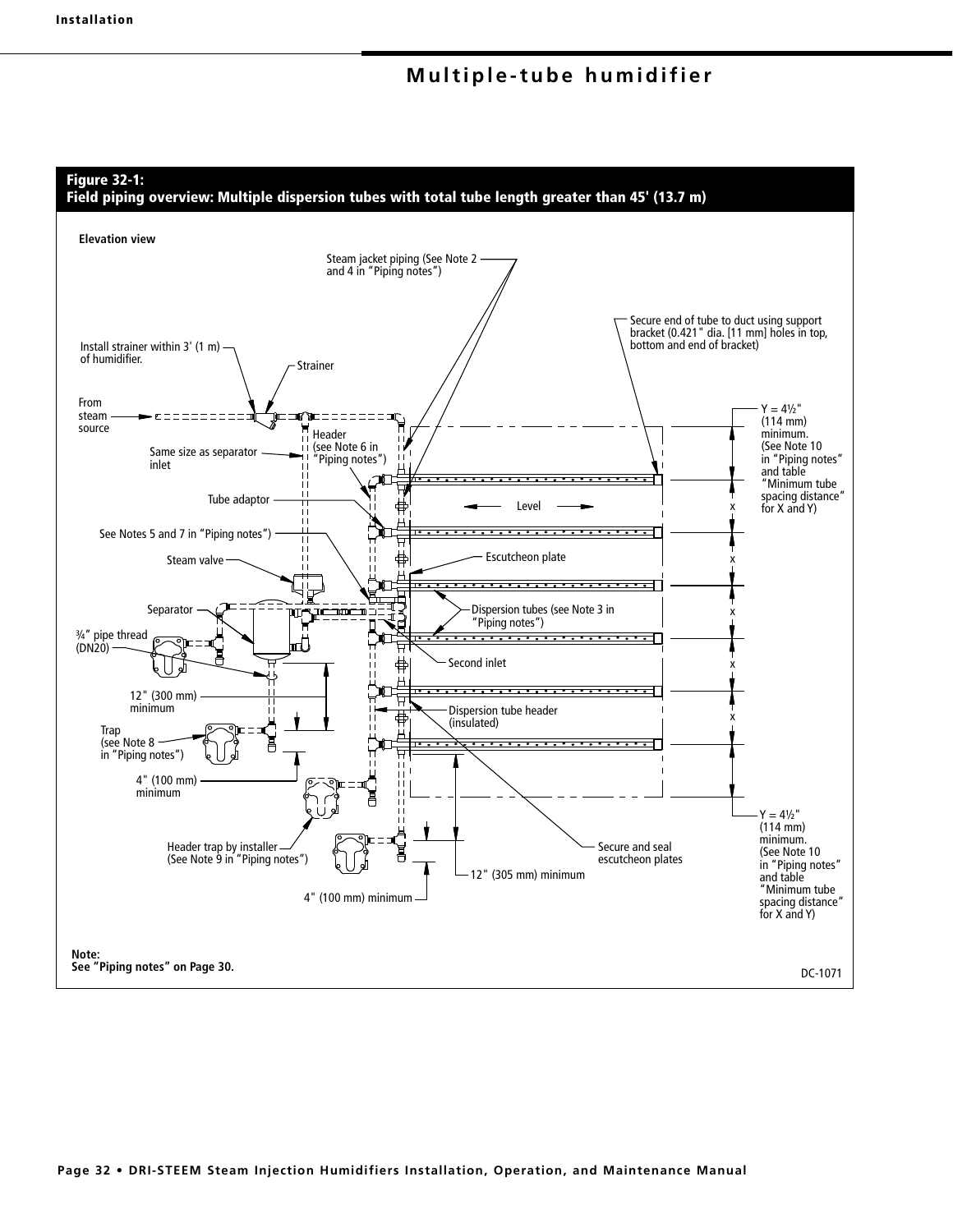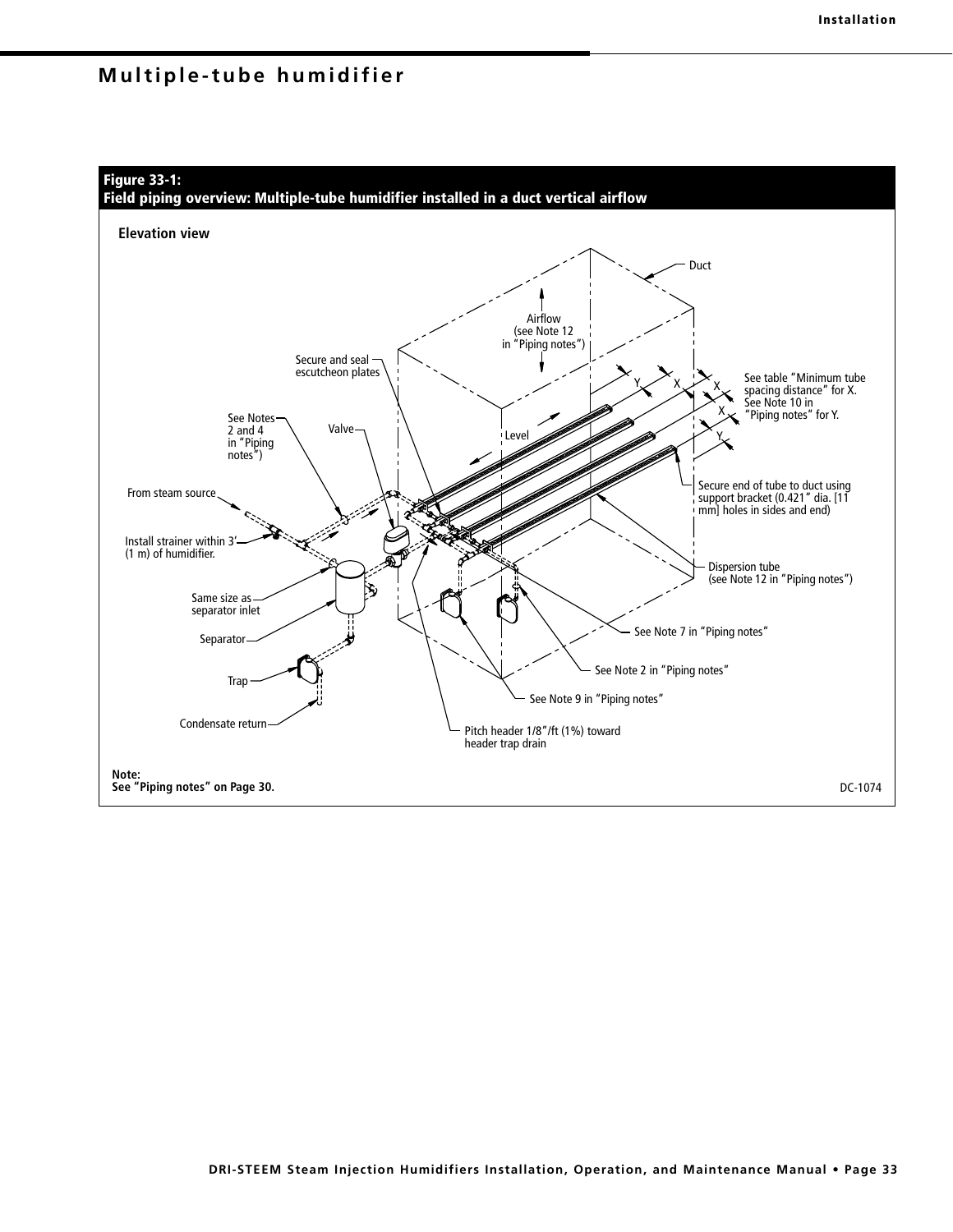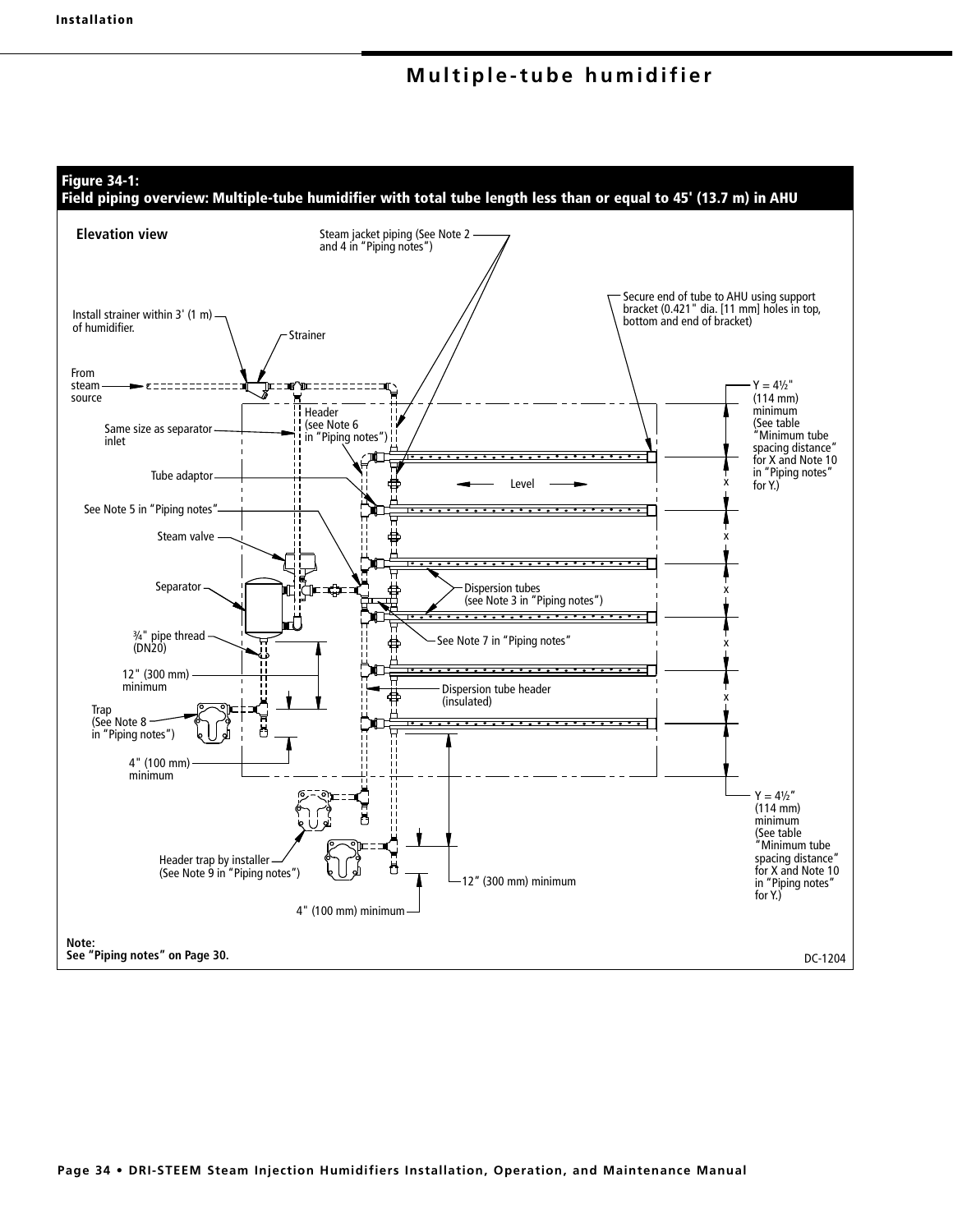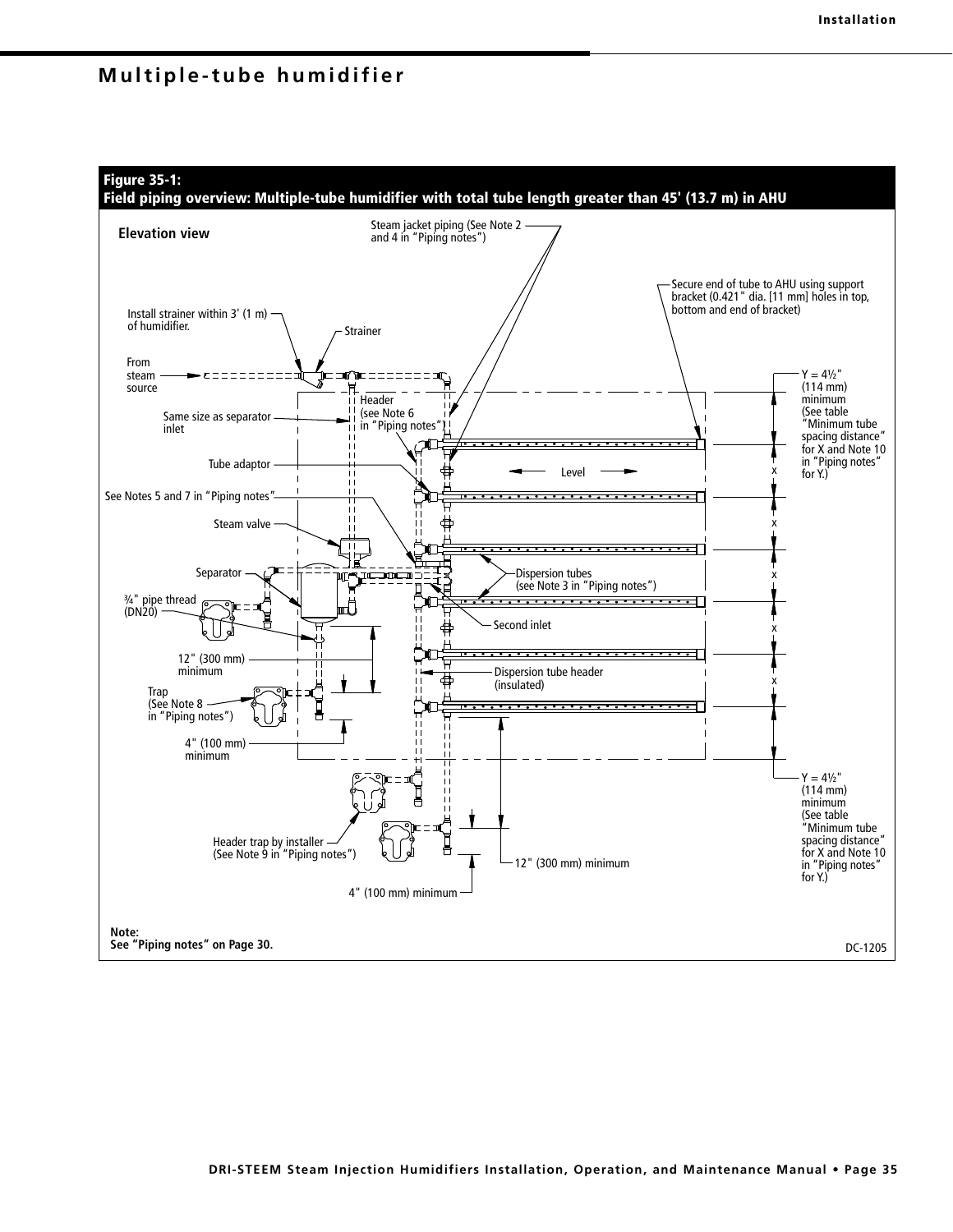

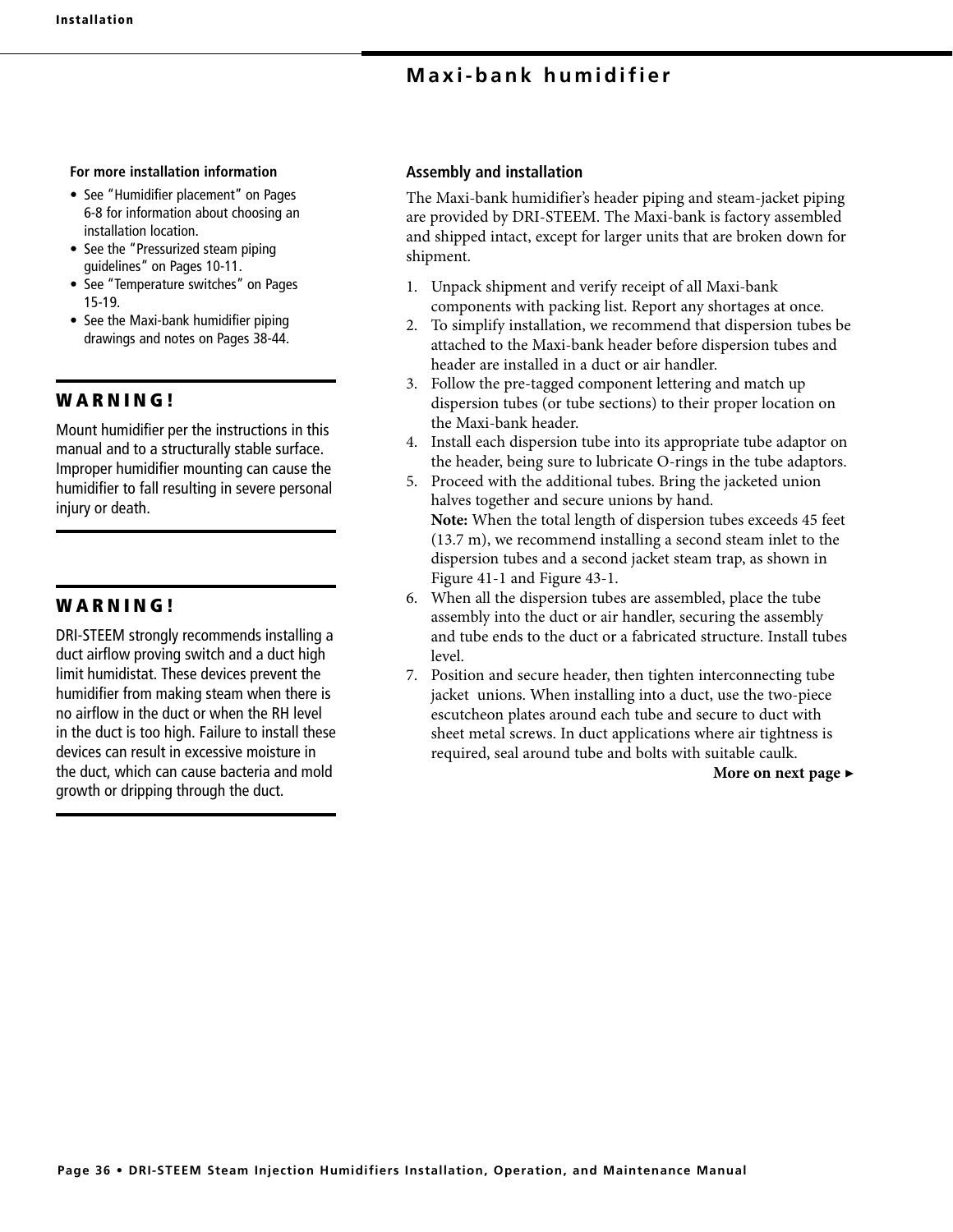#### **For more installation information**

- See "Humidifier placement" on Pages 6-8 for information about choosing an installation location.
- See the "Pressurized steam piping guidelines" on Pages 10-11.
- See "Temperature switches" on Pages 15-19.
- See the Maxi-bank humidifier piping drawings and notes on Pages 38-44.

## **W A R N I N G !**

Mount humidifier per the instructions in this manual and to a structurally stable surface. Improper humidifier mounting can cause the humidifier to fall resulting in severe personal injury or death.

## **W A R N I N G !**

DRI-STEEM strongly recommends installing a duct airflow proving switch and a duct high limit humidistat. These devices prevent the humidifier from making steam when there is no airflow in the duct or when the RH level in the duct is too high. Failure to install these devices can result in excessive moisture in the duct, which can cause bacteria and mold growth or dripping through the duct.

## **Assembly and installation**

The Maxi-bank humidifier's header piping and steam-jacket piping are provided by DRI-STEEM. The Maxi-bank is factory assembled and shipped intact, except for larger units that are broken down for shipment.

- 1. Unpack shipment and verify receipt of all Maxi-bank components with packing list. Report any shortages at once.
- 2. To simplify installation, we recommend that dispersion tubes be attached to the Maxi-bank header before dispersion tubes and header are installed in a duct or air handler.
- 3. Follow the pre-tagged component lettering and match up dispersion tubes (or tube sections) to their proper location on the Maxi-bank header.
- 4. Install each dispersion tube into its appropriate tube adaptor on the header, being sure to lubricate O-rings in the tube adaptors.
- 5. Proceed with the additional tubes. Bring the jacketed union halves together and secure unions by hand. **Note:** When the total length of dispersion tubes exceeds 45 feet (13.7 m), we recommend installing a second steam inlet to the dispersion tubes and a second jacket steam trap, as shown in Figure 41-1 and Figure 43-1.
- 6. When all the dispersion tubes are assembled, place the tube assembly into the duct or air handler, securing the assembly and tube ends to the duct or a fabricated structure. Install tubes level.
- 7. Position and secure header, then tighten interconnecting tube jacket unions. When installing into a duct, use the two-piece escutcheon plates around each tube and secure to duct with sheet metal screws. In duct applications where air tightness is required, seal around tube and bolts with suitable caulk.

**More on next page ▶**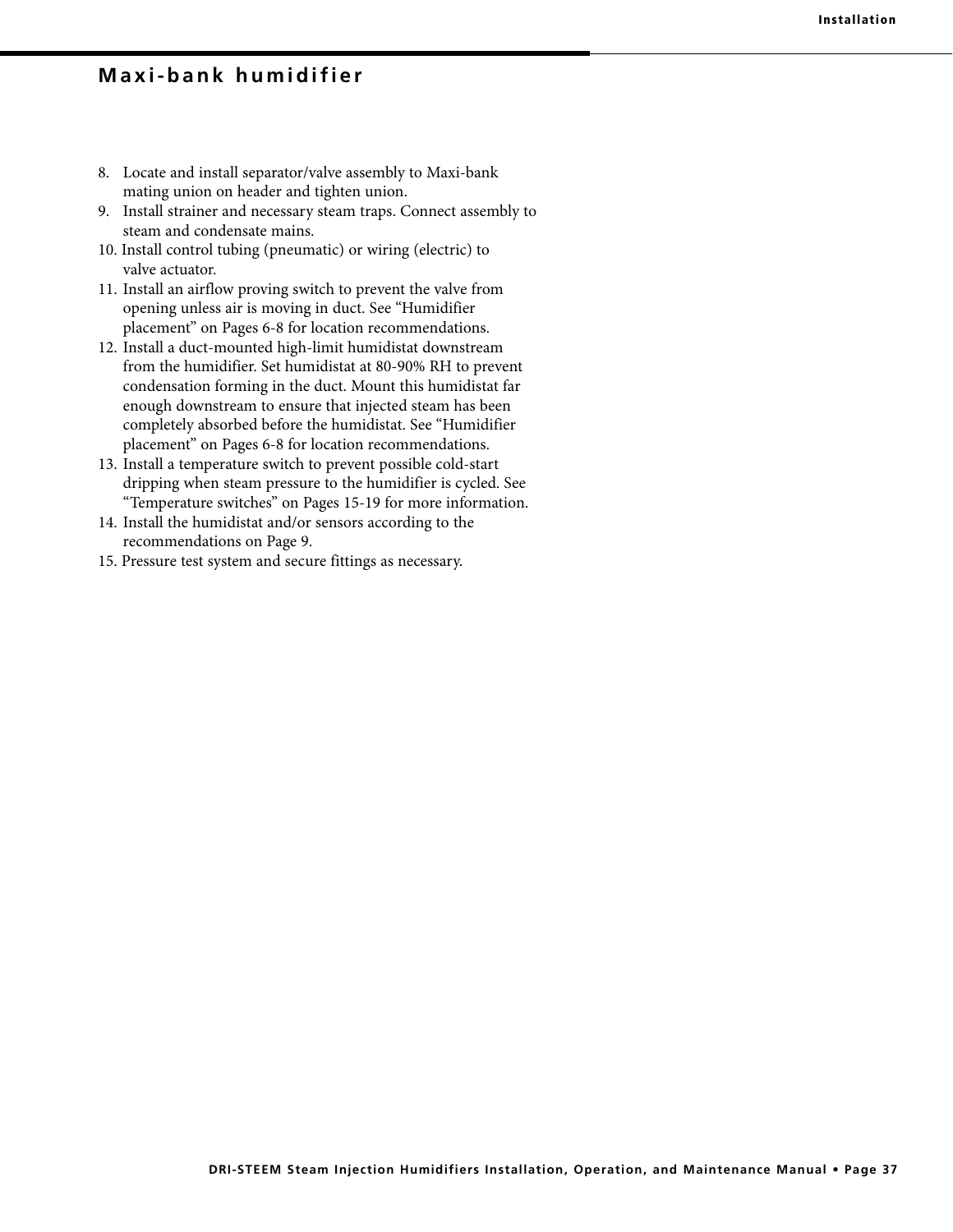- 8. Locate and install separator/valve assembly to Maxi-bank mating union on header and tighten union.
- 9. Install strainer and necessary steam traps. Connect assembly to steam and condensate mains.
- 10. Install control tubing (pneumatic) or wiring (electric) to valve actuator.
- 11. Install an airflow proving switch to prevent the valve from opening unless air is moving in duct. See "Humidifier placement" on Pages 6-8 for location recommendations.
- 12. Install a duct-mounted high-limit humidistat downstream from the humidifier. Set humidistat at 80-90% RH to prevent condensation forming in the duct. Mount this humidistat far enough downstream to ensure that injected steam has been completely absorbed before the humidistat. See "Humidifier placement" on Pages 6-8 for location recommendations.
- 13. Install a temperature switch to prevent possible cold-start dripping when steam pressure to the humidifier is cycled. See "Temperature switches" on Pages 15-19 for more information.
- 14. Install the humidistat and/or sensors according to the recommendations on Page 9.
- 15. Pressure test system and secure fittings as necessary.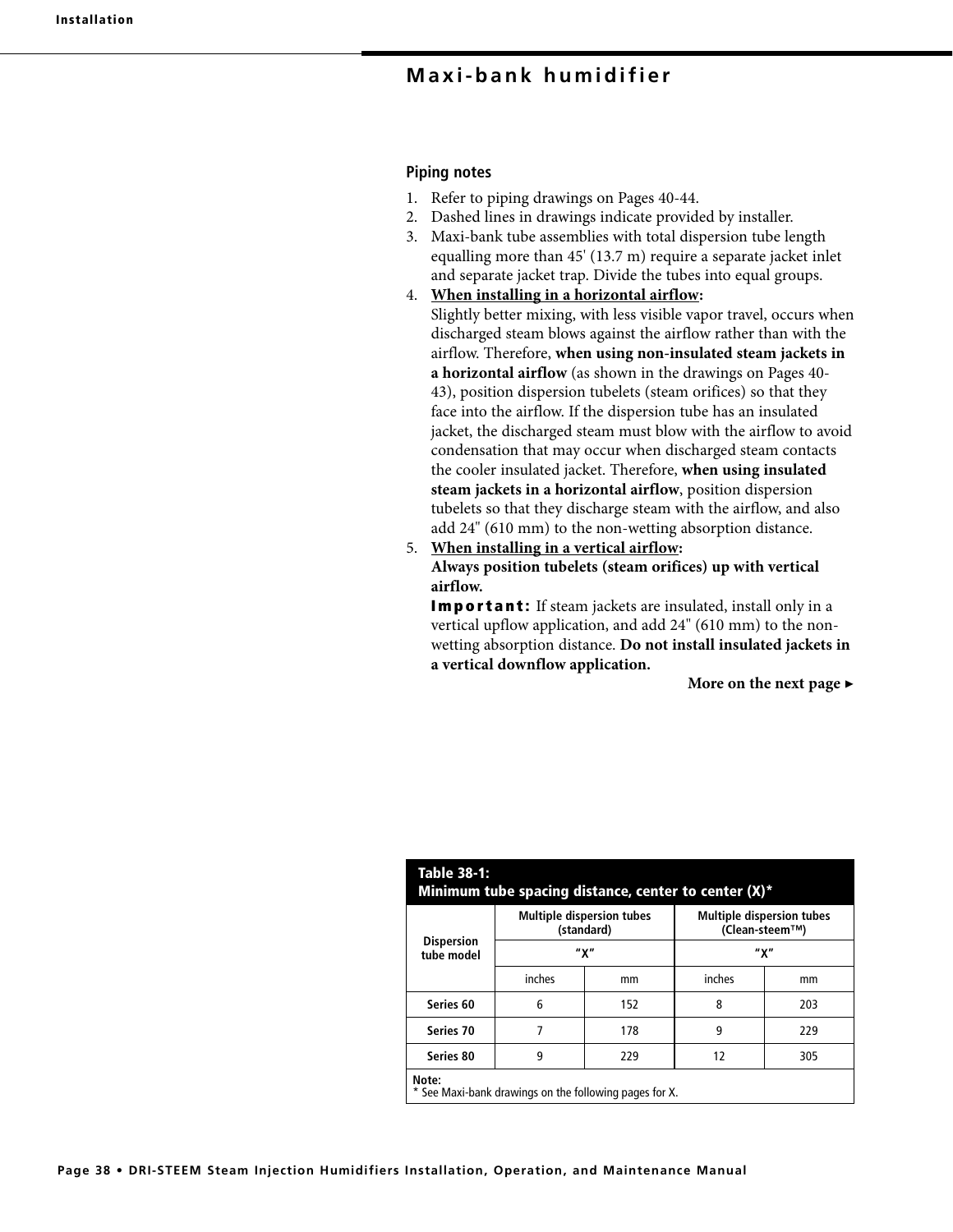#### **Piping notes**

- 1. Refer to piping drawings on Pages 40-44.
- 2. Dashed lines in drawings indicate provided by installer.
- 3. Maxi-bank tube assemblies with total dispersion tube length equalling more than 45' (13.7 m) require a separate jacket inlet and separate jacket trap. Divide the tubes into equal groups.
- 4. **When installing in a horizontal airflow:**

 Slightly better mixing, with less visible vapor travel, occurs when discharged steam blows against the airflow rather than with the airflow. Therefore, **when using non-insulated steam jackets in a horizontal airflow** (as shown in the drawings on Pages 40- 43), position dispersion tubelets (steam orifices) so that they face into the airflow. If the dispersion tube has an insulated jacket, the discharged steam must blow with the airflow to avoid condensation that may occur when discharged steam contacts the cooler insulated jacket. Therefore, **when using insulated steam jackets in a horizontal airflow**, position dispersion tubelets so that they discharge steam with the airflow, and also add 24" (610 mm) to the non-wetting absorption distance.

5. **When installing in a vertical airflow:**

**Always position tubelets (steam orifices) up with vertical airflow.** 

**Important:** If steam jackets are insulated, install only in a vertical upflow application, and add 24" (610 mm) to the nonwetting absorption distance. **Do not install insulated jackets in a vertical downflow application.**

**More on the next page ▶**

| Table 38-1:<br>Minimum tube spacing distance, center to center (X)* |                       |                                  |                                                    |     |  |  |  |
|---------------------------------------------------------------------|-----------------------|----------------------------------|----------------------------------------------------|-----|--|--|--|
|                                                                     | (standard)            | <b>Multiple dispersion tubes</b> | <b>Multiple dispersion tubes</b><br>(Clean-steem™) |     |  |  |  |
| <b>Dispersion</b><br>tube model                                     | "χ"                   |                                  | "χ"                                                |     |  |  |  |
|                                                                     | inches                | mm                               | inches                                             | mm  |  |  |  |
| Series 60                                                           | 6                     | 152                              | 8                                                  | 203 |  |  |  |
| Series 70                                                           | 7                     | 178                              | 9                                                  | 229 |  |  |  |
| Series 80                                                           | 9<br>229<br>12<br>305 |                                  |                                                    |     |  |  |  |
| Note:<br>* See Maxi-bank drawings on the following pages for X.     |                       |                                  |                                                    |     |  |  |  |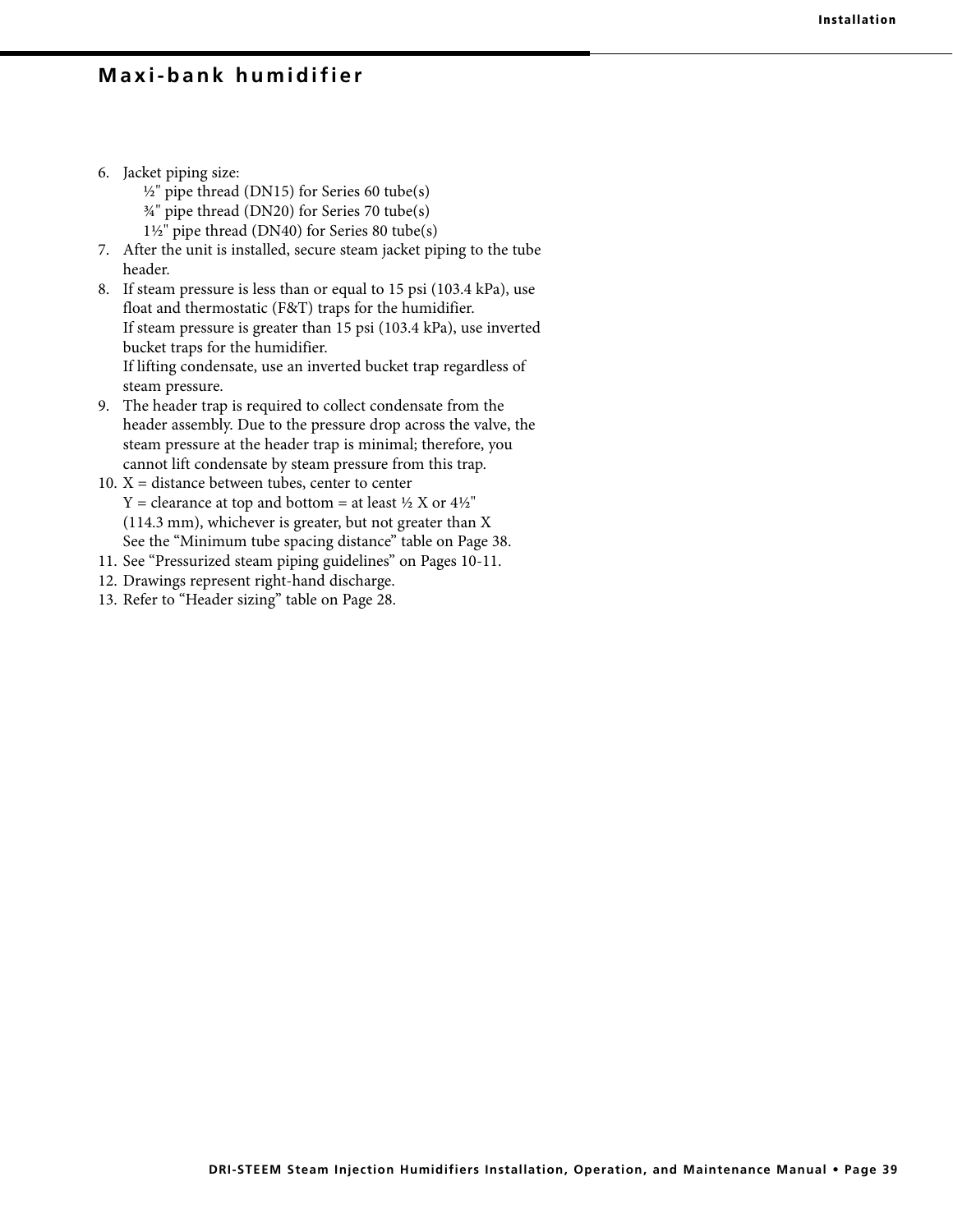- 6. Jacket piping size:
	- $\frac{1}{2}$ " pipe thread (DN15) for Series 60 tube(s)
	- ¾" pipe thread (DN20) for Series 70 tube(s)
	- 1½" pipe thread (DN40) for Series 80 tube(s)
- 7. After the unit is installed, secure steam jacket piping to the tube header.
- 8. If steam pressure is less than or equal to 15 psi (103.4 kPa), use float and thermostatic (F&T) traps for the humidifier. If steam pressure is greater than 15 psi (103.4 kPa), use inverted bucket traps for the humidifier. If lifting condensate, use an inverted bucket trap regardless of steam pressure.
- 9. The header trap is required to collect condensate from the header assembly. Due to the pressure drop across the valve, the steam pressure at the header trap is minimal; therefore, you cannot lift condensate by steam pressure from this trap.
- 10.  $X =$  distance between tubes, center to center  $Y =$  clearance at top and bottom = at least  $\frac{1}{2}$  X or  $\frac{4}{2}$ " (114.3 mm), whichever is greater, but not greater than X See the "Minimum tube spacing distance" table on Page 38.
- 11. See "Pressurized steam piping guidelines" on Pages 10-11.
- 12. Drawings represent right-hand discharge.
- 13. Refer to "Header sizing" table on Page 28.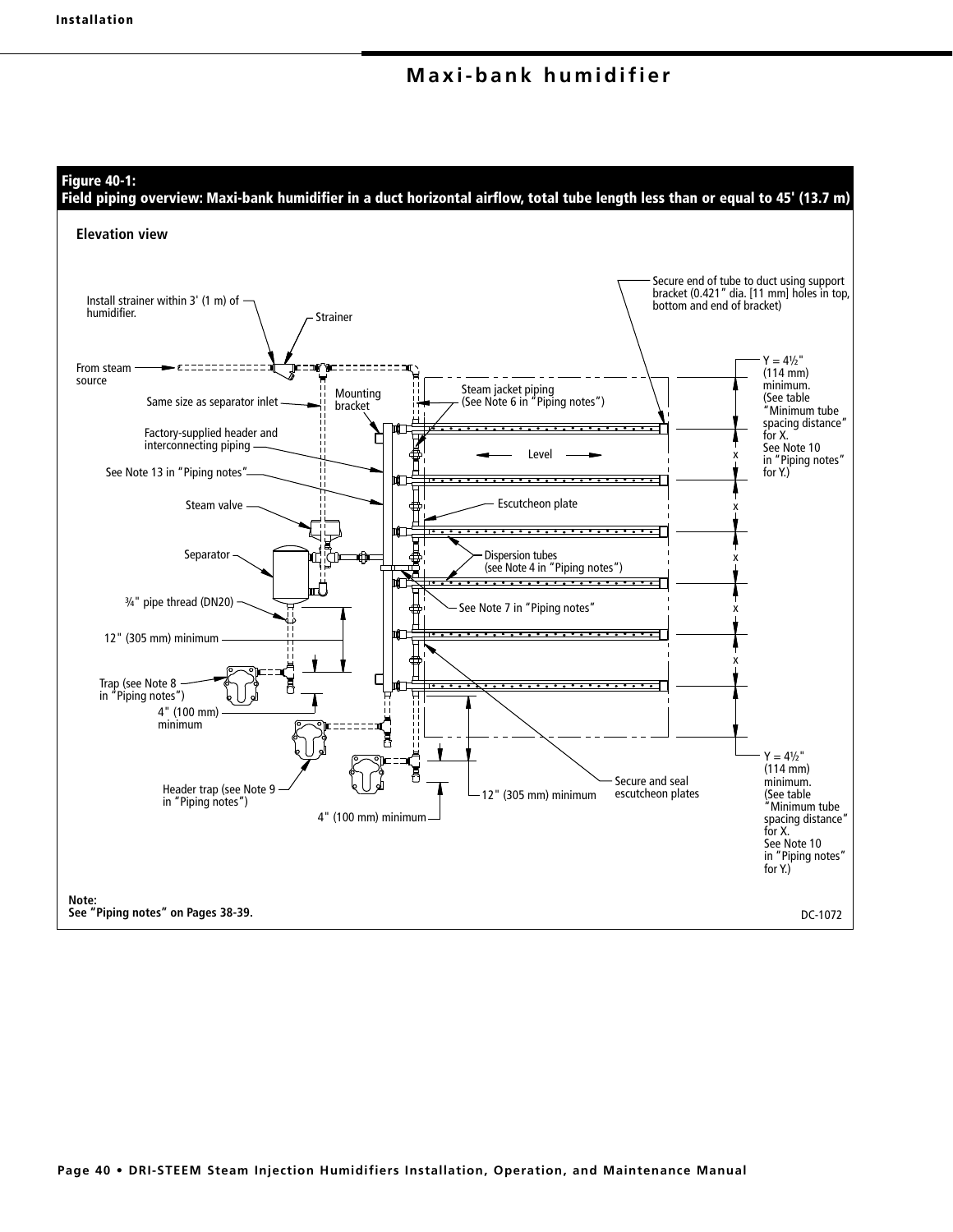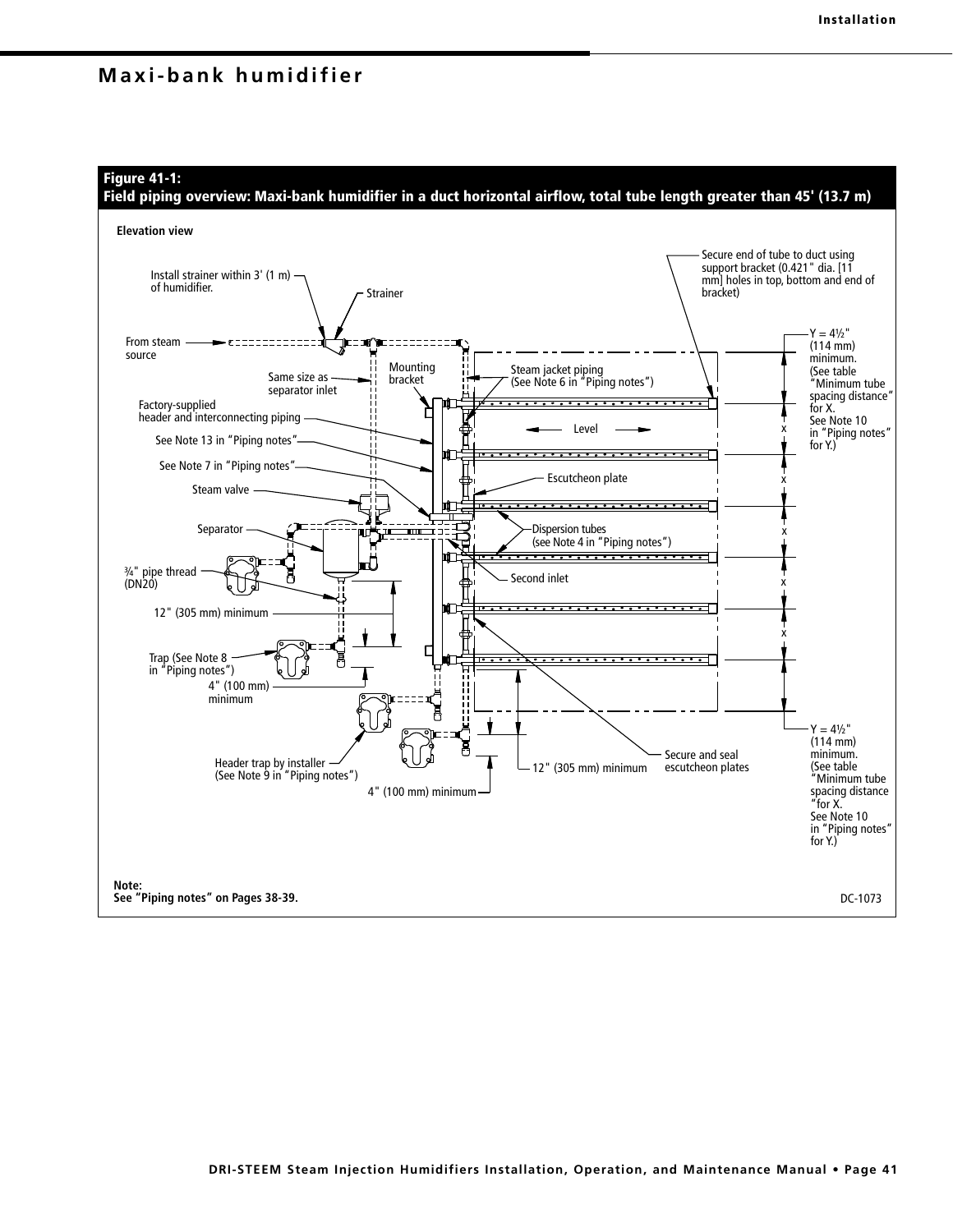## **Figure 41-1:**

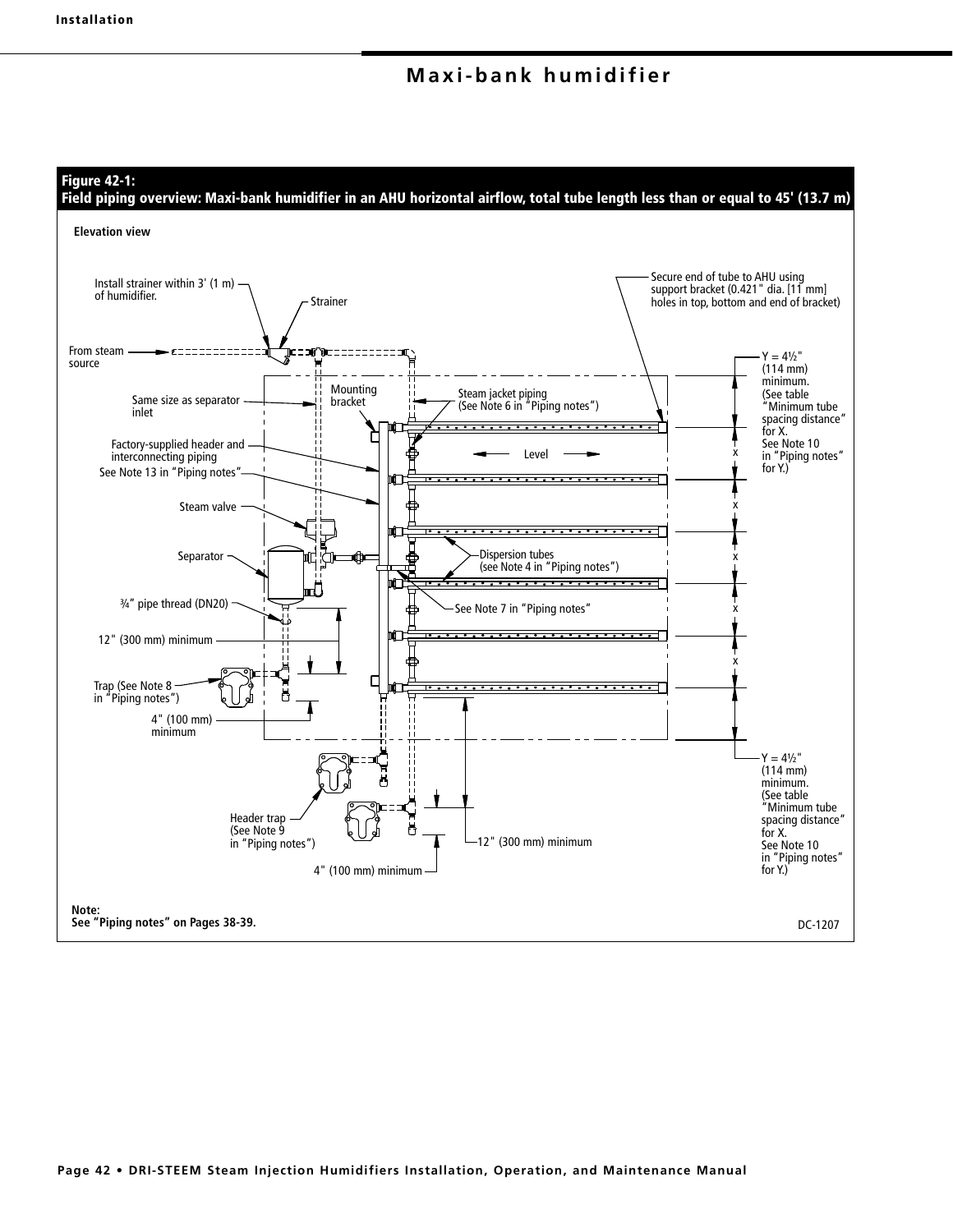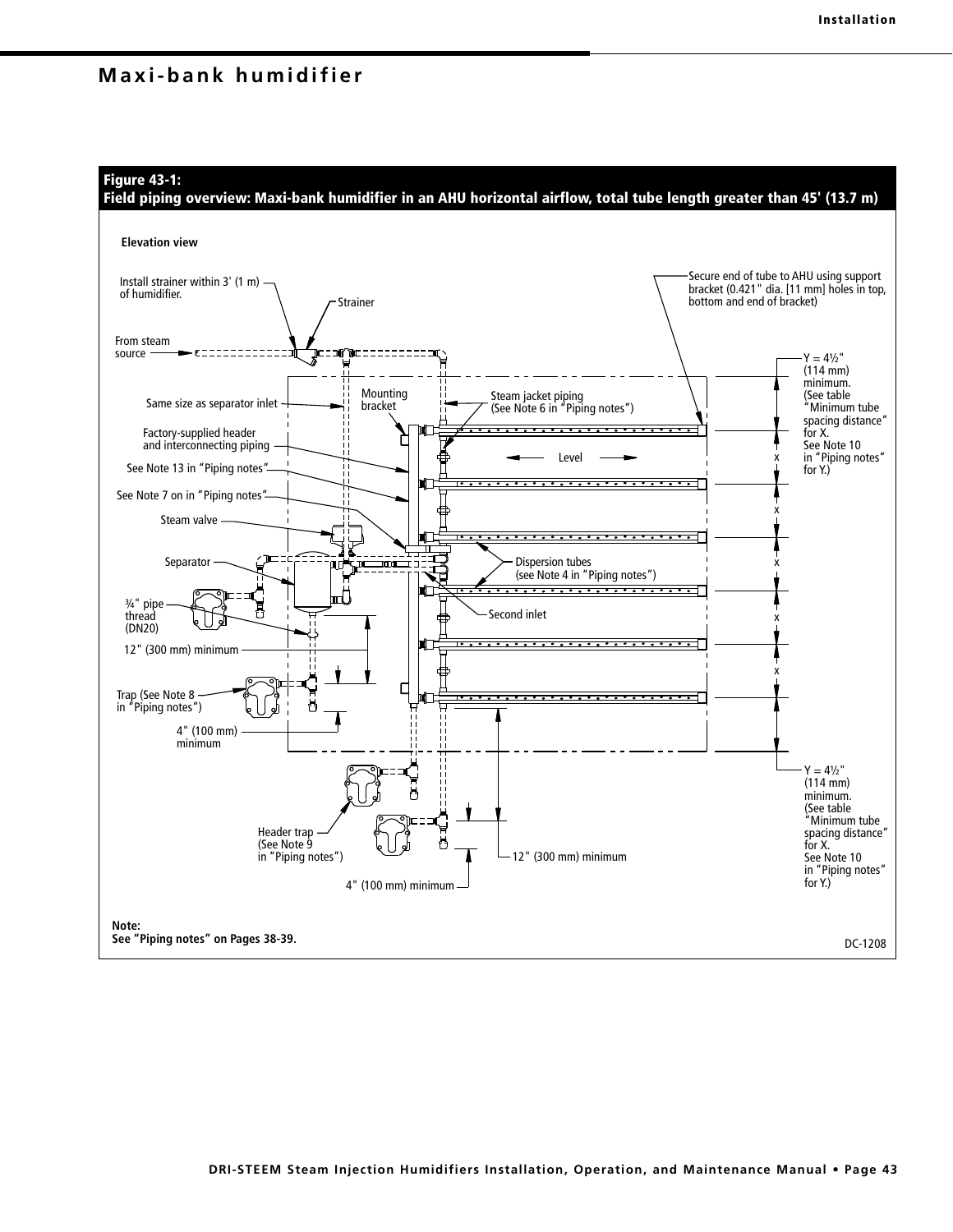**Figure 43-1:** 

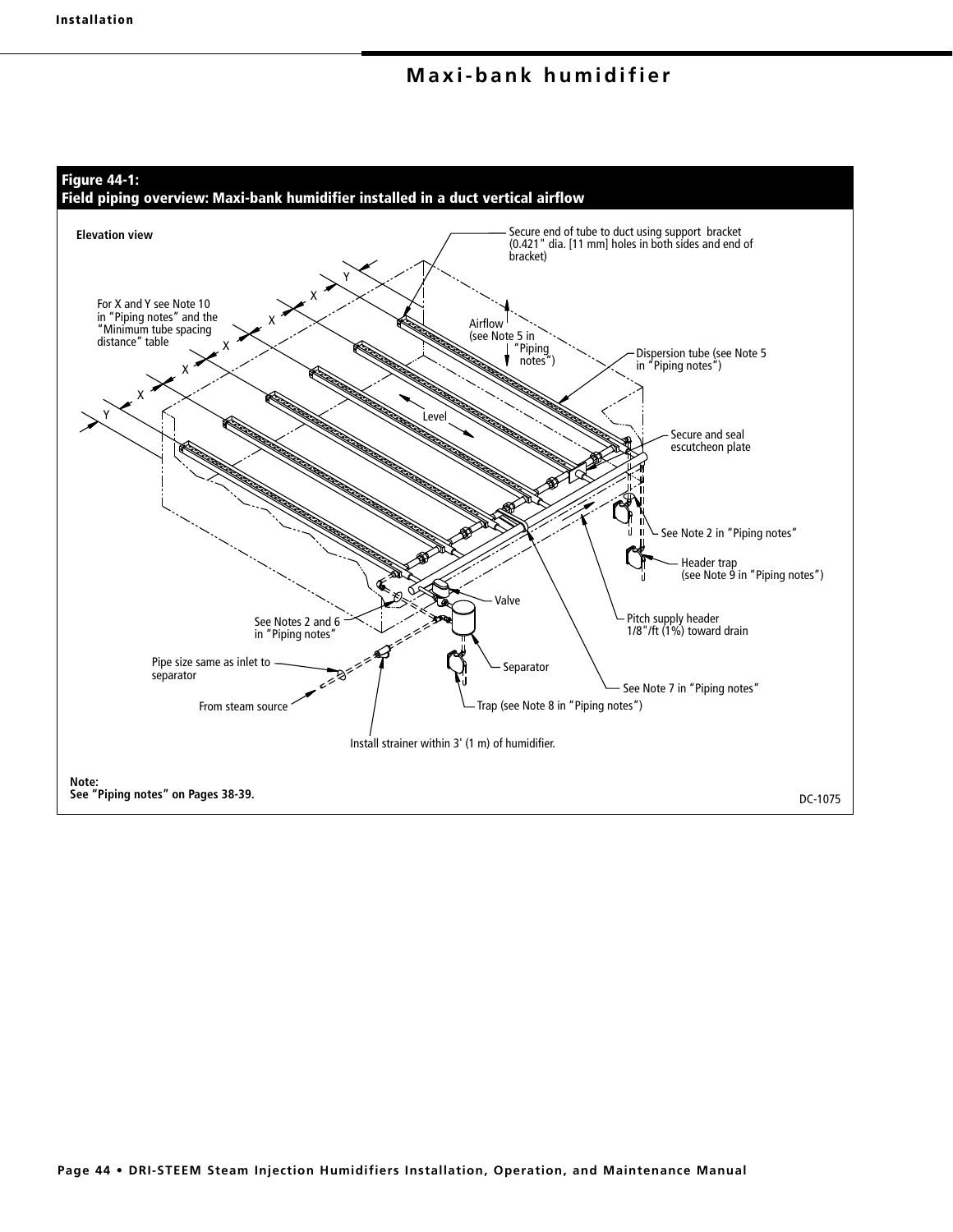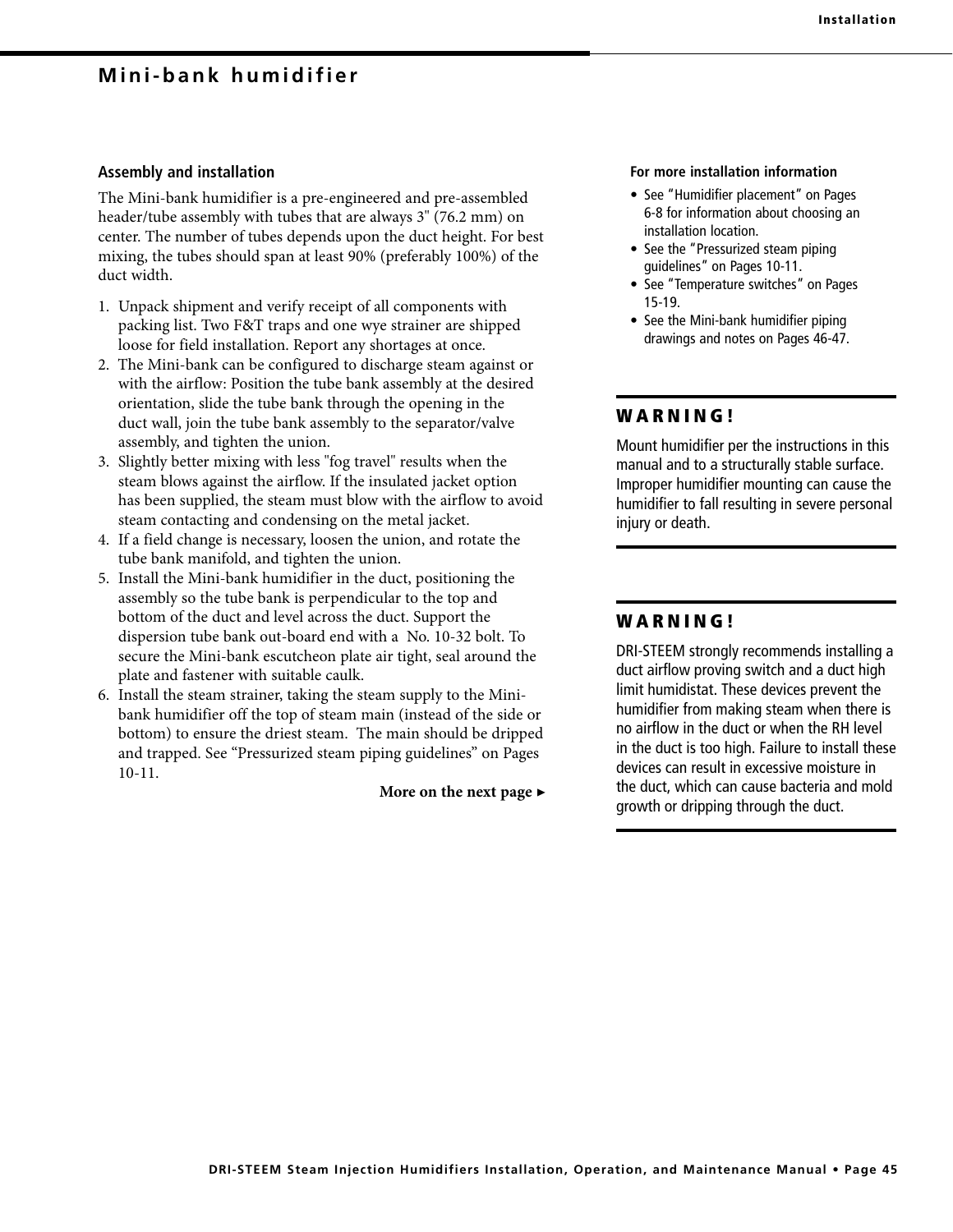## **Mini-bank humidifier**

#### **Assembly and installation**

The Mini-bank humidifier is a pre-engineered and pre-assembled header/tube assembly with tubes that are always 3" (76.2 mm) on center. The number of tubes depends upon the duct height. For best mixing, the tubes should span at least 90% (preferably 100%) of the duct width.

- 1. Unpack shipment and verify receipt of all components with packing list. Two F&T traps and one wye strainer are shipped loose for field installation. Report any shortages at once.
- 2. The Mini-bank can be configured to discharge steam against or with the airflow: Position the tube bank assembly at the desired orientation, slide the tube bank through the opening in the duct wall, join the tube bank assembly to the separator/valve assembly, and tighten the union.
- 3. Slightly better mixing with less "fog travel" results when the steam blows against the airflow. If the insulated jacket option has been supplied, the steam must blow with the airflow to avoid steam contacting and condensing on the metal jacket.
- 4. If a field change is necessary, loosen the union, and rotate the tube bank manifold, and tighten the union.
- 5. Install the Mini-bank humidifier in the duct, positioning the assembly so the tube bank is perpendicular to the top and bottom of the duct and level across the duct. Support the dispersion tube bank out-board end with a No. 10-32 bolt. To secure the Mini-bank escutcheon plate air tight, seal around the plate and fastener with suitable caulk.
- 6. Install the steam strainer, taking the steam supply to the Minibank humidifier off the top of steam main (instead of the side or bottom) to ensure the driest steam. The main should be dripped and trapped. See "Pressurized steam piping guidelines" on Pages 10-11.

**More on the next page** ▶

#### **For more installation information**

- See "Humidifier placement" on Pages 6-8 for information about choosing an installation location.
- See the "Pressurized steam piping guidelines" on Pages 10-11.
- See "Temperature switches" on Pages 15-19.
- See the Mini-bank humidifier piping drawings and notes on Pages 46-47.

## **W A R N I N G !**

Mount humidifier per the instructions in this manual and to a structurally stable surface. Improper humidifier mounting can cause the humidifier to fall resulting in severe personal injury or death.

## **W A R N I N G !**

DRI-STEEM strongly recommends installing a duct airflow proving switch and a duct high limit humidistat. These devices prevent the humidifier from making steam when there is no airflow in the duct or when the RH level in the duct is too high. Failure to install these devices can result in excessive moisture in the duct, which can cause bacteria and mold growth or dripping through the duct.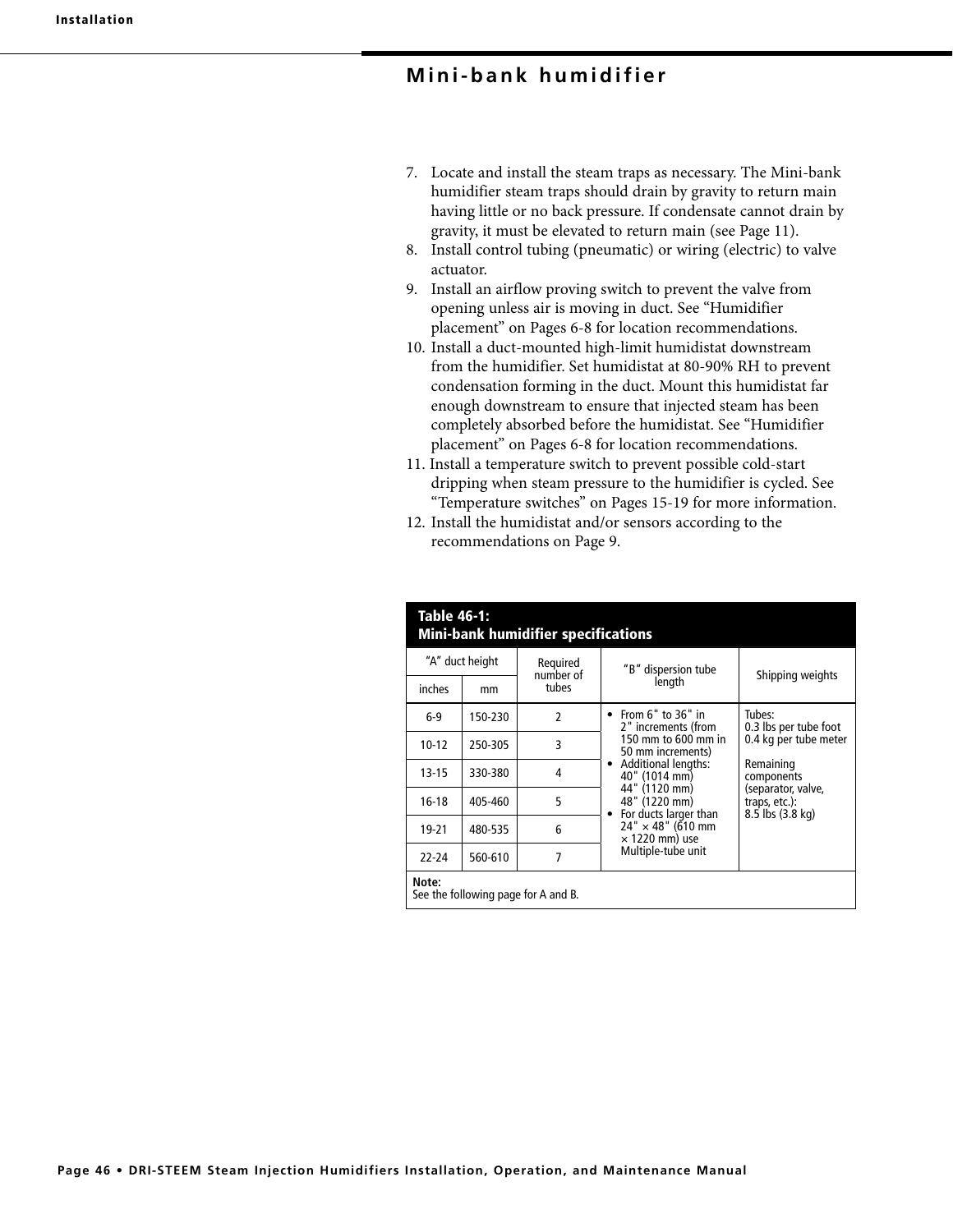## **Mini-bank humidifier**

- 7. Locate and install the steam traps as necessary. The Mini-bank humidifier steam traps should drain by gravity to return main having little or no back pressure. If condensate cannot drain by gravity, it must be elevated to return main (see Page 11).
- 8. Install control tubing (pneumatic) or wiring (electric) to valve actuator.
- 9. Install an airflow proving switch to prevent the valve from opening unless air is moving in duct. See "Humidifier placement" on Pages 6-8 for location recommendations.
- 10. Install a duct-mounted high-limit humidistat downstream from the humidifier. Set humidistat at 80-90% RH to prevent condensation forming in the duct. Mount this humidistat far enough downstream to ensure that injected steam has been completely absorbed before the humidistat. See "Humidifier placement" on Pages 6-8 for location recommendations.
- 11. Install a temperature switch to prevent possible cold-start dripping when steam pressure to the humidifier is cycled. See "Temperature switches" on Pages 15-19 for more information.
- 12. Install the humidistat and/or sensors according to the recommendations on Page 9.

| "A" duct height |         | Reguired           | "B" dispersion tube                                                  |                                                                                    |  |
|-----------------|---------|--------------------|----------------------------------------------------------------------|------------------------------------------------------------------------------------|--|
| inches          | mm      | number of<br>tubes | length                                                               | Shipping weights                                                                   |  |
| $6-9$           | 150-230 | $\mathfrak z$      | • From $6"$ to $36"$ in<br>2" increments (from                       | Tubes:<br>0.3 lbs per tube foot                                                    |  |
| $10-12$         | 250-305 | 3                  | 150 mm to 600 mm in<br>50 mm increments)                             | 0.4 kg per tube meter                                                              |  |
| $13-15$         | 330-380 | 4                  | <b>Additional lengths:</b><br>$\bullet$<br>40" (1014 mm)             | Remaining<br>components<br>(separator, valve,<br>traps, etc.):<br>8.5 lbs (3.8 kg) |  |
| $16-18$         | 405-460 | 5                  | 44" (1120 mm)<br>48" (1220 mm)<br>For ducts larger than<br>$\bullet$ |                                                                                    |  |
| $19 - 21$       | 480-535 | 6                  | $24'' \times 48''$ (610 mm<br>$\times$ 1220 mm) use                  |                                                                                    |  |
| 22-24           | 560-610 | 7                  | Multiple-tube unit                                                   |                                                                                    |  |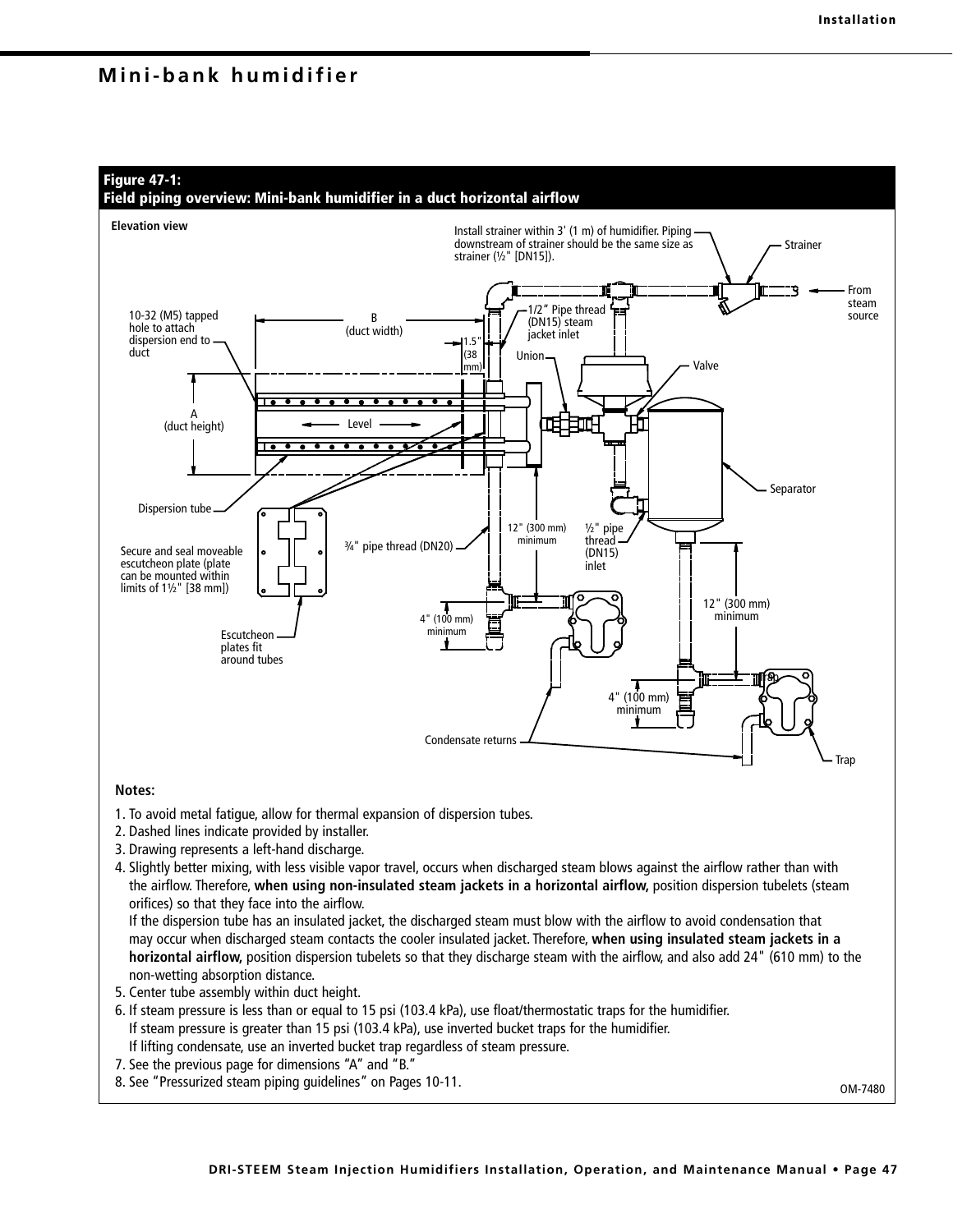## **Mini-bank humidifier**



- 7. See the previous page for dimensions "A" and "B."
- 8. See "Pressurized steam piping guidelines" on Pages 10-11.

OM-7480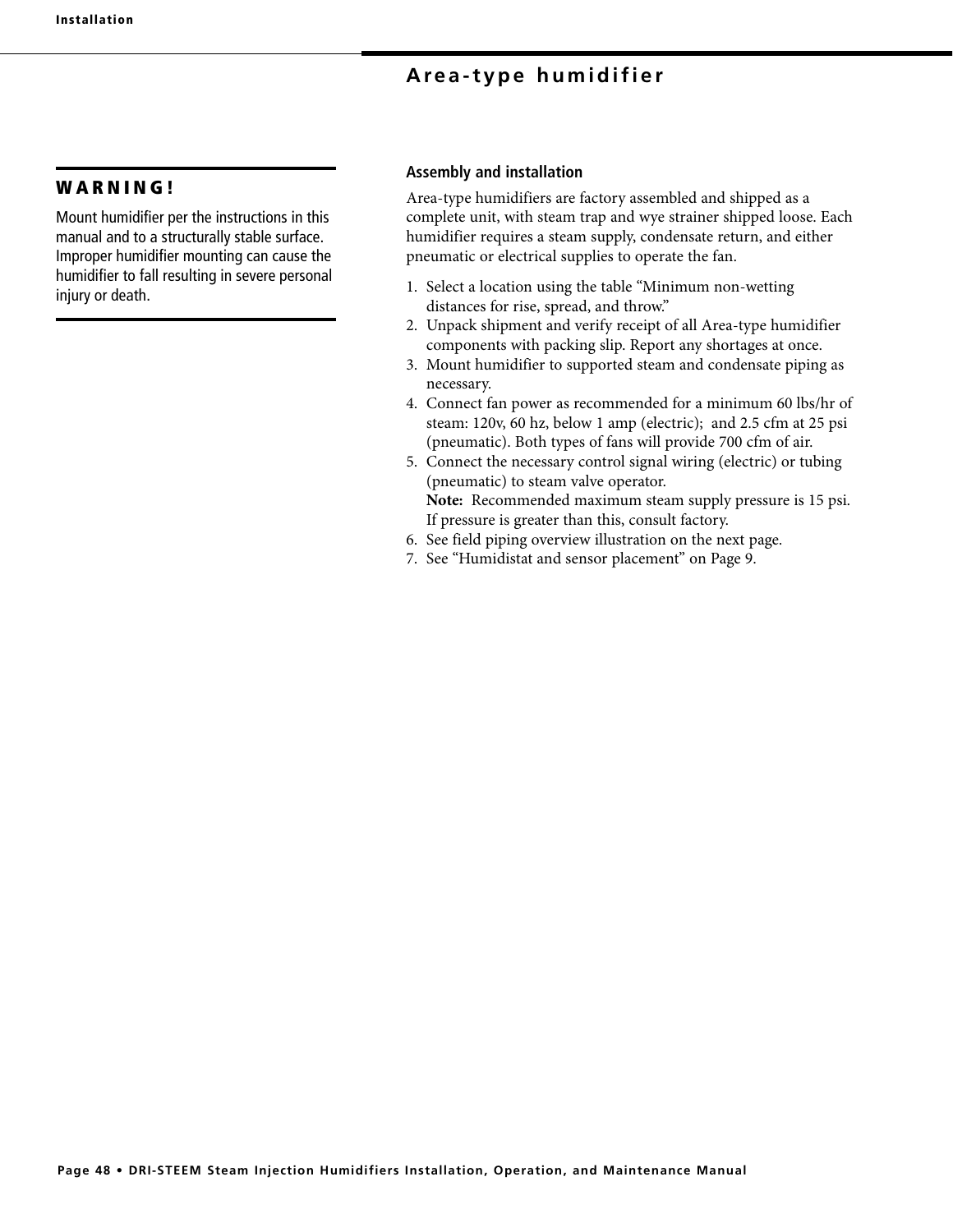# **Area-type humidifier**

## **W A R N I N G !**

Mount humidifier per the instructions in this manual and to a structurally stable surface. Improper humidifier mounting can cause the humidifier to fall resulting in severe personal injury or death.

#### **Assembly and installation**

Area-type humidifiers are factory assembled and shipped as a complete unit, with steam trap and wye strainer shipped loose. Each humidifier requires a steam supply, condensate return, and either pneumatic or electrical supplies to operate the fan.

- 1. Select a location using the table "Minimum non-wetting distances for rise, spread, and throw."
- 2. Unpack shipment and verify receipt of all Area-type humidifier components with packing slip. Report any shortages at once.
- 3. Mount humidifier to supported steam and condensate piping as necessary.
- 4. Connect fan power as recommended for a minimum 60 lbs/hr of steam: 120v, 60 hz, below 1 amp (electric); and 2.5 cfm at 25 psi (pneumatic). Both types of fans will provide 700 cfm of air.
- 5. Connect the necessary control signal wiring (electric) or tubing (pneumatic) to steam valve operator. **Note:** Recommended maximum steam supply pressure is 15 psi. If pressure is greater than this, consult factory.
- 6. See field piping overview illustration on the next page.
- 7. See "Humidistat and sensor placement" on Page 9.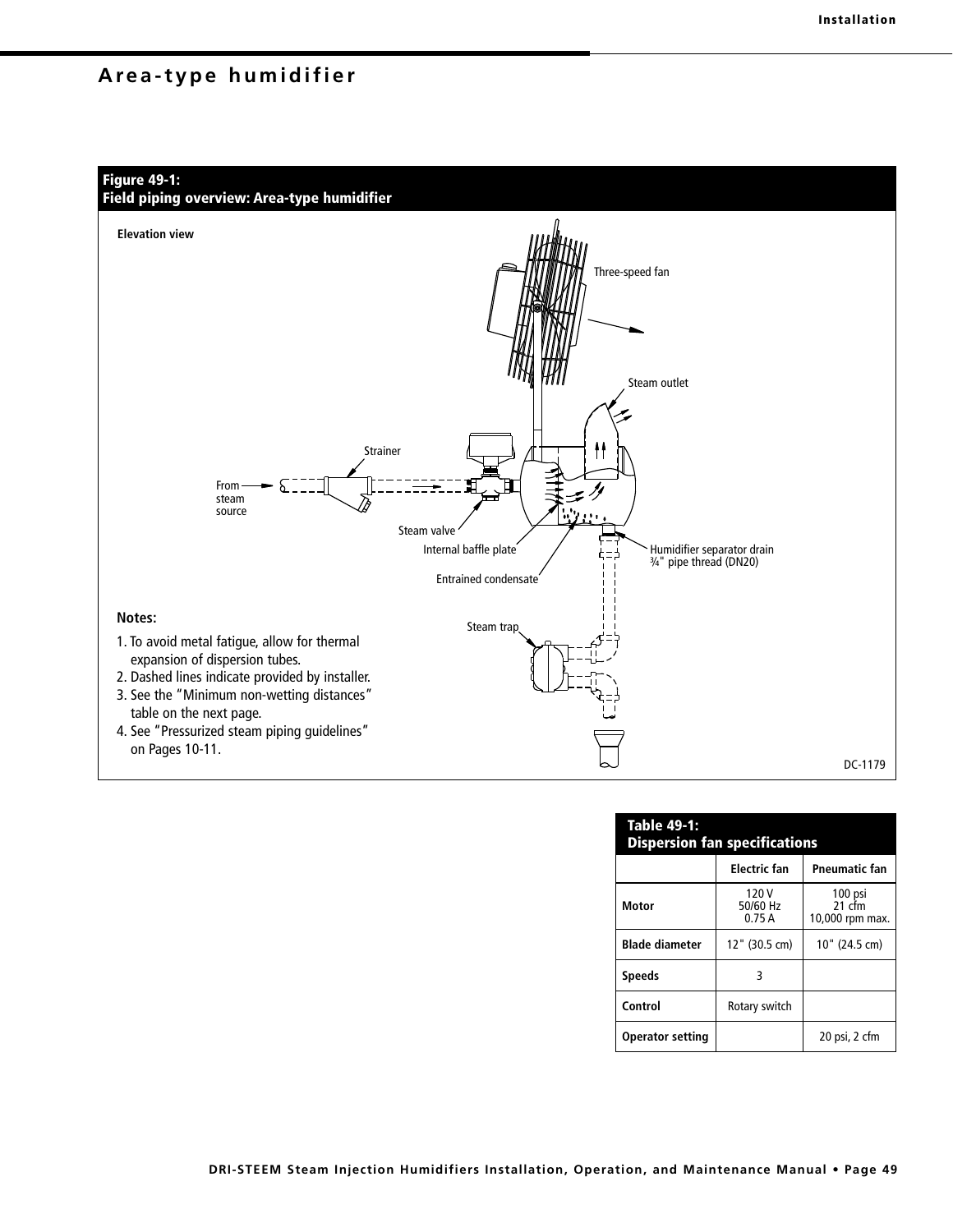## **Area-type humidifier**



| <b>Table 49-1:</b><br><b>Dispersion fan specifications</b> |                            |                                        |  |  |  |  |
|------------------------------------------------------------|----------------------------|----------------------------------------|--|--|--|--|
|                                                            | <b>Electric fan</b>        | <b>Pneumatic fan</b>                   |  |  |  |  |
| Motor                                                      | 120 V<br>50/60 Hz<br>0.75A | 100 psi<br>$21$ cfm<br>10,000 rpm max. |  |  |  |  |
| <b>Blade diameter</b>                                      | 12" (30.5 cm)              | 10" (24.5 cm)                          |  |  |  |  |
| <b>Speeds</b>                                              | 3                          |                                        |  |  |  |  |
| Control                                                    | Rotary switch              |                                        |  |  |  |  |
| <b>Operator setting</b>                                    |                            | 20 psi, 2 cfm                          |  |  |  |  |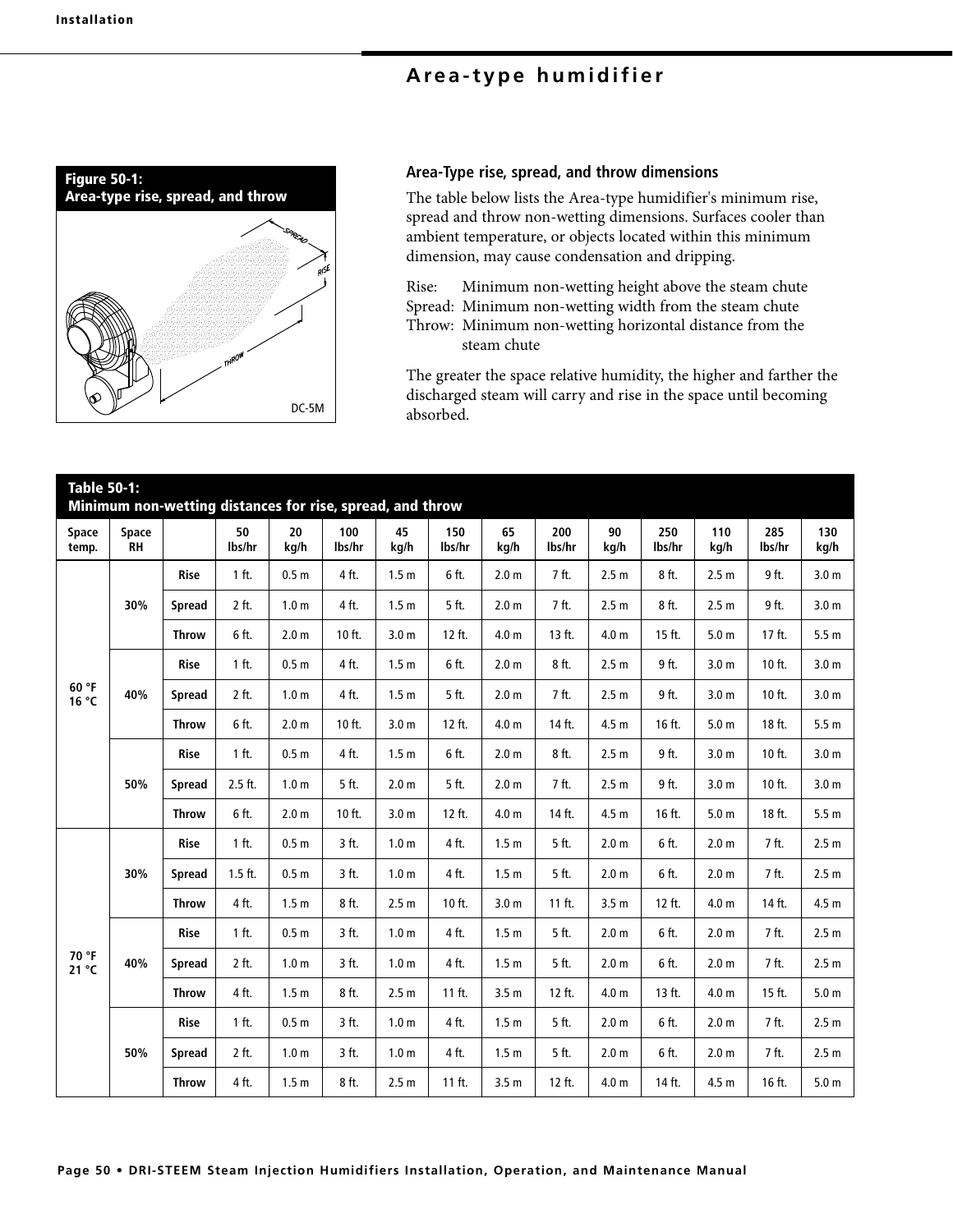# **Area-type humidifier**



## **Area-Type rise, spread, and throw dimensions**

The table below lists the Area-type humidifier's minimum rise, spread and throw non-wetting dimensions. Surfaces cooler than ambient temperature, or objects located within this minimum dimension, may cause condensation and dripping.

Rise: Minimum non-wetting height above the steam chute

Spread: Minimum non-wetting width from the steam chute Throw: Minimum non-wetting horizontal distance from the steam chute

The greater the space relative humidity, the higher and farther the discharged steam will carry and rise in the space until becoming absorbed.

| <b>Table 50-1:</b> |                    | Minimum non-wetting distances for rise, spread, and throw |              |                  |               |                  |               |                  |               |                  |               |                  |               |                  |
|--------------------|--------------------|-----------------------------------------------------------|--------------|------------------|---------------|------------------|---------------|------------------|---------------|------------------|---------------|------------------|---------------|------------------|
| Space<br>temp.     | Space<br><b>RH</b> |                                                           | 50<br>lbs/hr | 20<br>kg/h       | 100<br>lbs/hr | 45<br>kg/h       | 150<br>lbs/hr | 65<br>kg/h       | 200<br>lbs/hr | 90<br>kg/h       | 250<br>lbs/hr | 110<br>kg/h      | 285<br>lbs/hr | 130<br>kg/h      |
|                    |                    | <b>Rise</b>                                               | 1 ft.        | 0.5 <sub>m</sub> | 4 ft.         | 1.5 <sub>m</sub> | 6 ft.         | 2.0 <sub>m</sub> | 7 ft.         | 2.5 <sub>m</sub> | 8 ft.         | 2.5 <sub>m</sub> | 9 ft.         | 3.0 <sub>m</sub> |
|                    | 30%                | <b>Spread</b>                                             | 2 ft.        | 1.0 <sub>m</sub> | 4 ft.         | 1.5 <sub>m</sub> | 5 ft.         | 2.0 <sub>m</sub> | 7 ft.         | 2.5 <sub>m</sub> | 8 ft.         | 2.5 <sub>m</sub> | 9 ft.         | 3.0 <sub>m</sub> |
|                    |                    | <b>Throw</b>                                              | 6 ft.        | 2.0 <sub>m</sub> | 10 ft.        | 3.0 <sub>m</sub> | 12 ft.        | 4.0 <sub>m</sub> | 13 ft.        | 4.0 m            | 15 ft.        | 5.0 <sub>m</sub> | 17 ft.        | 5.5 <sub>m</sub> |
|                    |                    | Rise                                                      | 1 ft.        | 0.5 <sub>m</sub> | 4 ft.         | 1.5 <sub>m</sub> | 6 ft.         | 2.0 <sub>m</sub> | 8 ft.         | 2.5 <sub>m</sub> | 9 ft.         | 3.0 <sub>m</sub> | $10$ ft.      | 3.0 <sub>m</sub> |
| 60 °F<br>16 °C     | 40%                | <b>Spread</b>                                             | 2 ft.        | 1.0 <sub>m</sub> | 4 ft.         | 1.5 <sub>m</sub> | 5 ft.         | 2.0 <sub>m</sub> | 7 ft.         | 2.5 <sub>m</sub> | 9 ft.         | 3.0 <sub>m</sub> | 10 ft.        | 3.0 <sub>m</sub> |
|                    |                    | <b>Throw</b>                                              | 6 ft.        | 2.0 <sub>m</sub> | 10 ft.        | 3.0 <sub>m</sub> | 12 ft.        | 4.0 <sub>m</sub> | 14 ft.        | 4.5 m            | 16 ft.        | 5.0 <sub>m</sub> | 18 ft.        | 5.5 <sub>m</sub> |
|                    |                    | Rise                                                      | 1 ft.        | 0.5 <sub>m</sub> | 4 ft.         | 1.5 <sub>m</sub> | 6 ft.         | 2.0 <sub>m</sub> | 8 ft.         | 2.5 <sub>m</sub> | 9 ft.         | 3.0 <sub>m</sub> | 10 ft.        | 3.0 <sub>m</sub> |
|                    | 50%                | <b>Spread</b>                                             | 2.5 ft.      | 1.0 <sub>m</sub> | 5 ft.         | 2.0 <sub>m</sub> | 5 ft.         | 2.0 <sub>m</sub> | 7 ft.         | 2.5 <sub>m</sub> | 9 ft.         | 3.0 <sub>m</sub> | 10 ft.        | 3.0 <sub>m</sub> |
|                    |                    | <b>Throw</b>                                              | 6 ft.        | 2.0 <sub>m</sub> | 10 ft.        | 3.0 <sub>m</sub> | 12 ft.        | 4.0 <sub>m</sub> | 14 ft.        | 4.5 <sub>m</sub> | 16 ft.        | 5.0 <sub>m</sub> | 18 ft.        | 5.5 <sub>m</sub> |
|                    |                    | Rise                                                      | 1 ft.        | 0.5 <sub>m</sub> | 3 ft.         | 1.0 <sub>m</sub> | 4 ft.         | 1.5 <sub>m</sub> | 5 ft.         | 2.0 <sub>m</sub> | 6 ft.         | 2.0 <sub>m</sub> | 7 ft.         | 2.5 <sub>m</sub> |
|                    | 30%                | <b>Spread</b>                                             | $1.5$ ft.    | 0.5 <sub>m</sub> | 3 ft.         | 1.0 <sub>m</sub> | 4 ft.         | 1.5 <sub>m</sub> | 5 ft.         | 2.0 <sub>m</sub> | 6 ft.         | 2.0 <sub>m</sub> | 7 ft.         | 2.5 <sub>m</sub> |
|                    |                    | <b>Throw</b>                                              | 4 ft.        | 1.5 <sub>m</sub> | 8 ft.         | 2.5 <sub>m</sub> | 10 ft.        | 3.0 <sub>m</sub> | 11 ft.        | 3.5 <sub>m</sub> | 12 ft.        | 4.0 m            | 14 ft.        | 4.5 <sub>m</sub> |
|                    |                    | <b>Rise</b>                                               | 1 ft.        | 0.5 <sub>m</sub> | 3 ft.         | 1.0 <sub>m</sub> | 4 ft.         | 1.5 <sub>m</sub> | 5 ft.         | 2.0 <sub>m</sub> | 6 ft.         | 2.0 <sub>m</sub> | 7 ft.         | 2.5 <sub>m</sub> |
| 70 °F<br>21 °C     | 40%                | <b>Spread</b>                                             | 2 ft.        | 1.0 <sub>m</sub> | 3 ft.         | 1.0 <sub>m</sub> | 4 ft.         | 1.5 <sub>m</sub> | 5 ft.         | 2.0 <sub>m</sub> | 6 ft.         | 2.0 <sub>m</sub> | 7 ft.         | 2.5 <sub>m</sub> |
|                    |                    | <b>Throw</b>                                              | 4 ft.        | 1.5 <sub>m</sub> | 8 ft.         | 2.5 <sub>m</sub> | 11 ft.        | 3.5 <sub>m</sub> | 12 ft.        | 4.0 <sub>m</sub> | 13 ft.        | 4.0 <sub>m</sub> | 15 ft.        | 5.0 <sub>m</sub> |
|                    |                    | Rise                                                      | 1 ft.        | 0.5 <sub>m</sub> | 3 ft.         | 1.0 <sub>m</sub> | 4 ft.         | 1.5 <sub>m</sub> | 5 ft.         | 2.0 <sub>m</sub> | 6 ft.         | 2.0 <sub>m</sub> | 7 ft.         | 2.5 <sub>m</sub> |
|                    | 50%                | <b>Spread</b>                                             | 2 ft.        | 1.0 <sub>m</sub> | 3 ft.         | 1.0 <sub>m</sub> | 4 ft.         | 1.5 <sub>m</sub> | 5 ft.         | 2.0 <sub>m</sub> | 6 ft.         | 2.0 <sub>m</sub> | 7 ft.         | 2.5 <sub>m</sub> |
|                    |                    | <b>Throw</b>                                              | 4 ft.        | 1.5 <sub>m</sub> | 8 ft.         | 2.5 <sub>m</sub> | 11 ft.        | 3.5 <sub>m</sub> | 12 ft.        | 4.0 <sub>m</sub> | 14 ft.        | 4.5 m            | 16 ft.        | 5.0 <sub>m</sub> |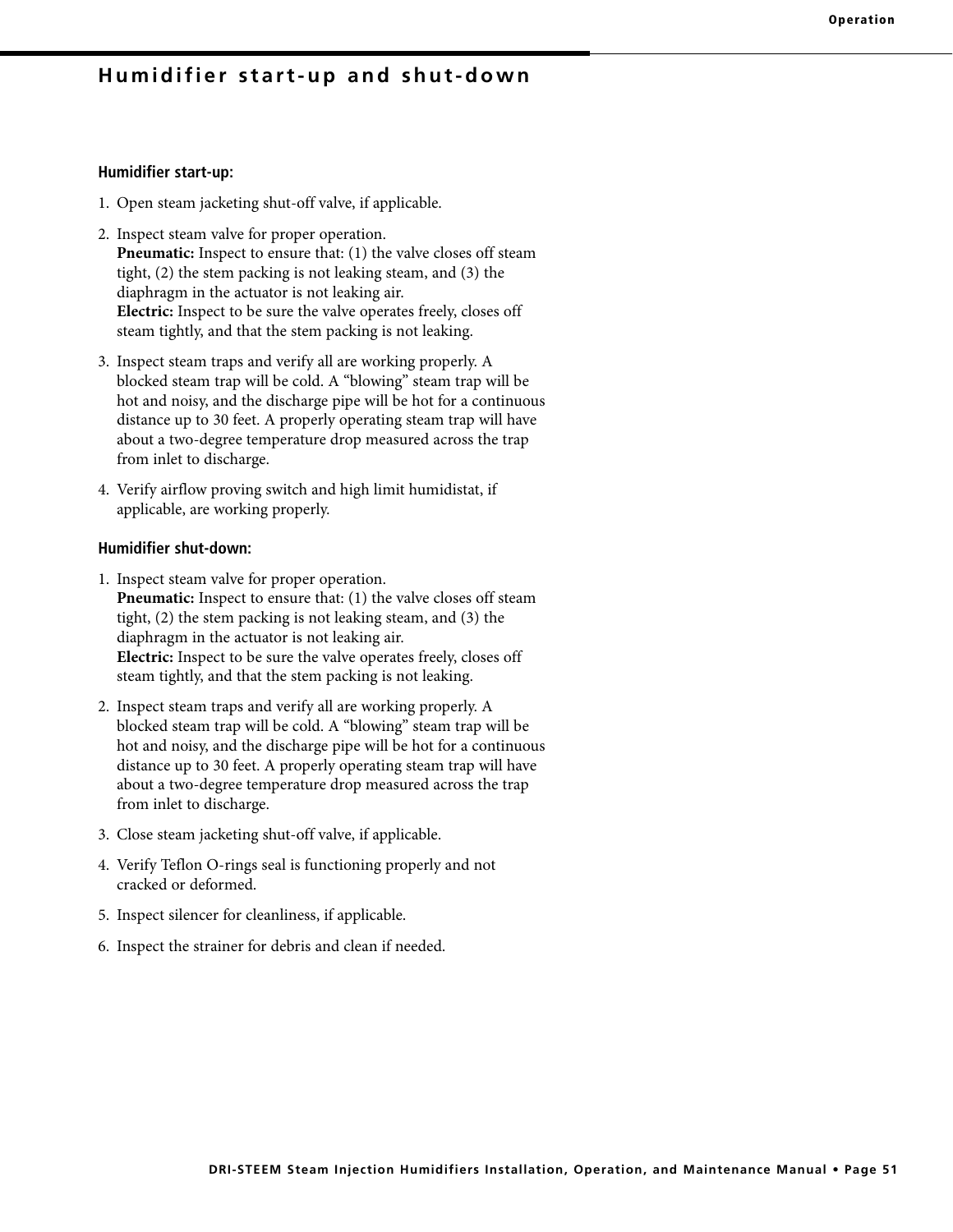## **Humidifier start-up and shut-down**

#### **Humidifier start-up:**

- 1. Open steam jacketing shut-off valve, if applicable.
- 2. Inspect steam valve for proper operation. **Pneumatic:** Inspect to ensure that: (1) the valve closes off steam tight, (2) the stem packing is not leaking steam, and (3) the diaphragm in the actuator is not leaking air. **Electric:** Inspect to be sure the valve operates freely, closes off steam tightly, and that the stem packing is not leaking.
- 3. Inspect steam traps and verify all are working properly. A blocked steam trap will be cold. A "blowing" steam trap will be hot and noisy, and the discharge pipe will be hot for a continuous distance up to 30 feet. A properly operating steam trap will have about a two-degree temperature drop measured across the trap from inlet to discharge.
- 4. Verify airflow proving switch and high limit humidistat, if applicable, are working properly.

#### **Humidifier shut-down:**

- 1. Inspect steam valve for proper operation. **Pneumatic:** Inspect to ensure that: (1) the valve closes off steam tight, (2) the stem packing is not leaking steam, and (3) the diaphragm in the actuator is not leaking air. **Electric:** Inspect to be sure the valve operates freely, closes off steam tightly, and that the stem packing is not leaking.
- 2. Inspect steam traps and verify all are working properly. A blocked steam trap will be cold. A "blowing" steam trap will be hot and noisy, and the discharge pipe will be hot for a continuous distance up to 30 feet. A properly operating steam trap will have about a two-degree temperature drop measured across the trap from inlet to discharge.
- 3. Close steam jacketing shut-off valve, if applicable.
- 4. Verify Teflon O-rings seal is functioning properly and not cracked or deformed.
- 5. Inspect silencer for cleanliness, if applicable.
- 6. Inspect the strainer for debris and clean if needed.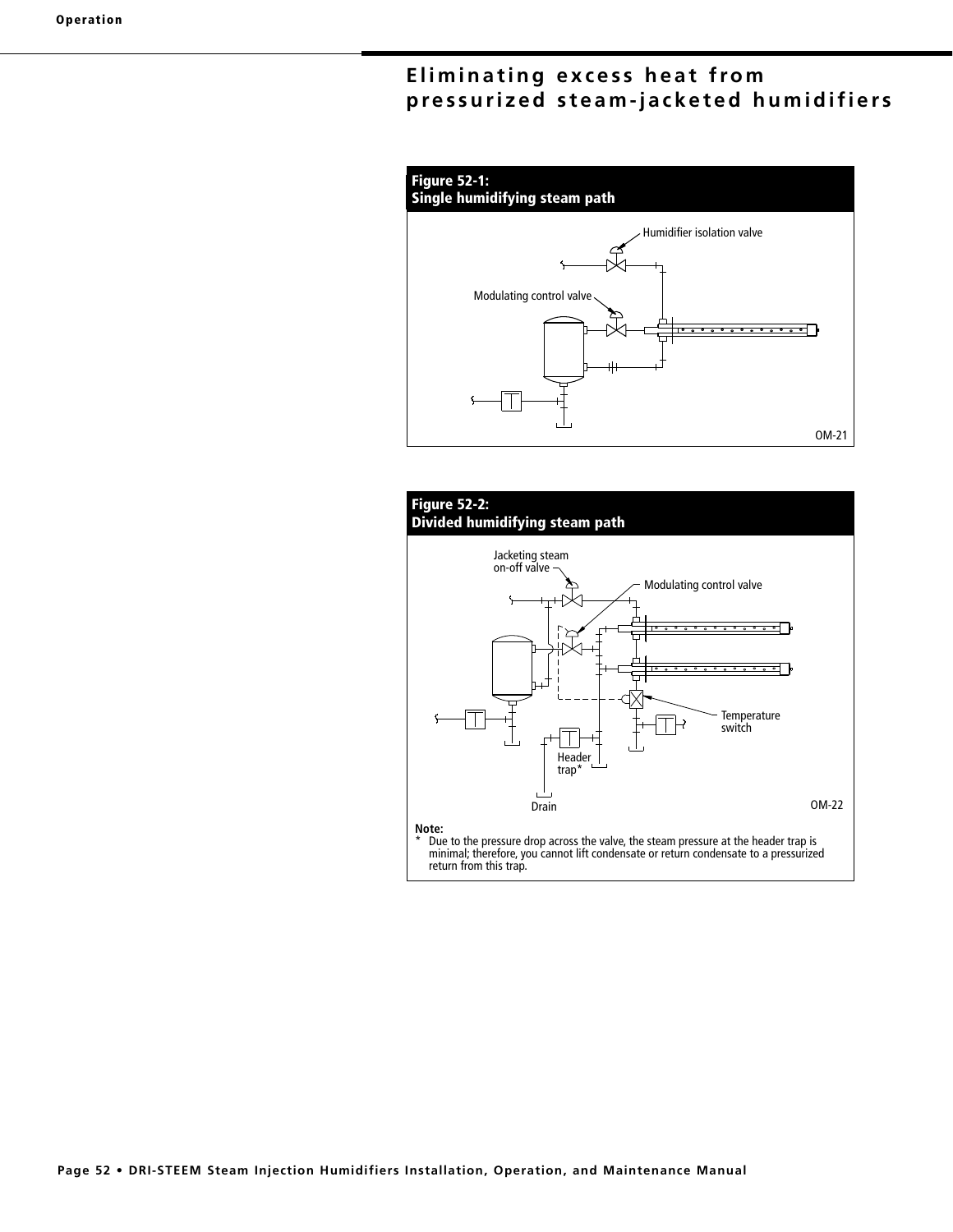# **Eliminating excess heat from pressurized steam-jacketed humidifiers**



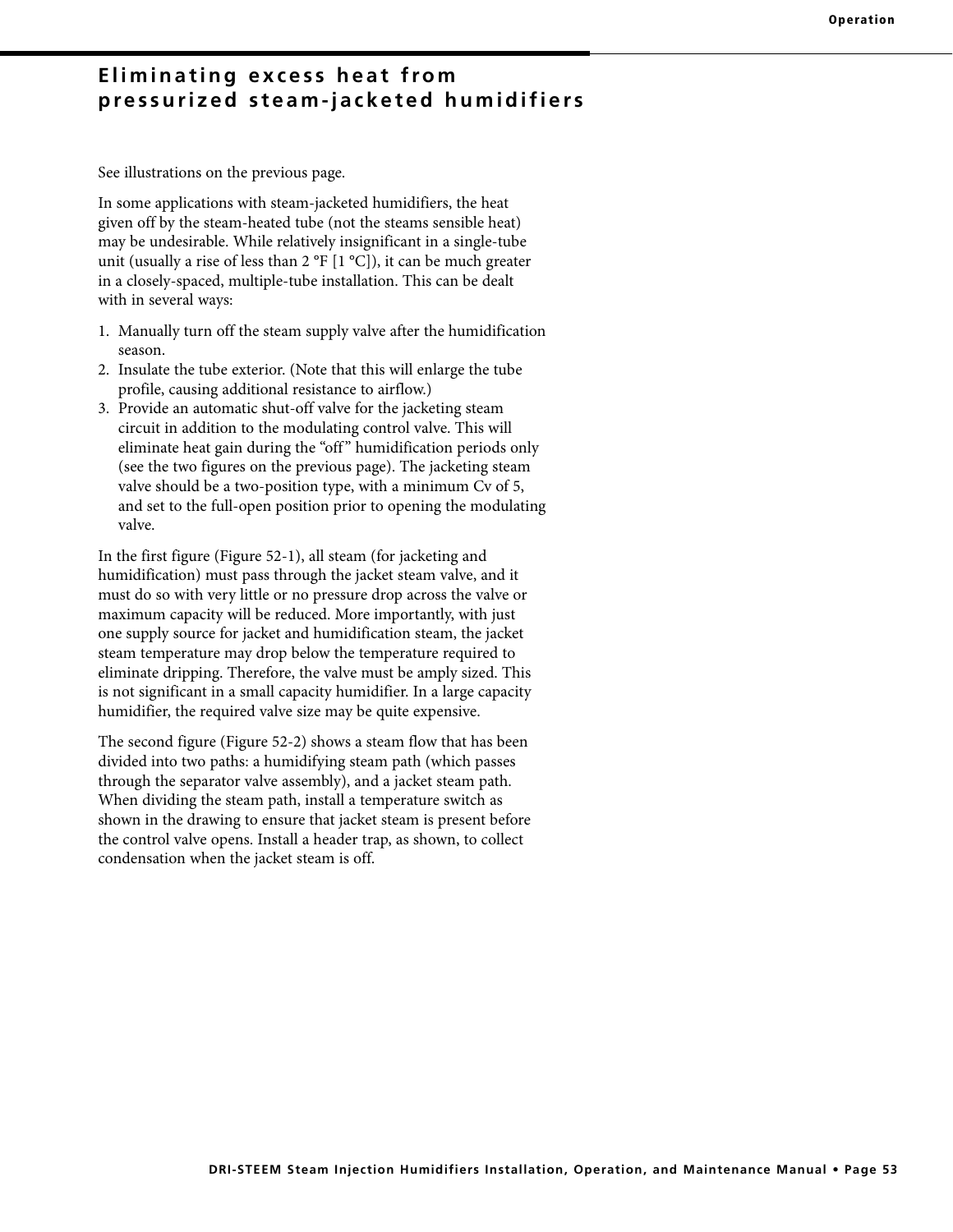## **Eliminating excess heat from pressurized steam-jacketed humidifiers**

See illustrations on the previous page.

In some applications with steam-jacketed humidifiers, the heat given off by the steam-heated tube (not the steams sensible heat) may be undesirable. While relatively insignificant in a single-tube unit (usually a rise of less than 2  $\mathrm{P}$  [1  $\mathrm{C}$ ]), it can be much greater in a closely-spaced, multiple-tube installation. This can be dealt with in several ways:

- 1. Manually turn off the steam supply valve after the humidification season.
- 2. Insulate the tube exterior. (Note that this will enlarge the tube profile, causing additional resistance to airflow.)
- 3. Provide an automatic shut-off valve for the jacketing steam circuit in addition to the modulating control valve. This will eliminate heat gain during the "off" humidification periods only (see the two figures on the previous page). The jacketing steam valve should be a two-position type, with a minimum Cv of 5, and set to the full-open position prior to opening the modulating valve.

In the first figure (Figure 52-1), all steam (for jacketing and humidification) must pass through the jacket steam valve, and it must do so with very little or no pressure drop across the valve or maximum capacity will be reduced. More importantly, with just one supply source for jacket and humidification steam, the jacket steam temperature may drop below the temperature required to eliminate dripping. Therefore, the valve must be amply sized. This is not significant in a small capacity humidifier. In a large capacity humidifier, the required valve size may be quite expensive.

The second figure (Figure 52-2) shows a steam flow that has been divided into two paths: a humidifying steam path (which passes through the separator valve assembly), and a jacket steam path. When dividing the steam path, install a temperature switch as shown in the drawing to ensure that jacket steam is present before the control valve opens. Install a header trap, as shown, to collect condensation when the jacket steam is off.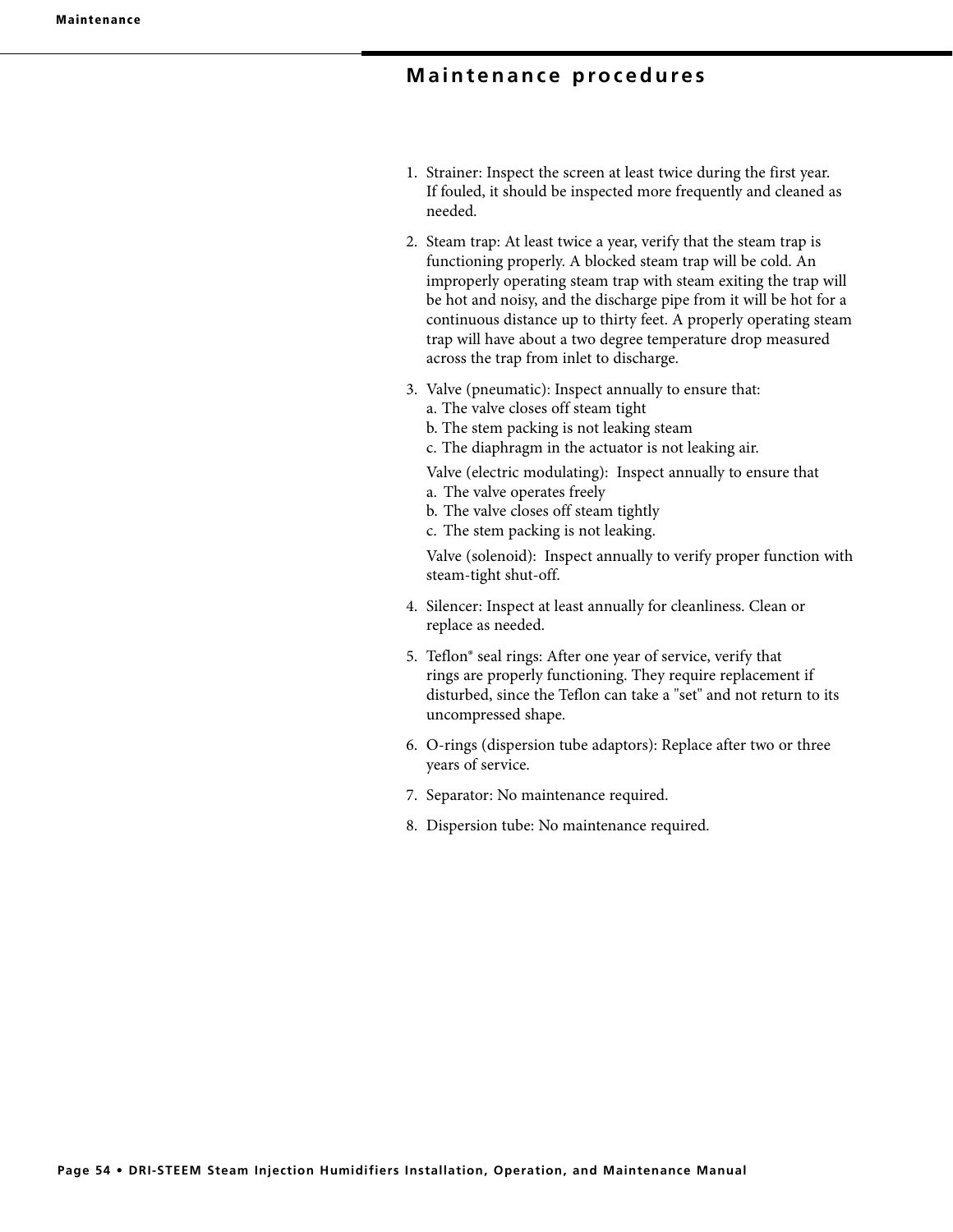## **Maintenance procedures**

- 1. Strainer: Inspect the screen at least twice during the first year. If fouled, it should be inspected more frequently and cleaned as needed.
- 2. Steam trap: At least twice a year, verify that the steam trap is functioning properly. A blocked steam trap will be cold. An improperly operating steam trap with steam exiting the trap will be hot and noisy, and the discharge pipe from it will be hot for a continuous distance up to thirty feet. A properly operating steam trap will have about a two degree temperature drop measured across the trap from inlet to discharge.
- 3. Valve (pneumatic): Inspect annually to ensure that:
	- a. The valve closes off steam tight
	- b. The stem packing is not leaking steam
	- c. The diaphragm in the actuator is not leaking air.

Valve (electric modulating): Inspect annually to ensure that

- a. The valve operates freely
- b. The valve closes off steam tightly
- c. The stem packing is not leaking.

 Valve (solenoid): Inspect annually to verify proper function with steam-tight shut-off.

- 4. Silencer: Inspect at least annually for cleanliness. Clean or replace as needed.
- 5. Teflon® seal rings: After one year of service, verify that rings are properly functioning. They require replacement if disturbed, since the Teflon can take a "set" and not return to its uncompressed shape.
- 6. O-rings (dispersion tube adaptors): Replace after two or three years of service.
- 7. Separator: No maintenance required.
- 8. Dispersion tube: No maintenance required.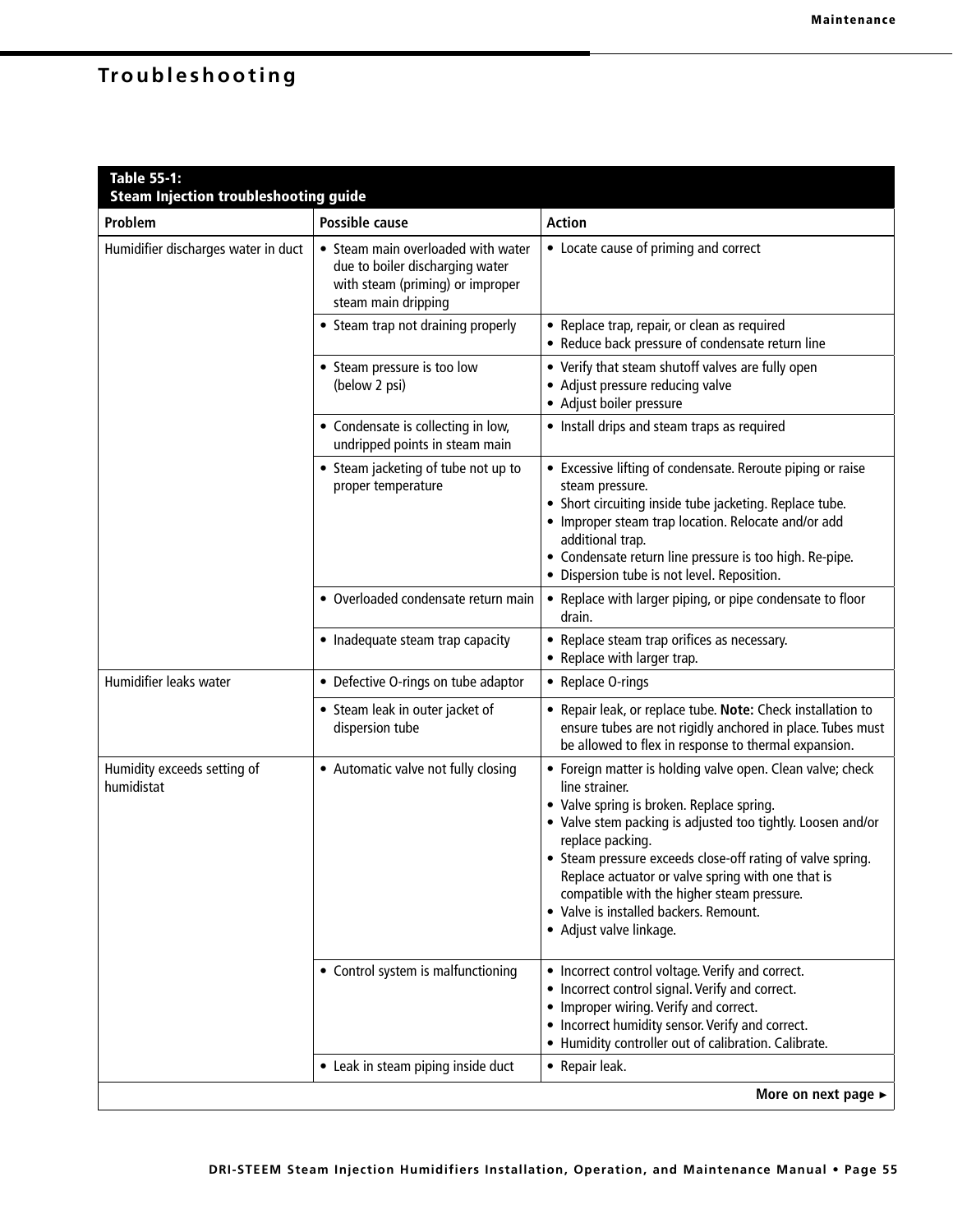# **Troubleshooting**

| Table 55-1:<br><b>Steam Injection troubleshooting guide</b> |                                                                                                                                  |                                                                                                                                                                                                                                                                                                                                                                                                                                                    |
|-------------------------------------------------------------|----------------------------------------------------------------------------------------------------------------------------------|----------------------------------------------------------------------------------------------------------------------------------------------------------------------------------------------------------------------------------------------------------------------------------------------------------------------------------------------------------------------------------------------------------------------------------------------------|
| Problem                                                     | <b>Possible cause</b>                                                                                                            | <b>Action</b>                                                                                                                                                                                                                                                                                                                                                                                                                                      |
| Humidifier discharges water in duct                         | • Steam main overloaded with water<br>due to boiler discharging water<br>with steam (priming) or improper<br>steam main dripping | • Locate cause of priming and correct                                                                                                                                                                                                                                                                                                                                                                                                              |
|                                                             | • Steam trap not draining properly                                                                                               | • Replace trap, repair, or clean as required<br>• Reduce back pressure of condensate return line                                                                                                                                                                                                                                                                                                                                                   |
|                                                             | • Steam pressure is too low<br>(below 2 psi)                                                                                     | • Verify that steam shutoff valves are fully open<br>• Adjust pressure reducing valve<br>• Adjust boiler pressure                                                                                                                                                                                                                                                                                                                                  |
|                                                             | • Condensate is collecting in low,<br>undripped points in steam main                                                             | • Install drips and steam traps as required                                                                                                                                                                                                                                                                                                                                                                                                        |
|                                                             | • Steam jacketing of tube not up to<br>proper temperature                                                                        | • Excessive lifting of condensate. Reroute piping or raise<br>steam pressure.<br>• Short circuiting inside tube jacketing. Replace tube.<br>• Improper steam trap location. Relocate and/or add<br>additional trap.<br>• Condensate return line pressure is too high. Re-pipe.<br>· Dispersion tube is not level. Reposition.                                                                                                                      |
|                                                             | • Overloaded condensate return main                                                                                              | • Replace with larger piping, or pipe condensate to floor<br>drain.                                                                                                                                                                                                                                                                                                                                                                                |
|                                                             | • Inadequate steam trap capacity                                                                                                 | • Replace steam trap orifices as necessary.<br>• Replace with larger trap.                                                                                                                                                                                                                                                                                                                                                                         |
| Humidifier leaks water                                      | • Defective O-rings on tube adaptor                                                                                              | • Replace O-rings                                                                                                                                                                                                                                                                                                                                                                                                                                  |
|                                                             | • Steam leak in outer jacket of<br>dispersion tube                                                                               | • Repair leak, or replace tube. Note: Check installation to<br>ensure tubes are not rigidly anchored in place. Tubes must<br>be allowed to flex in response to thermal expansion.                                                                                                                                                                                                                                                                  |
| Humidity exceeds setting of<br>humidistat                   | • Automatic valve not fully closing                                                                                              | • Foreign matter is holding valve open. Clean valve; check<br>line strainer.<br>• Valve spring is broken. Replace spring.<br>• Valve stem packing is adjusted too tightly. Loosen and/or<br>replace packing.<br>• Steam pressure exceeds close-off rating of valve spring.<br>Replace actuator or valve spring with one that is<br>compatible with the higher steam pressure.<br>• Valve is installed backers. Remount.<br>• Adjust valve linkage. |
|                                                             | • Control system is malfunctioning                                                                                               | • Incorrect control voltage. Verify and correct.<br>• Incorrect control signal. Verify and correct.<br>• Improper wiring. Verify and correct.<br>• Incorrect humidity sensor. Verify and correct.<br>• Humidity controller out of calibration. Calibrate.                                                                                                                                                                                          |
|                                                             | • Leak in steam piping inside duct                                                                                               | • Repair leak.                                                                                                                                                                                                                                                                                                                                                                                                                                     |
|                                                             |                                                                                                                                  | More on next page ►                                                                                                                                                                                                                                                                                                                                                                                                                                |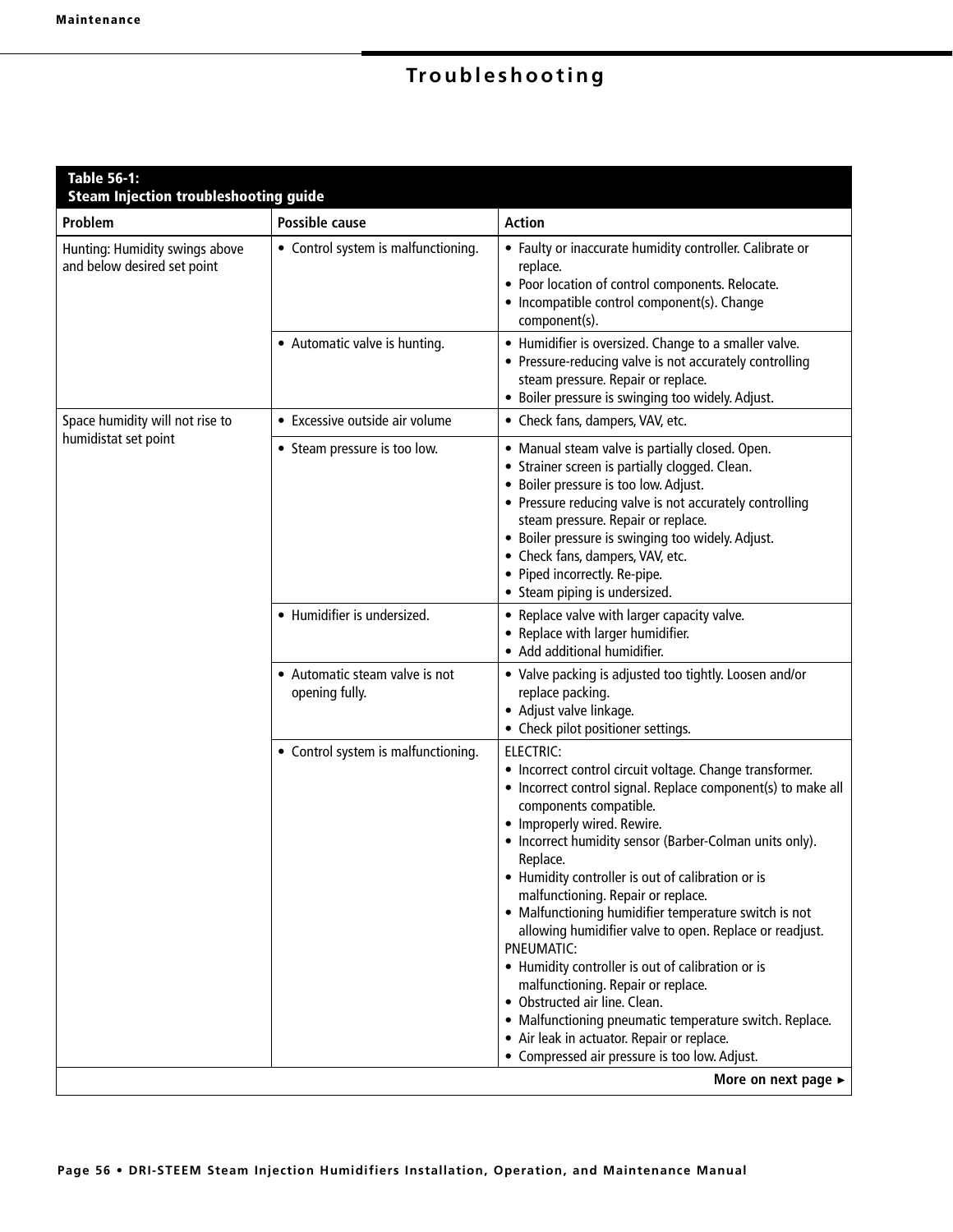# **Troubleshooting**

| <b>Table 56-1:</b><br><b>Steam Injection troubleshooting guide</b> |                                                  |                                                                                                                                                                                                                                                                                                                                                                                                                                                                                                                                                                                                                                                                                                                                                                                                 |
|--------------------------------------------------------------------|--------------------------------------------------|-------------------------------------------------------------------------------------------------------------------------------------------------------------------------------------------------------------------------------------------------------------------------------------------------------------------------------------------------------------------------------------------------------------------------------------------------------------------------------------------------------------------------------------------------------------------------------------------------------------------------------------------------------------------------------------------------------------------------------------------------------------------------------------------------|
| Problem                                                            | Possible cause                                   | <b>Action</b>                                                                                                                                                                                                                                                                                                                                                                                                                                                                                                                                                                                                                                                                                                                                                                                   |
| Hunting: Humidity swings above<br>and below desired set point      | • Control system is malfunctioning.              | • Faulty or inaccurate humidity controller. Calibrate or<br>replace.<br>• Poor location of control components. Relocate.<br>• Incompatible control component(s). Change<br>component(s).                                                                                                                                                                                                                                                                                                                                                                                                                                                                                                                                                                                                        |
|                                                                    | • Automatic valve is hunting.                    | • Humidifier is oversized. Change to a smaller valve.<br>• Pressure-reducing valve is not accurately controlling<br>steam pressure. Repair or replace.<br>• Boiler pressure is swinging too widely. Adjust.                                                                                                                                                                                                                                                                                                                                                                                                                                                                                                                                                                                     |
| Space humidity will not rise to                                    | • Excessive outside air volume                   | • Check fans, dampers, VAV, etc.                                                                                                                                                                                                                                                                                                                                                                                                                                                                                                                                                                                                                                                                                                                                                                |
| humidistat set point                                               | • Steam pressure is too low.                     | • Manual steam valve is partially closed. Open.<br>• Strainer screen is partially clogged. Clean.<br>· Boiler pressure is too low. Adjust.<br>• Pressure reducing valve is not accurately controlling<br>steam pressure. Repair or replace.<br>· Boiler pressure is swinging too widely. Adjust.<br>• Check fans, dampers, VAV, etc.<br>• Piped incorrectly. Re-pipe.<br>• Steam piping is undersized.                                                                                                                                                                                                                                                                                                                                                                                          |
|                                                                    | • Humidifier is undersized.                      | • Replace valve with larger capacity valve.<br>• Replace with larger humidifier.<br>• Add additional humidifier.                                                                                                                                                                                                                                                                                                                                                                                                                                                                                                                                                                                                                                                                                |
|                                                                    | • Automatic steam valve is not<br>opening fully. | • Valve packing is adjusted too tightly. Loosen and/or<br>replace packing.<br>• Adjust valve linkage.<br>• Check pilot positioner settings.                                                                                                                                                                                                                                                                                                                                                                                                                                                                                                                                                                                                                                                     |
|                                                                    | • Control system is malfunctioning.              | <b>ELECTRIC:</b><br>• Incorrect control circuit voltage. Change transformer.<br>• Incorrect control signal. Replace component(s) to make all<br>components compatible.<br>• Improperly wired. Rewire.<br>• Incorrect humidity sensor (Barber-Colman units only).<br>Replace.<br>• Humidity controller is out of calibration or is<br>malfunctioning. Repair or replace.<br>• Malfunctioning humidifier temperature switch is not<br>allowing humidifier valve to open. Replace or readjust.<br>PNEUMATIC:<br>• Humidity controller is out of calibration or is<br>malfunctioning. Repair or replace.<br>• Obstructed air line. Clean.<br>• Malfunctioning pneumatic temperature switch. Replace.<br>• Air leak in actuator. Repair or replace.<br>• Compressed air pressure is too low. Adjust. |
|                                                                    |                                                  | More on next page ►                                                                                                                                                                                                                                                                                                                                                                                                                                                                                                                                                                                                                                                                                                                                                                             |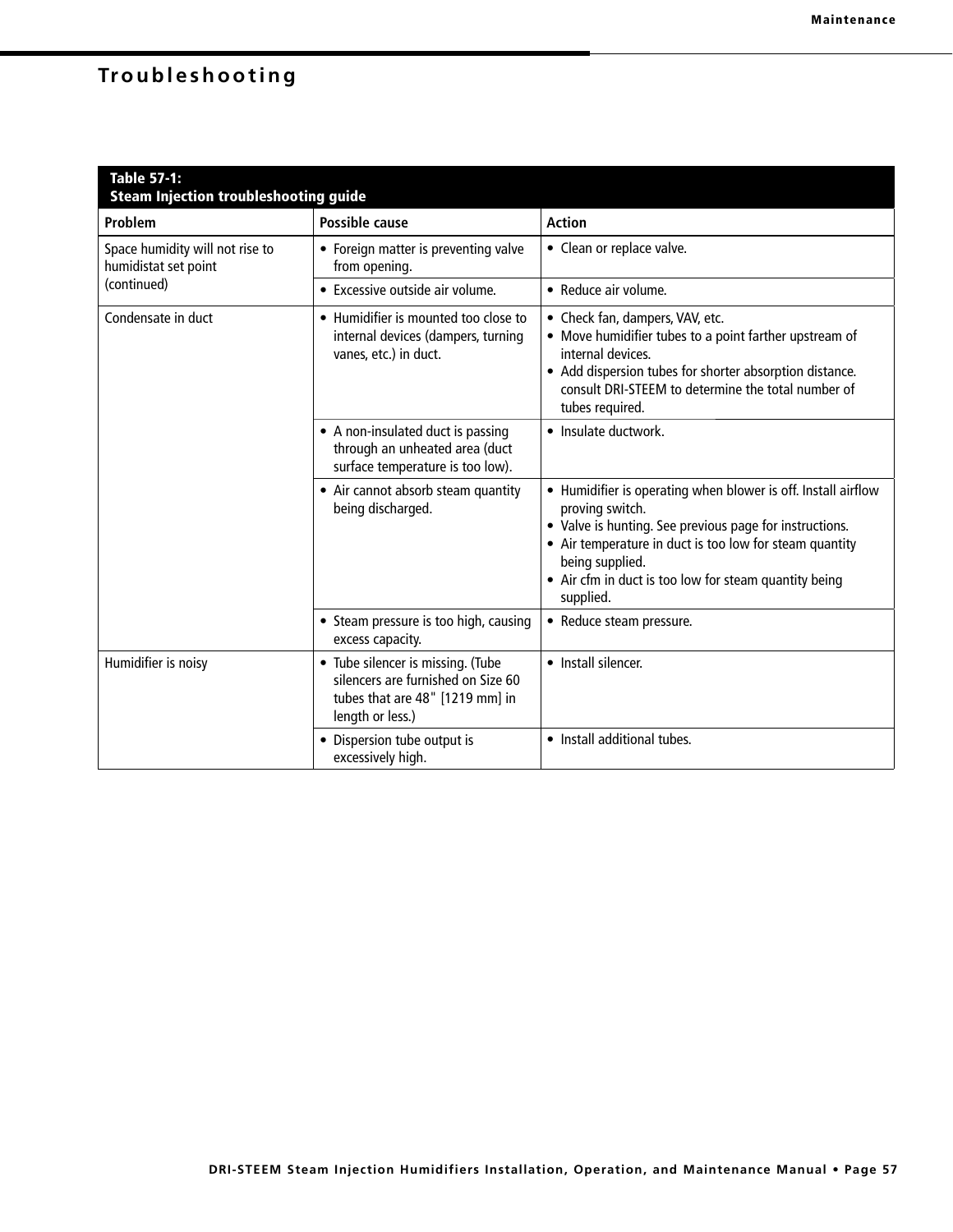# **Troubleshooting**

| <b>Table 57-1:</b><br><b>Steam Injection troubleshooting guide</b> |                                                                                                                                |                                                                                                                                                                                                                                                                                                 |  |  |
|--------------------------------------------------------------------|--------------------------------------------------------------------------------------------------------------------------------|-------------------------------------------------------------------------------------------------------------------------------------------------------------------------------------------------------------------------------------------------------------------------------------------------|--|--|
| Problem                                                            | <b>Possible cause</b>                                                                                                          | <b>Action</b>                                                                                                                                                                                                                                                                                   |  |  |
| Space humidity will not rise to<br>humidistat set point            | • Foreign matter is preventing valve<br>from opening.                                                                          | • Clean or replace valve.                                                                                                                                                                                                                                                                       |  |  |
| (continued)                                                        | • Excessive outside air volume.                                                                                                | • Reduce air volume.                                                                                                                                                                                                                                                                            |  |  |
| Condensate in duct                                                 | • Humidifier is mounted too close to<br>internal devices (dampers, turning<br>vanes, etc.) in duct.                            | • Check fan, dampers, VAV, etc.<br>• Move humidifier tubes to a point farther upstream of<br>internal devices.<br>• Add dispersion tubes for shorter absorption distance.<br>consult DRI-STEEM to determine the total number of<br>tubes required.                                              |  |  |
|                                                                    | • A non-insulated duct is passing<br>through an unheated area (duct<br>surface temperature is too low).                        | • Insulate ductwork.                                                                                                                                                                                                                                                                            |  |  |
|                                                                    | • Air cannot absorb steam quantity<br>being discharged.                                                                        | • Humidifier is operating when blower is off. Install airflow<br>proving switch.<br>• Valve is hunting. See previous page for instructions.<br>• Air temperature in duct is too low for steam quantity<br>being supplied.<br>• Air cfm in duct is too low for steam quantity being<br>supplied. |  |  |
|                                                                    | • Steam pressure is too high, causing<br>excess capacity.                                                                      | • Reduce steam pressure.                                                                                                                                                                                                                                                                        |  |  |
| Humidifier is noisy                                                | • Tube silencer is missing. (Tube<br>silencers are furnished on Size 60<br>tubes that are 48" [1219 mm] in<br>length or less.) | • Install silencer.                                                                                                                                                                                                                                                                             |  |  |
|                                                                    | Dispersion tube output is<br>excessively high.                                                                                 | • Install additional tubes.                                                                                                                                                                                                                                                                     |  |  |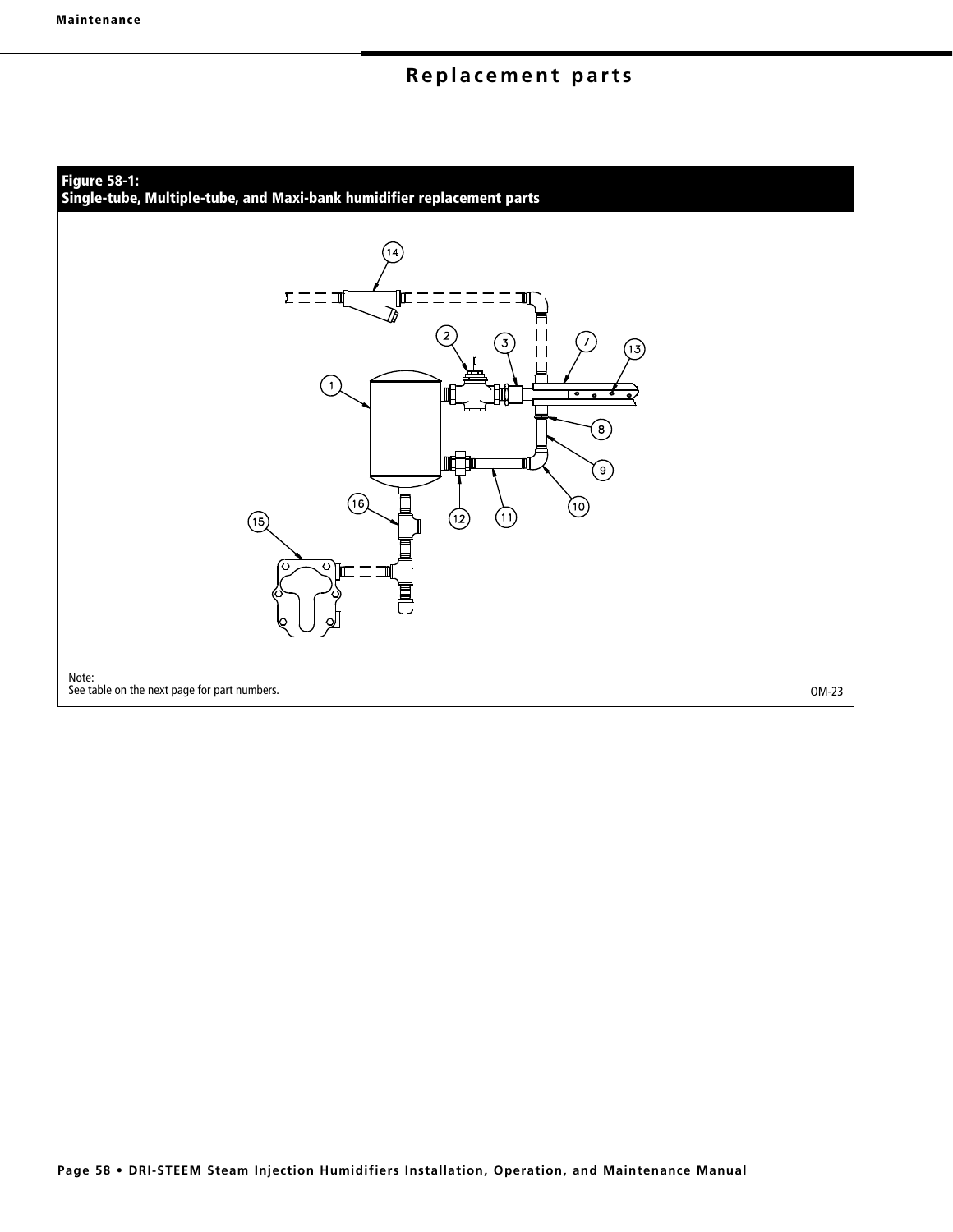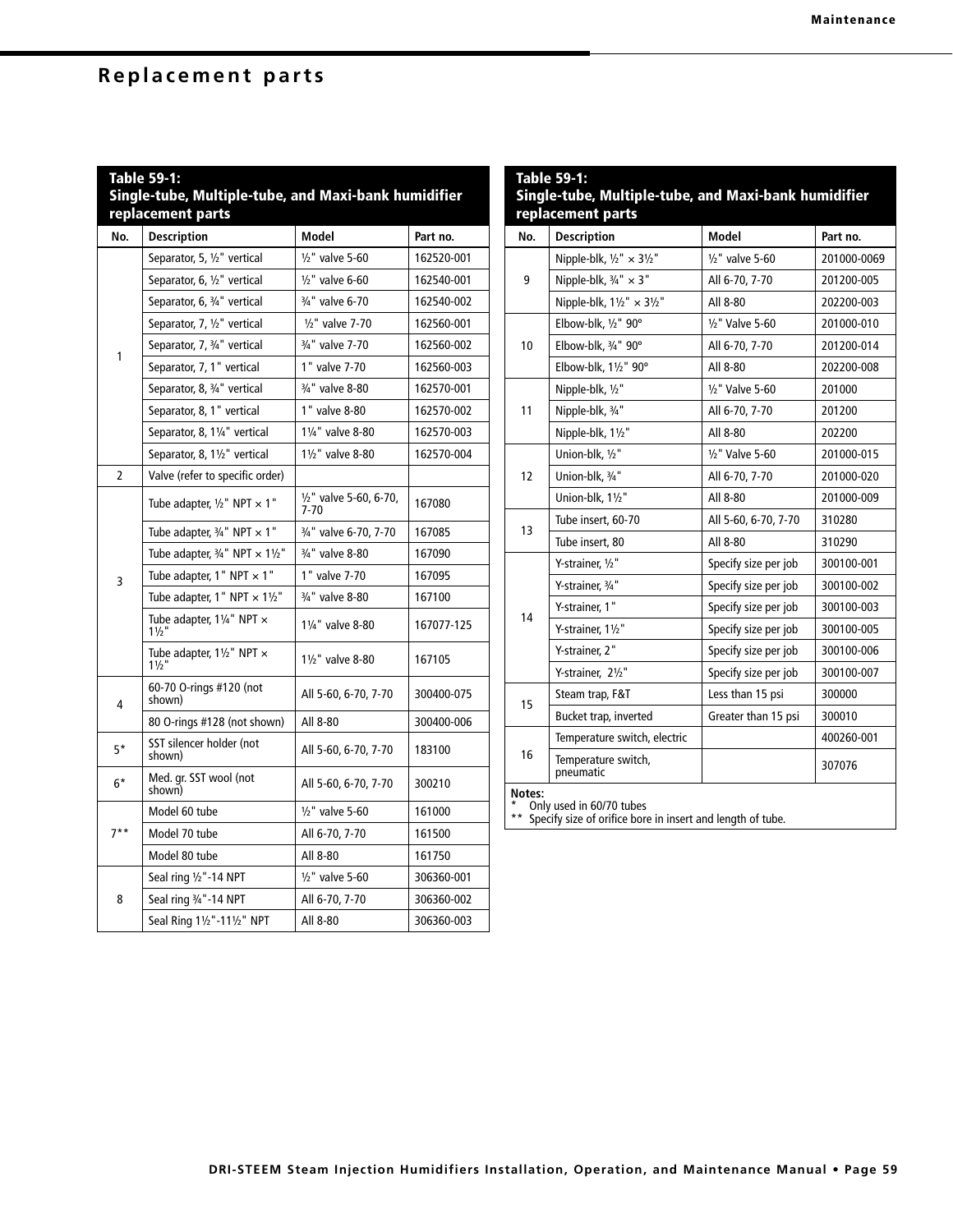|  | Single-tube, Multiple-tube, and Maxi-bank humidifier<br>replacement parts |  |  |  |
|--|---------------------------------------------------------------------------|--|--|--|
|  |                                                                           |  |  |  |
|  |                                                                           |  |  |  |

| No.    | <b>Description</b>                                            | Model                            | Part no.   |
|--------|---------------------------------------------------------------|----------------------------------|------------|
|        | Separator, 5, 1/2" vertical                                   | 1/2" valve 5-60                  | 162520-001 |
|        | Separator, 6, 1/2" vertical                                   | $1/2$ " valve 6-60               | 162540-001 |
|        | Separator, 6, 3/4" vertical                                   | 3/4" valve 6-70                  | 162540-002 |
|        | Separator, 7, 1/2" vertical                                   | $1/2$ " valve 7-70               | 162560-001 |
| 1      | Separator, 7, 3/4" vertical                                   | 3/4" valve 7-70                  | 162560-002 |
|        | Separator, 7, 1" vertical                                     | 1" valve 7-70                    | 162560-003 |
|        | Separator, 8, 3/4" vertical                                   | 3/4" valve 8-80                  | 162570-001 |
|        | Separator, 8, 1" vertical                                     | 1" valve 8-80                    | 162570-002 |
|        | Separator, 8, 11/4" vertical                                  | 11/4" valve 8-80                 | 162570-003 |
|        | Separator, 8, 11/2" vertical                                  | 11/2" valve 8-80                 | 162570-004 |
| 2      | Valve (refer to specific order)                               |                                  |            |
|        | Tube adapter, $1/2$ " NPT $\times$ 1"                         | 1/2" valve 5-60, 6-70,<br>$7-70$ | 167080     |
|        | Tube adapter, $\frac{3}{4}$ " NPT $\times$ 1"                 | 3/4" valve 6-70, 7-70            | 167085     |
|        | Tube adapter, $\frac{3}{4}$ " NPT $\times$ 11/2"              | 3/4" valve 8-80                  | 167090     |
| 3      | Tube adapter, 1" NPT $\times$ 1"                              | 1" valve 7-70                    | 167095     |
|        | Tube adapter, 1" NPT $\times$ 11/2"                           | 3/4" valve 8-80                  | 167100     |
|        | Tube adapter, 11/4" NPT x<br>$1\frac{1}{2}$                   | 11/4" valve 8-80                 | 167077-125 |
|        | Tube adapter, $1\frac{1}{2}$ " NPT $\times$ 1 $\frac{1}{2}$ " | 11/2" valve 8-80                 | 167105     |
| 4      | 60-70 O-rings #120 (not<br>shown)                             | All 5-60, 6-70, 7-70             | 300400-075 |
|        | 80 O-rings #128 (not shown)                                   | All 8-80                         | 300400-006 |
| $5*$   | SST silencer holder (not<br>shown)                            | All 5-60, 6-70, 7-70             | 183100     |
| 6*     | Med. gr. SST wool (not<br>shown)                              | All 5-60, 6-70, 7-70             | 300210     |
| $7***$ | Model 60 tube                                                 | $1/2$ " valve 5-60               | 161000     |
|        | Model 70 tube                                                 | All 6-70, 7-70                   | 161500     |
|        | Model 80 tube                                                 | All 8-80                         | 161750     |
| 8      | Seal ring 1/2"-14 NPT                                         | $1/2$ " valve 5-60               | 306360-001 |
|        | Seal ring 3/4"-14 NPT                                         | All 6-70, 7-70                   | 306360-002 |
|        | Seal Ring 11/2"-111/2" NPT                                    | All 8-80                         | 306360-003 |

| <b>Table 59-1:</b><br>Single-tube, Multiple-tube, and Maxi-bank humidifier<br>replacement parts                   |                                                      |                      |             |
|-------------------------------------------------------------------------------------------------------------------|------------------------------------------------------|----------------------|-------------|
| No.                                                                                                               | <b>Description</b>                                   | Model                | Part no.    |
|                                                                                                                   | Nipple-blk, $1/2$ " $\times$ 3 $1/2$ "               | $1/2$ " valve 5-60   | 201000-0069 |
| 9                                                                                                                 | Nipple-blk, $\frac{3}{4}$ " × 3"                     | All 6-70, 7-70       | 201200-005  |
|                                                                                                                   | Nipple-blk, $1\frac{1}{2}$ $\times$ $3\frac{1}{2}$ " | All 8-80             | 202200-003  |
|                                                                                                                   | Elbow-blk, 1/2" 90°                                  | 1/2" Valve 5-60      | 201000-010  |
| 10                                                                                                                | Elbow-blk, 3/4" 90°                                  | All 6-70, 7-70       | 201200-014  |
|                                                                                                                   | Elbow-blk, 11/2" 90°                                 | All 8-80             | 202200-008  |
|                                                                                                                   | Nipple-blk, 1/2"                                     | 1/2" Valve 5-60      | 201000      |
| 11                                                                                                                | Nipple-blk, 3/4"                                     | All 6-70, 7-70       | 201200      |
|                                                                                                                   | Nipple-blk, 11/2"                                    | All 8-80             | 202200      |
|                                                                                                                   | Union-blk, 1/2"                                      | 1/2" Valve 5-60      | 201000-015  |
| 12                                                                                                                | Union-blk, 3/4"                                      | All 6-70, 7-70       | 201000-020  |
|                                                                                                                   | Union-blk, 11/2"                                     | All 8-80             | 201000-009  |
|                                                                                                                   | Tube insert. 60-70                                   | All 5-60, 6-70, 7-70 | 310280      |
| 13                                                                                                                | Tube insert, 80                                      | All 8-80             | 310290      |
|                                                                                                                   | Y-strainer. 1/2"                                     | Specify size per job | 300100-001  |
|                                                                                                                   | Y-strainer. 3/4"                                     | Specify size per job | 300100-002  |
|                                                                                                                   | Y-strainer, 1"                                       | Specify size per job | 300100-003  |
| 14                                                                                                                | Y-strainer. 11/2"                                    | Specify size per job | 300100-005  |
|                                                                                                                   | Y-strainer. 2"                                       | Specify size per job | 300100-006  |
|                                                                                                                   | Y-strainer, 21/2"                                    | Specify size per job | 300100-007  |
|                                                                                                                   | Steam trap, F&T                                      | Less than 15 psi     | 300000      |
| 15                                                                                                                | Bucket trap, inverted                                | Greater than 15 psi  | 300010      |
|                                                                                                                   | Temperature switch, electric                         |                      | 400260-001  |
| 16                                                                                                                | Temperature switch,<br>pneumatic                     |                      | 307076      |
| Notes:<br>Only used in 60/70 tubes<br>$***$ c <sub>n</sub><br>is in incort and longth of tubo<br>za af arifica he |                                                      |                      |             |

Specify size of orifice bore in insert and length of tube.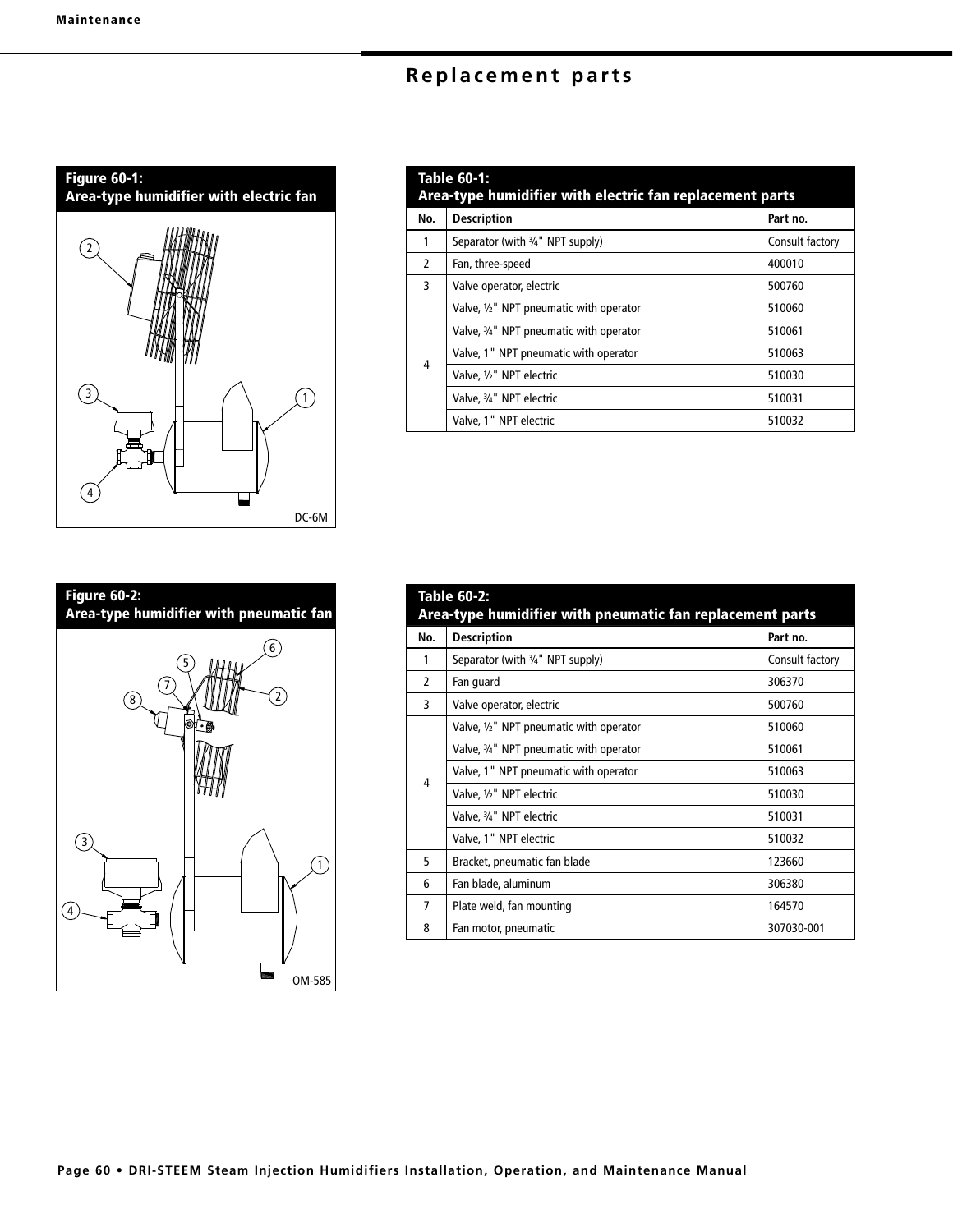

| <b>Table 60-1:</b><br>Area-type humidifier with electric fan replacement parts |                                         |                 |  |
|--------------------------------------------------------------------------------|-----------------------------------------|-----------------|--|
| No.                                                                            | <b>Description</b>                      | Part no.        |  |
| 1                                                                              | Separator (with 3/4" NPT supply)        | Consult factory |  |
| $\mathcal{L}$                                                                  | Fan, three-speed                        | 400010          |  |
| 3                                                                              | Valve operator, electric                | 500760          |  |
| $\overline{4}$                                                                 | Valve, 1/2" NPT pneumatic with operator | 510060          |  |
|                                                                                | Valve, 3/4" NPT pneumatic with operator | 510061          |  |
|                                                                                | Valve, 1" NPT pneumatic with operator   | 510063          |  |
|                                                                                | Valve, 1/2" NPT electric                | 510030          |  |
|                                                                                | Valve, 3/4" NPT electric                | 510031          |  |
|                                                                                | Valve, 1" NPT electric                  | 510032          |  |



| Table 60-2:<br>Area-type humidifier with pneumatic fan replacement parts |                                            |                 |  |
|--------------------------------------------------------------------------|--------------------------------------------|-----------------|--|
| No.                                                                      | <b>Description</b>                         | Part no.        |  |
| 1                                                                        | Separator (with 3/4" NPT supply)           | Consult factory |  |
| $\mathcal{P}$                                                            | Fan guard                                  | 306370          |  |
| 3                                                                        | Valve operator, electric                   | 500760          |  |
| 4                                                                        | Valve, $1/2$ " NPT pneumatic with operator | 510060          |  |
|                                                                          | Valve, 3/4" NPT pneumatic with operator    | 510061          |  |
|                                                                          | Valve, 1" NPT pneumatic with operator      | 510063          |  |
|                                                                          | Valve, 1/2" NPT electric                   | 510030          |  |
|                                                                          | Valve, 3/4" NPT electric                   | 510031          |  |
|                                                                          | Valve, 1" NPT electric                     | 510032          |  |
| 5                                                                        | Bracket, pneumatic fan blade               | 123660          |  |
| 6                                                                        | Fan blade, aluminum                        | 306380          |  |
| 7                                                                        | Plate weld, fan mounting                   | 164570          |  |
| 8                                                                        | Fan motor, pneumatic                       | 307030-001      |  |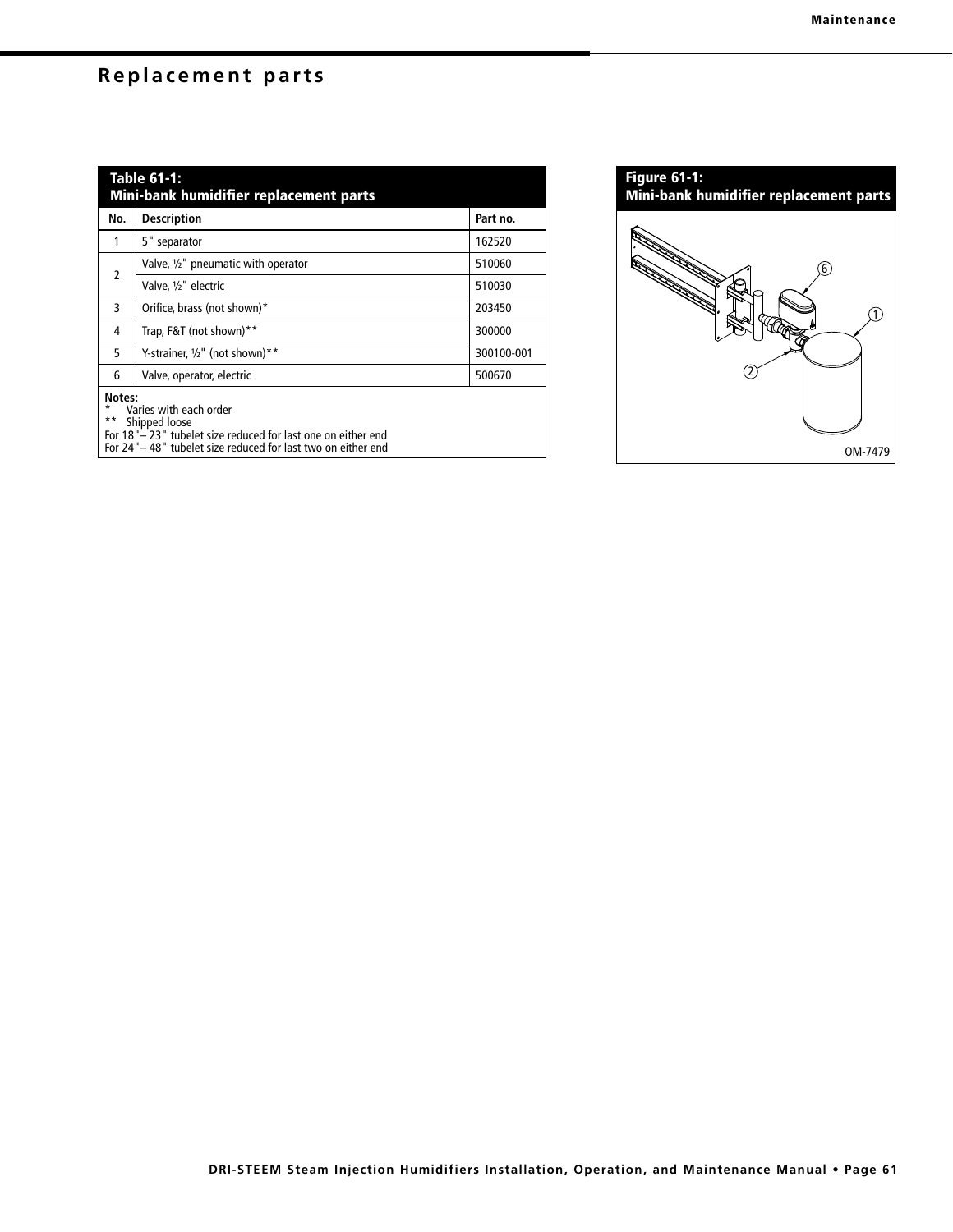| Table 61-1:<br>Mini-bank humidifier replacement parts |                                     |            |  |
|-------------------------------------------------------|-------------------------------------|------------|--|
| No.                                                   | <b>Description</b>                  | Part no.   |  |
| 1                                                     | 5" separator                        | 162520     |  |
| $\overline{2}$                                        | Valve, 1/2" pneumatic with operator | 510060     |  |
|                                                       | Valve. 1/2" electric                | 510030     |  |
| 3                                                     | Orifice, brass (not shown)*         | 203450     |  |
| 4                                                     | Trap, F&T (not shown)**             | 300000     |  |
| 5                                                     | Y-strainer, $1/2$ " (not shown)**   | 300100-001 |  |
| 6                                                     | Valve, operator, electric           | 500670     |  |
| Notes:<br>*<br>Varies with each order                 |                                     |            |  |

\*\* Shipped loose

For 18"– 23" tubelet size reduced for last one on either end

For 24"– 48" tubelet size reduced for last two on either end